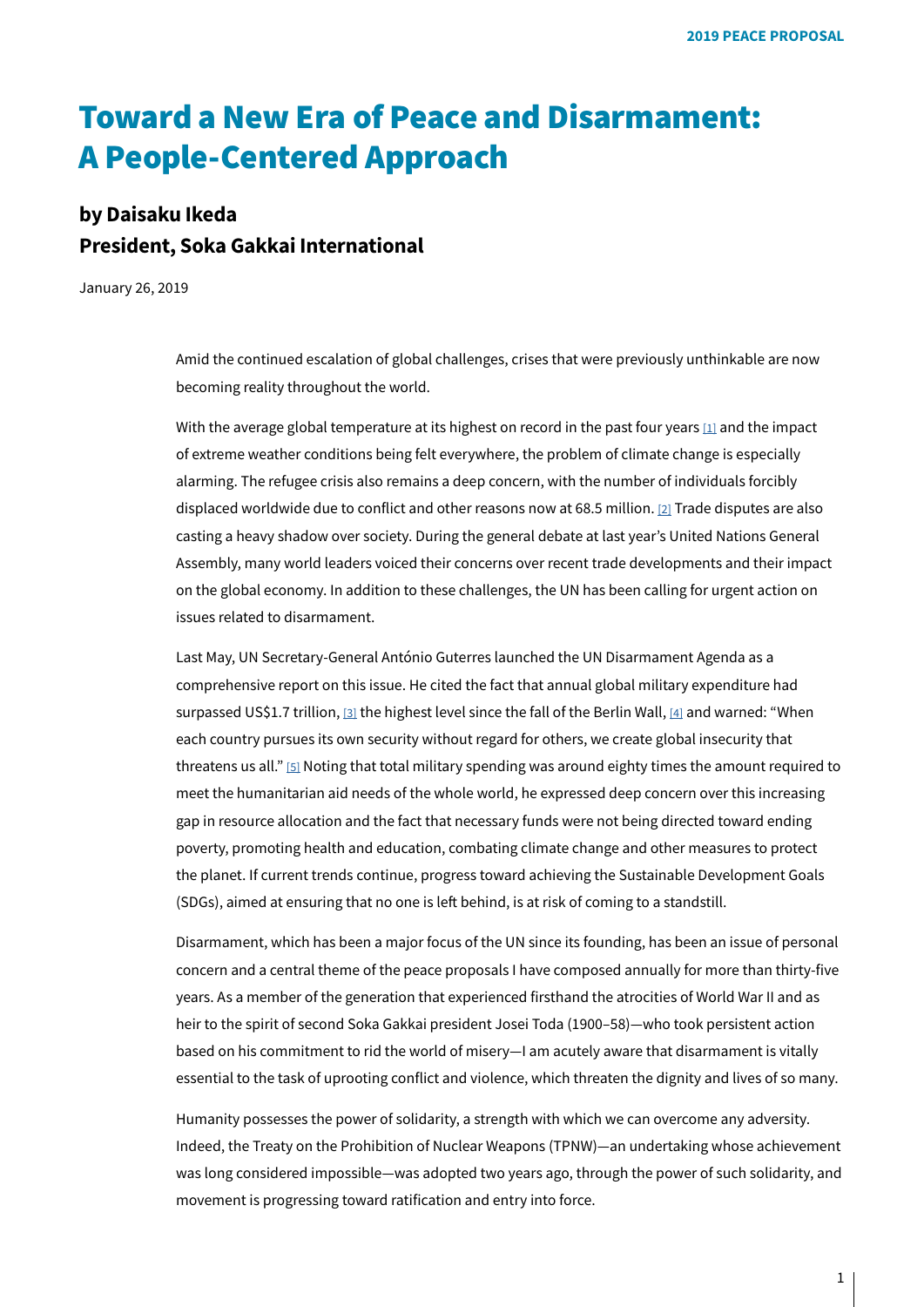# Toward a New Era of Peace and Disarmament: **A People-Centered Approach**

## **by Daisaku Ikeda President, Soka Gakkai International**

January 26, 2019

Amid the continued escalation of global challenges, crises that were previously unthinkable are now becoming reality throughout the world.

<span id="page-0-1"></span><span id="page-0-0"></span>With the average global temperature at its highest on record in the past four years  $[1]$  and the impact of extreme weather conditions being felt everywhere, the problem of climate change is especially alarming. The refugee crisis also remains a deep concern, with the number of individuals forcibly displaced worldwide due to conflict and other reasons now at 68.5 million. [2] Trade disputes are also casting a heavy shadow over society. During the general debate at last year's United Nations General Assembly, many world leaders voiced their concerns over recent trade developments and their impact on the global economy. In addition to these challenges, the UN has been calling for urgent action on issues related to disarmament.

<span id="page-0-4"></span><span id="page-0-3"></span><span id="page-0-2"></span>Last May, UN Secretary-General António Guterres launched the UN Disarmament Agenda as a comprehensive report on this issue. He cited the fact that annual global military expenditure had surpassed US\$1.7 trillion, [3[\]](#page-29-2) the highest level since the fall of the Berlin Wall, [[4](#page-29-2)] and warned: "When each country pursues its own security without regard for others, we create global insecurity that threatens us all." [5[\]](#page-29-3) Noting that total military spending was around eighty times the amount required to meet the humanitarian aid needs of the whole world, he expressed deep concern over this increasing gap in resource allocation and the fact that necessary funds were not being directed toward ending poverty, promoting health and education, combating climate change and other measures to protect the planet. If current trends continue, progress toward achieving the Sustainable Development Goals (SDGs), aimed at ensuring that no one is left behind, is at risk of coming to a standstill.

Disarmament, which has been a major focus of the UN since its founding, has been an issue of personal concern and a central theme of the peace proposals I have composed annually for more than thirty-five years. As a member of the generation that experienced firsthand the atrocities of World War II and as heir to the spirit of second Soka Gakkai president Josei Toda (1900-58)—who took persistent action based on his commitment to rid the world of misery-I am acutely aware that disarmament is vitally essential to the task of uprooting conflict and violence, which threaten the dignity and lives of so many.

Humanity possesses the power of solidarity, a strength with which we can overcome any adversity. Indeed, the Treaty on the Prohibition of Nuclear Weapons (TPNW)—an undertaking whose achievement was long considered impossible—was adopted two years ago, through the power of such solidarity, and movement is progressing toward ratification and entry into force.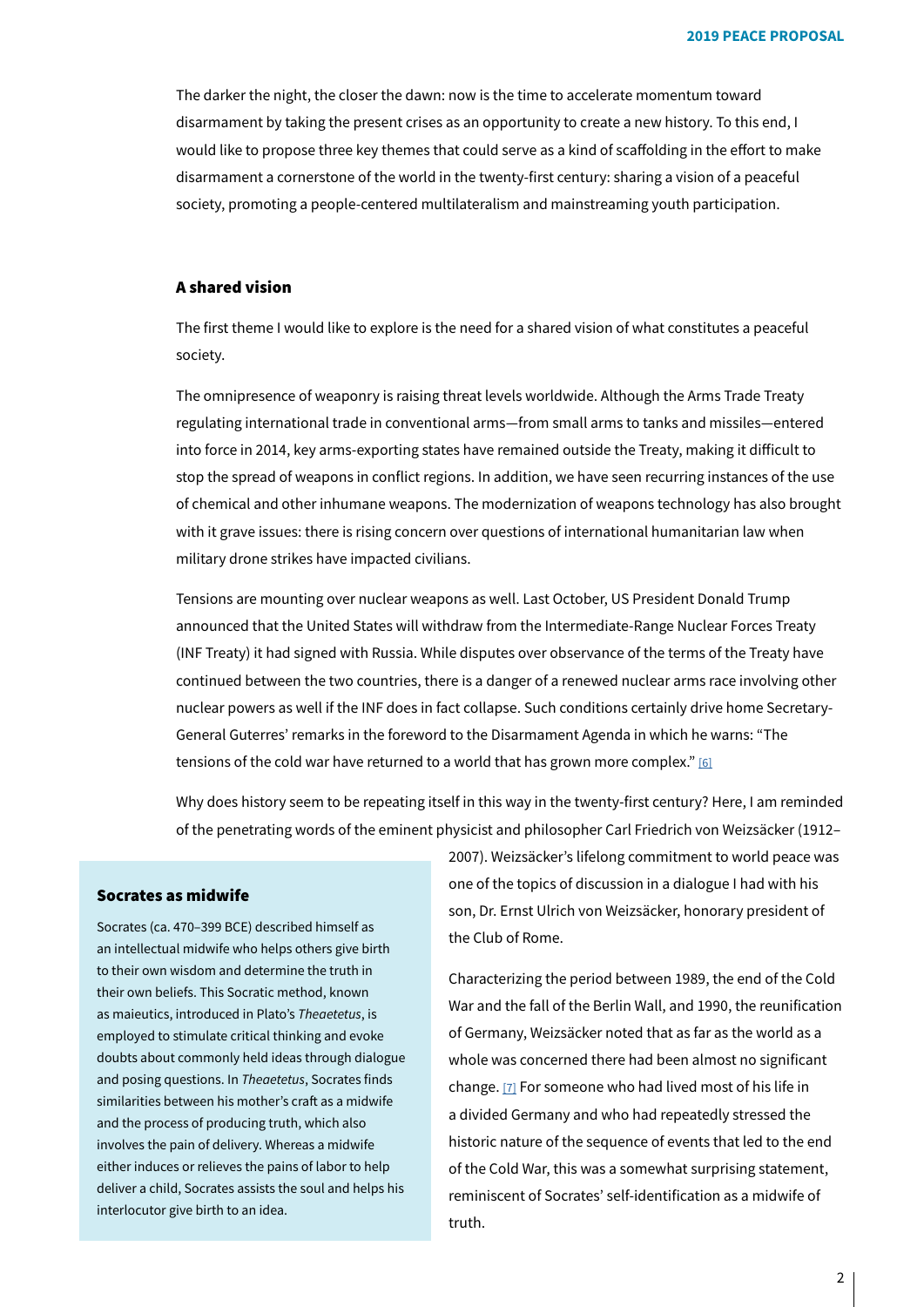The darker the night, the closer the dawn: now is the time to accelerate momentum toward disarmament by taking the present crises as an opportunity to create a new history. To this end, I would like to propose three key themes that could serve as a kind of scaffolding in the effort to make disarmament a cornerstone of the world in the twenty-first century: sharing a vision of a peaceful society, promoting a people-centered multilateralism and mainstreaming youth participation.

## A shared vision

The first theme I would like to explore is the need for a shared vision of what constitutes a peaceful society.

The omnipresence of weaponry is raising threat levels worldwide. Although the Arms Trade Treaty regulating international trade in conventional arms -from small arms to tanks and missiles-entered into force in 2014, key arms-exporting states have remained outside the Treaty, making it difficult to stop the spread of weapons in conflict regions. In addition, we have seen recurring instances of the use of chemical and other inhumane weapons. The modernization of weapons technology has also brought with it grave issues: there is rising concern over questions of international humanitarian law when military drone strikes have impacted civilians.

Tensions are mounting over nuclear weapons as well. Last October, US President Donald Trump announced that the United States will withdraw from the Intermediate-Range Nuclear Forces Treaty (INF Treaty) it had signed with Russia. While disputes over observance of the terms of the Treaty have continued between the two countries, there is a danger of a renewed nuclear arms race involving other General Guterres' remarks in the foreword to the Disarmament Agenda in which he warns: "The nuclear powers as well if the INF does in fact collapse. Such conditions certainly drive home Secretarytensions of the cold war have returned to a world that has grown more complex."  $[6]$ 

Why does history seem to be repeating itself in this way in the twenty-first century? Here, I am reminded of the penetrating words of the eminent physicist and philosopher Carl Friedrich von Weizsäcker (1912-

## Socrates as midwife

Socrates (ca. 470–399 BCE) described himself as an intellectual midwife who helps others give birth to their own wisdom and determine the truth in their own beliefs. This Socratic method, known as maieutics, introduced in Plato's Theaetetus, is employed to stimulate critical thinking and evoke doubts about commonly held ideas through dialogue and posing questions. In Theaetetus, Socrates finds similarities between his mother's craft as a midwife and the process of producing truth, which also involves the pain of delivery. Whereas a midwife either induces or relieves the pains of labor to help deliver a child, Socrates assists the soul and helps his interlocutor give birth to an idea.

2007). Weizsäcker's lifelong commitment to world peace was one of the topics of discussion in a dialogue I had with his son, Dr. Ernst Ulrich von Weizsäcker, honorary president of the Club of Rome.

Characterizing the period between 1989, the end of the Cold War and the fall of the Berlin Wall, and 1990, the reunification of Germany, Weizsäcker noted that as far as the world as a whole was concerned there had been almost no significant change. [7] For someone who had lived most of his life in a divided Germany and who had repeatedly stressed the historic nature of the sequence of events that led to the end of the Cold War, this was a somewhat surprising statement, reminiscent of Socrates' self-identification as a midwife of truth.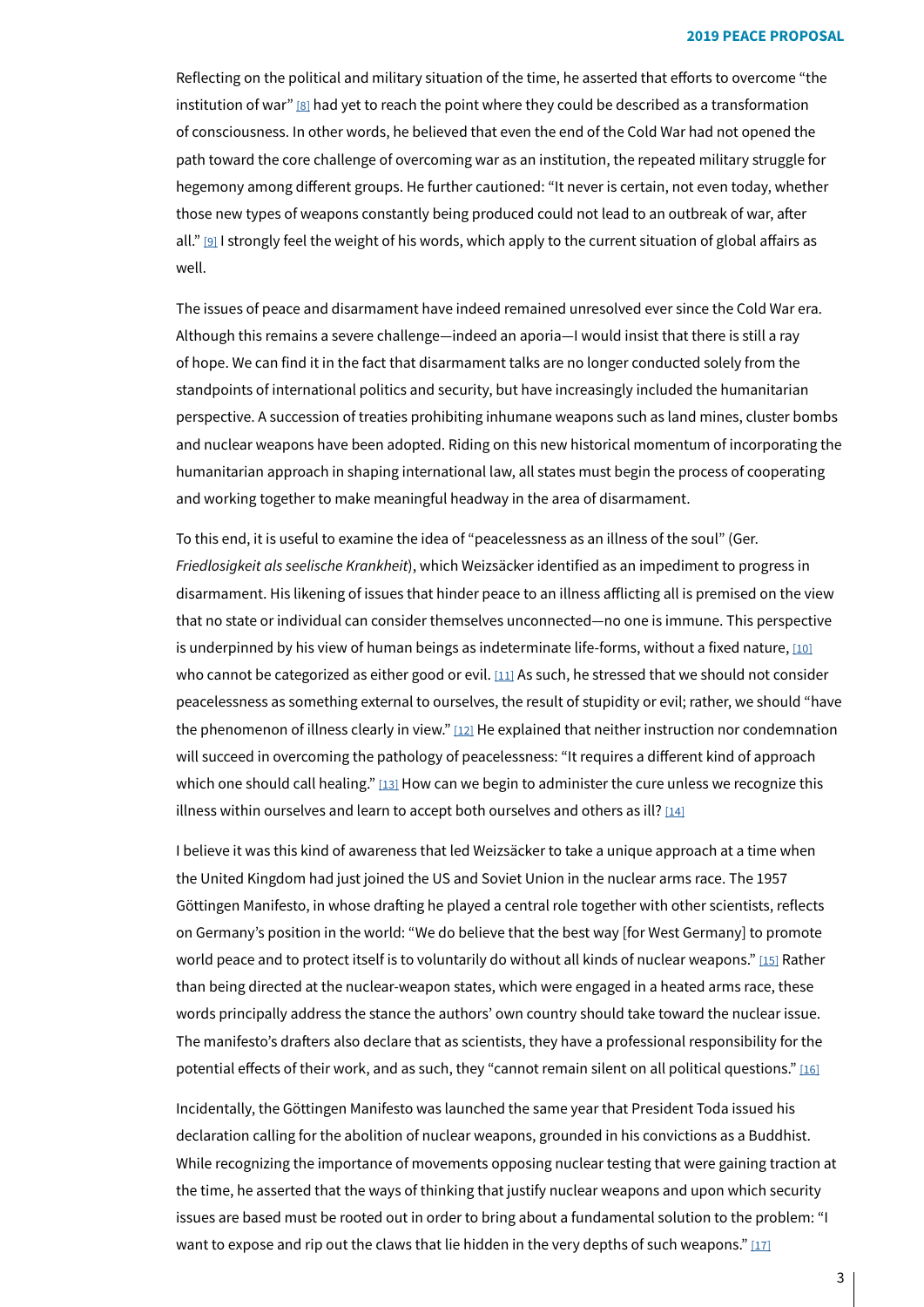Reflecting on the political and military situation of the time, he asserted that efforts to overcome "the institution of war" [8] had yet to reach the point where they could be described as a transformation of consciousness. In other words, he believed that even the end of the Cold War had not opened the path toward the core challenge of overcoming war as an institution, the repeated military struggle for hegemony among different groups. He further cautioned: "It never is certain, not even today, whether those new types of weapons constantly being produced could not lead to an outbreak of war, after all."  $[9]$  $[9]$  I strongly feel the weight of his words, which apply to the current situation of global affairs as .well

The issues of peace and disarmament have indeed remained unresolved ever since the Cold War era. Although this remains a severe challenge—indeed an aporia—I would insist that there is still a ray of hope. We can find it in the fact that disarmament talks are no longer conducted solely from the standpoints of international politics and security, but have increasingly included the humanitarian perspective. A succession of treaties prohibiting inhumane weapons such as land mines, cluster bombs and nuclear weapons have been adopted. Riding on this new historical momentum of incorporating the humanitarian approach in shaping international law, all states must begin the process of cooperating and working together to make meaningful headway in the area of disarmament.

<span id="page-2-1"></span><span id="page-2-0"></span>To this end, it is useful to examine the idea of "peacelessness as an illness of the soul" (Ger. Friedlosigkeit als seelische Krankheit), which Weizsäcker identified as an impediment to progress in disarmament. His likening of issues that hinder peace to an illness afflicting all is premised on the view that no state or individual can consider themselves unconnected — no one is immune. This perspective is underpinned by his view of human beings as indeterminate life-forms, without a fixed nature, [10] who cannot be categorized as either good or evil.  $[11]$  $[11]$  As such, he stressed that we should not consider peacelessness as something external to ourselves, the result of stupidity or evil; rather, we should "have the phenomenon of illness clearly in view."  $[12]$  $[12]$  He explained that neither instruction nor condemnation will succeed in overcoming the pathology of peacelessness: "It requires a different kind of approach which one should call healing."  $[13]$  How can we begin to administer the cure unless we recognize this illness within ourselves and learn to accept both ourselves and others as ill? [\[14\]](#page-29-11)

<span id="page-2-5"></span><span id="page-2-4"></span>I believe it was this kind of awareness that led Weizsäcker to take a unique approach at a time when the United Kingdom had just joined the US and Soviet Union in the nuclear arms race. The 1957 Göttingen Manifesto, in whose drafting he played a central role together with other scientists, reflects on Germany's position in the world: "We do believe that the best way [for West Germany] to promote world peace and to protect itself is to voluntarily do without all kinds of nuclear weapons." [15] Rather than being directed at the nuclear-weapon states, which were engaged in a heated arms race, these words principally address the stance the authors' own country should take toward the nuclear issue. The manifesto's drafters also declare that as scientists, they have a professional responsibility for the potential effects of their work, and as such, they "cannot remain silent on all political questions." [\[16\]](#page-29-12)

<span id="page-2-7"></span><span id="page-2-6"></span>Incidentally, the Göttingen Manifesto was launched the same year that President Toda issued his declaration calling for the abolition of nuclear weapons, grounded in his convictions as a Buddhist. While recognizing the importance of movements opposing nuclear testing that were gaining traction at the time, he asserted that the ways of thinking that justify nuclear weapons and upon which security issues are based must be rooted out in order to bring about a fundamental solution to the problem: "I want to expose and rip out the claws that lie hidden in the very depths of such weapons."  $[17]$ 

<span id="page-2-3"></span><span id="page-2-2"></span>3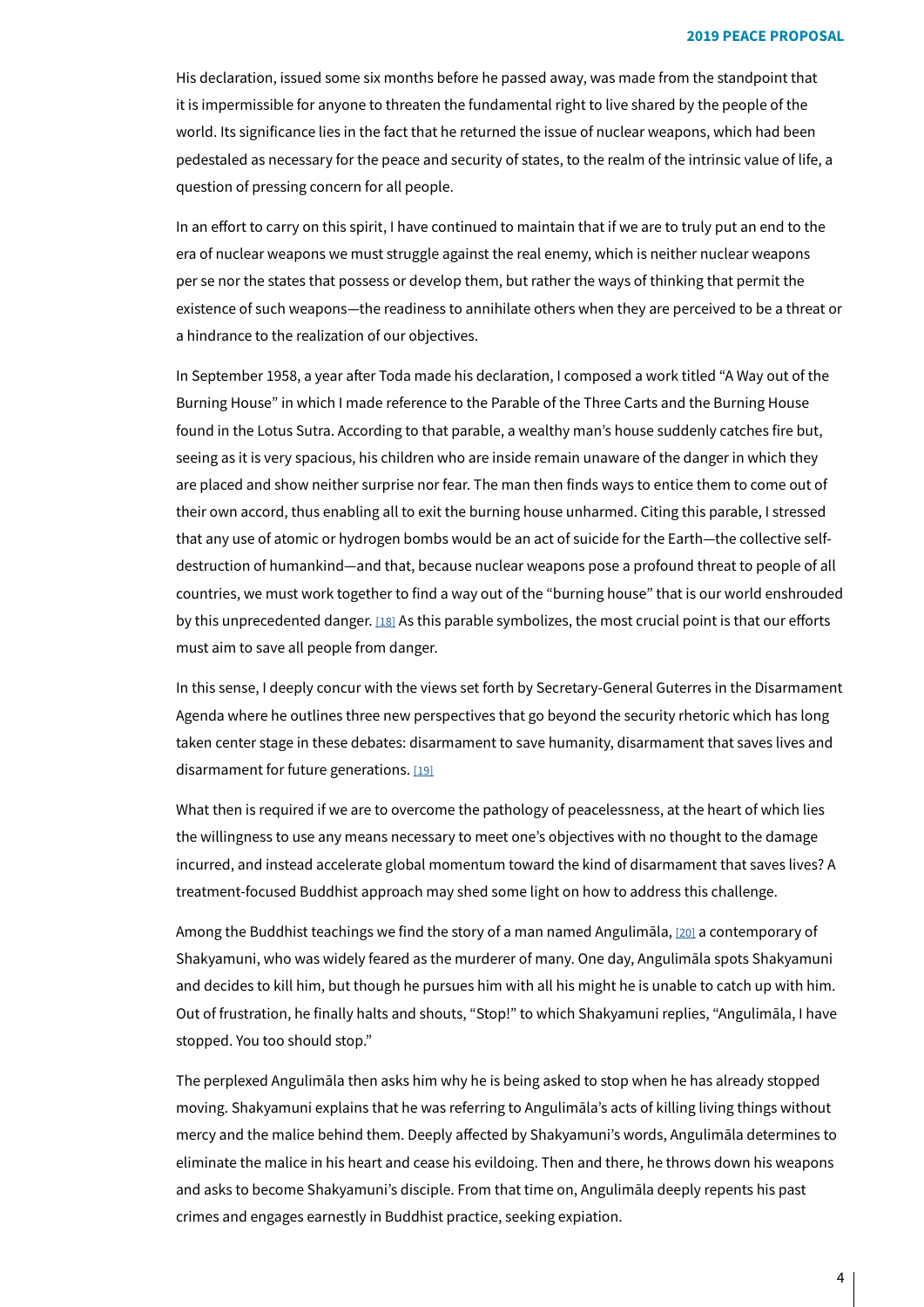His declaration, issued some six months before he passed away, was made from the standpoint that it is impermissible for anyone to threaten the fundamental right to live shared by the people of the world. Its significance lies in the fact that he returned the issue of nuclear weapons, which had been pedestaled as necessary for the peace and security of states, to the realm of the intrinsic value of life, a question of pressing concern for all people.

In an effort to carry on this spirit, I have continued to maintain that if we are to truly put an end to the era of nuclear weapons we must struggle against the real enemy, which is neither nuclear weapons per se nor the states that possess or develop them, but rather the ways of thinking that permit the existence of such weapons—the readiness to annihilate others when they are perceived to be a threat or a hindrance to the realization of our objectives.

<span id="page-3-0"></span>In September 1958, a year after Toda made his declaration, I composed a work titled "A Way out of the Burning House" in which I made reference to the Parable of the Three Carts and the Burning House found in the Lotus Sutra. According to that parable, a wealthy man's house suddenly catches fire but, seeing as it is very spacious, his children who are inside remain unaware of the danger in which they are placed and show neither surprise nor fear. The man then finds ways to entice them to come out of their own accord, thus enabling all to exit the burning house unharmed. Citing this parable, I stressed destruction of humankind—and that, because nuclear weapons pose a profound threat to people of all that any use of atomic or hydrogen bombs would be an act of suicide for the Earth-the collective selfcountries, we must work together to find a way out of the "burning house" that is our world enshrouded by this unprecedented danger. [18] As this parable symbolizes, the most crucial point is that our efforts must aim to save all people from danger.

<span id="page-3-1"></span>In this sense, I deeply concur with the views set forth by Secretary-General Guterres in the Disarmament Agenda where he outlines three new perspectives that go beyond the security rhetoric which has long taken center stage in these debates: disarmament to save humanity, disarmament that saves lives and disarmament for future generations. [19]

What then is required if we are to overcome the pathology of peacelessness, at the heart of which lies the willingness to use any means necessary to meet one's objectives with no thought to the damage incurred, and instead accelerate global momentum toward the kind of disarmament that saves lives? A treatment-focused Buddhist approach may shed some light on how to address this challenge.

<span id="page-3-2"></span>Among the Buddhist teachings we find the story of a man named Angulimāla,  $[20]$  a contemporary of Shakyamuni, who was widely feared as the murderer of many. One day, Angulimāla spots Shakyamuni and decides to kill him, but though he pursues him with all his might he is unable to catch up with him. Out of frustration, he finally halts and shouts, "Stop!" to which Shakyamuni replies, "Angulimāla, I have stopped. You too should stop."

The perplexed Angulimāla then asks him why he is being asked to stop when he has already stopped moving. Shakyamuni explains that he was referring to Angulimāla's acts of killing living things without mercy and the malice behind them. Deeply affected by Shakyamuni's words, Angulimāla determines to eliminate the malice in his heart and cease his evildoing. Then and there, he throws down his weapons and asks to become Shakyamuni's disciple. From that time on, Angulimāla deeply repents his past crimes and engages earnestly in Buddhist practice, seeking expiation.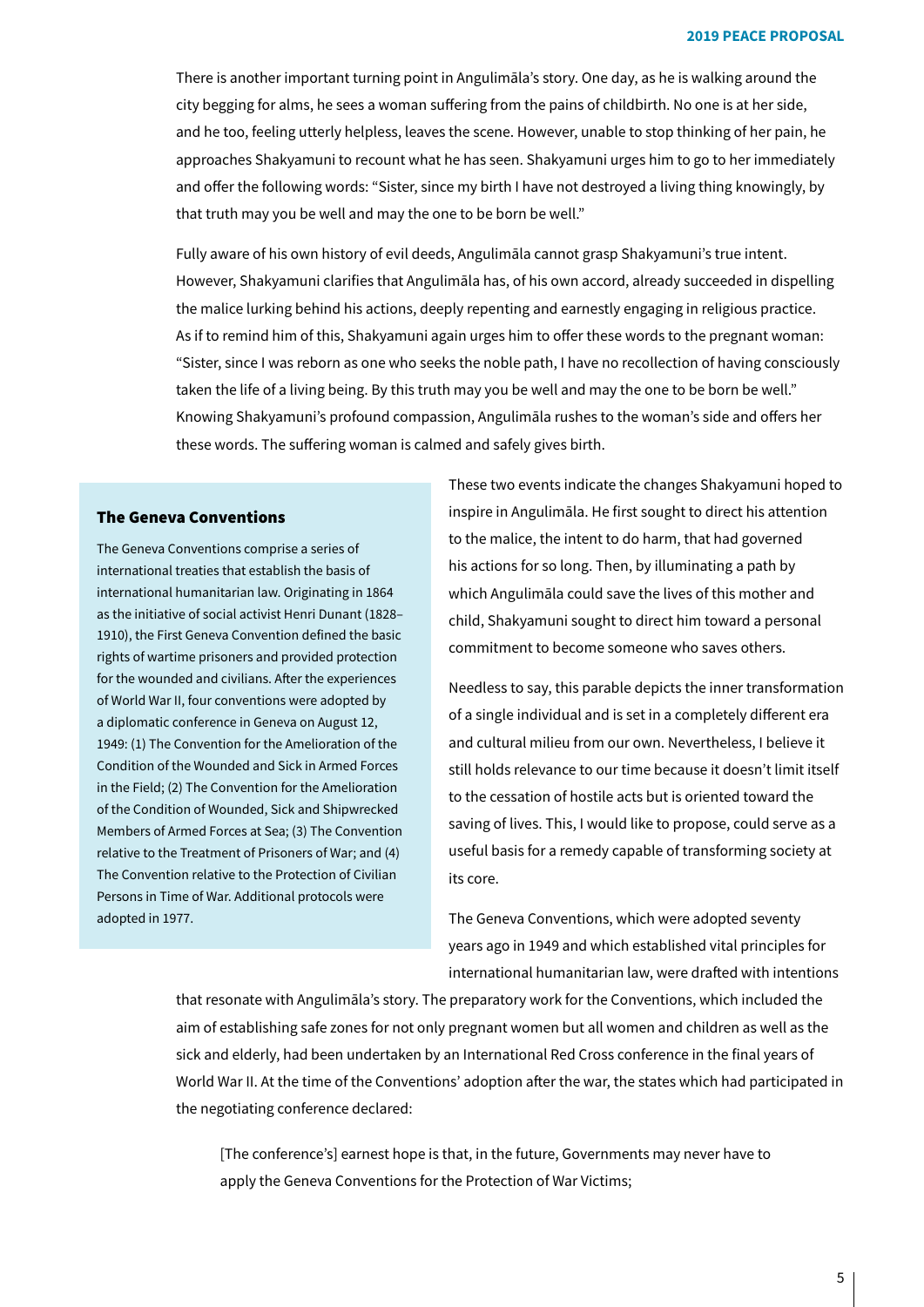There is another important turning point in Angulimāla's story. One day, as he is walking around the city begging for alms, he sees a woman suffering from the pains of childbirth. No one is at her side, and he too, feeling utterly helpless, leaves the scene. However, unable to stop thinking of her pain, he approaches Shakyamuni to recount what he has seen. Shakyamuni urges him to go to her immediately and offer the following words: "Sister, since my birth I have not destroyed a living thing knowingly, by that truth may you be well and may the one to be born be well."

Fully aware of his own history of evil deeds, Angulimāla cannot grasp Shakyamuni's true intent. However, Shakyamuni clarifies that Angulimāla has, of his own accord, already succeeded in dispelling the malice lurking behind his actions, deeply repenting and earnestly engaging in religious practice. As if to remind him of this, Shakyamuni again urges him to offer these words to the pregnant woman: "Sister, since I was reborn as one who seeks the noble path, I have no recollection of having consciously taken the life of a living being. By this truth may you be well and may the one to be born be well." Knowing Shakyamuni's profound compassion, Angulimāla rushes to the woman's side and offers her these words. The suffering woman is calmed and safely gives birth.

## **The Geneva Conventions**

The Geneva Conventions comprise a series of international treaties that establish the basis of international humanitarian law. Originating in 1864 as the initiative of social activist Henri Dunant (1828-1910), the First Geneva Convention defined the basic rights of wartime prisoners and provided protection for the wounded and civilians. After the experiences of World War II, four conventions were adopted by a diplomatic conference in Geneva on August 12, 1949: (1) The Convention for the Amelioration of the Condition of the Wounded and Sick in Armed Forces in the Field; (2) The Convention for the Amelioration of the Condition of Wounded, Sick and Shipwrecked Members of Armed Forces at Sea: (3) The Convention relative to the Treatment of Prisoners of War; and (4) The Convention relative to the Protection of Civilian Persons in Time of War. Additional protocols were adopted in 1977.

These two events indicate the changes Shakyamuni hoped to inspire in Angulimāla. He first sought to direct his attention to the malice, the intent to do harm, that had governed his actions for so long. Then, by illuminating a path by which Angulimāla could save the lives of this mother and child, Shakyamuni sought to direct him toward a personal commitment to become someone who saves others.

Needless to say, this parable depicts the inner transformation of a single individual and is set in a completely different era and cultural milieu from our own. Nevertheless, I believe it still holds relevance to our time because it doesn't limit itself to the cessation of hostile acts but is oriented toward the saving of lives. This, I would like to propose, could serve as a useful basis for a remedy capable of transforming society at its core.

The Geneva Conventions, which were adopted seventy years ago in 1949 and which established vital principles for international humanitarian law, were drafted with intentions

that resonate with Angulimāla's story. The preparatory work for the Conventions, which included the aim of establishing safe zones for not only pregnant women but all women and children as well as the sick and elderly, had been undertaken by an International Red Cross conference in the final years of World War II. At the time of the Conventions' adoption after the war, the states which had participated in the negotiating conference declared:

[The conference's] earnest hope is that, in the future, Governments may never have to apply the Geneva Conventions for the Protection of War Victims;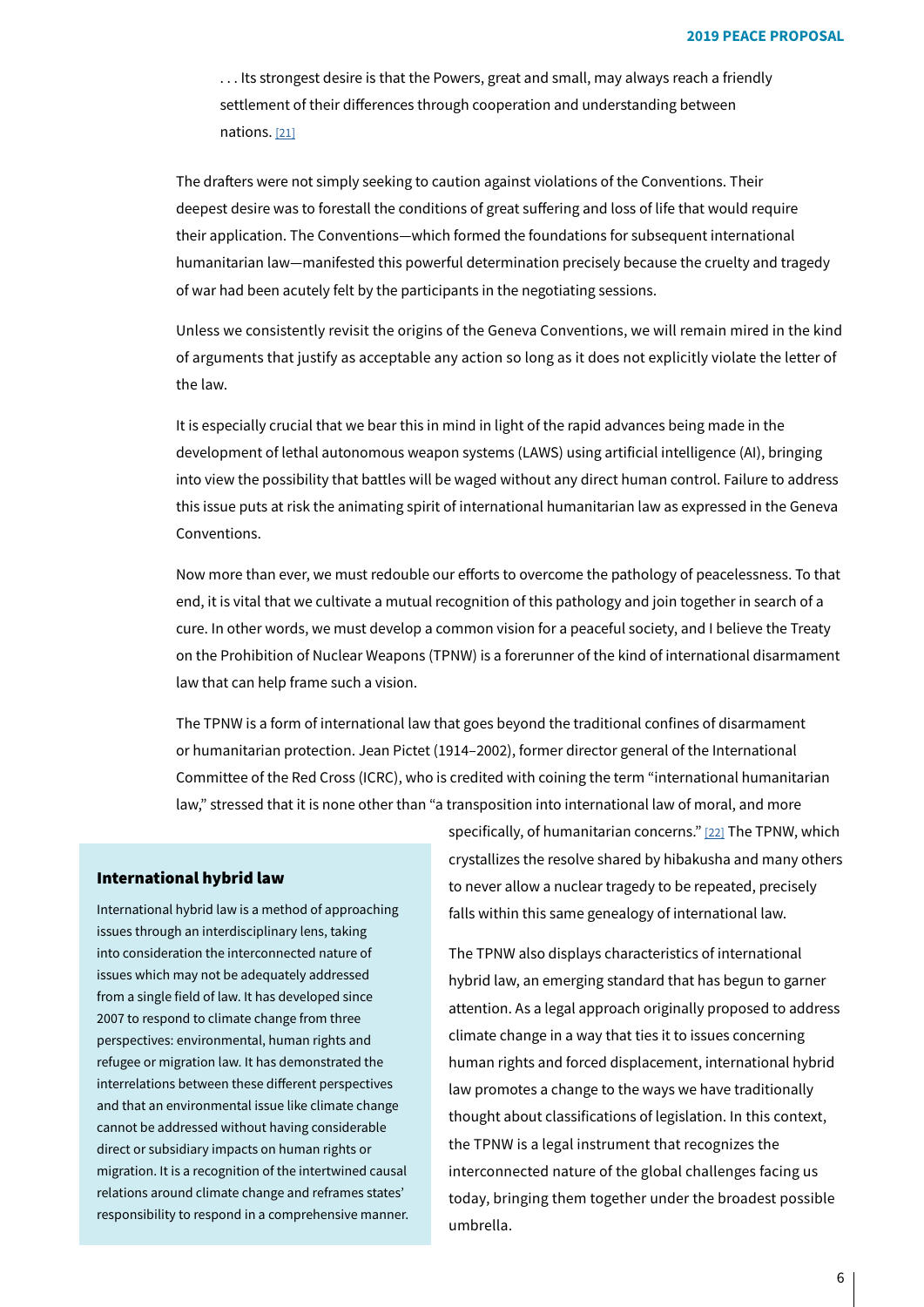<span id="page-5-0"></span>... Its strongest desire is that the Powers, great and small, may always reach a friendly settlement of their differences through cooperation and understanding between nations. [21]

The drafters were not simply seeking to caution against violations of the Conventions. Their deepest desire was to forestall the conditions of great suffering and loss of life that would require their application. The Conventions—which formed the foundations for subsequent international humanitarian law-manifested this powerful determination precisely because the cruelty and tragedy of war had been acutely felt by the participants in the negotiating sessions.

Unless we consistently revisit the origins of the Geneva Conventions, we will remain mired in the kind of arguments that justify as acceptable any action so long as it does not explicitly violate the letter of the law.

It is especially crucial that we bear this in mind in light of the rapid advances being made in the development of lethal autonomous weapon systems (LAWS) using artificial intelligence (AI), bringing into view the possibility that battles will be waged without any direct human control. Failure to address this issue puts at risk the animating spirit of international humanitarian law as expressed in the Geneva .Conventions

Now more than ever, we must redouble our efforts to overcome the pathology of peacelessness. To that end, it is vital that we cultivate a mutual recognition of this pathology and join together in search of a cure. In other words, we must develop a common vision for a peaceful society, and I believe the Treaty on the Prohibition of Nuclear Weapons (TPNW) is a forerunner of the kind of international disarmament law that can help frame such a vision.

<span id="page-5-1"></span>The TPNW is a form of international law that goes beyond the traditional confines of disarmament or humanitarian protection. Jean Pictet (1914-2002), former director general of the International Committee of the Red Cross (ICRC), who is credited with coining the term "international humanitarian law," stressed that it is none other than "a transposition into international law of moral, and more

### International hybrid law

International hybrid law is a method of approaching issues through an interdisciplinary lens, taking into consideration the interconnected nature of issues which may not be adequately addressed from a single field of law. It has developed since 2007 to respond to climate change from three perspectives: environmental, human rights and refugee or migration law. It has demonstrated the interrelations between these different perspectives and that an environmental issue like climate change cannot be addressed without having considerable direct or subsidiary impacts on human rights or migration. It is a recognition of the intertwined causal relations around climate change and reframes states' responsibility to respond in a comprehensive manner.

specifically, of humanitarian concerns." [22] The TPNW, which crystallizes the resolve shared by hibakusha and many others to never allow a nuclear tragedy to be repeated, precisely falls within this same genealogy of international law.

The TPNW also displays characteristics of international hybrid law, an emerging standard that has begun to garner attention. As a legal approach originally proposed to address climate change in a way that ties it to issues concerning human rights and forced displacement, international hybrid law promotes a change to the ways we have traditionally thought about classifications of legislation. In this context, the TPNW is a legal instrument that recognizes the interconnected nature of the global challenges facing us today, bringing them together under the broadest possible .umbrella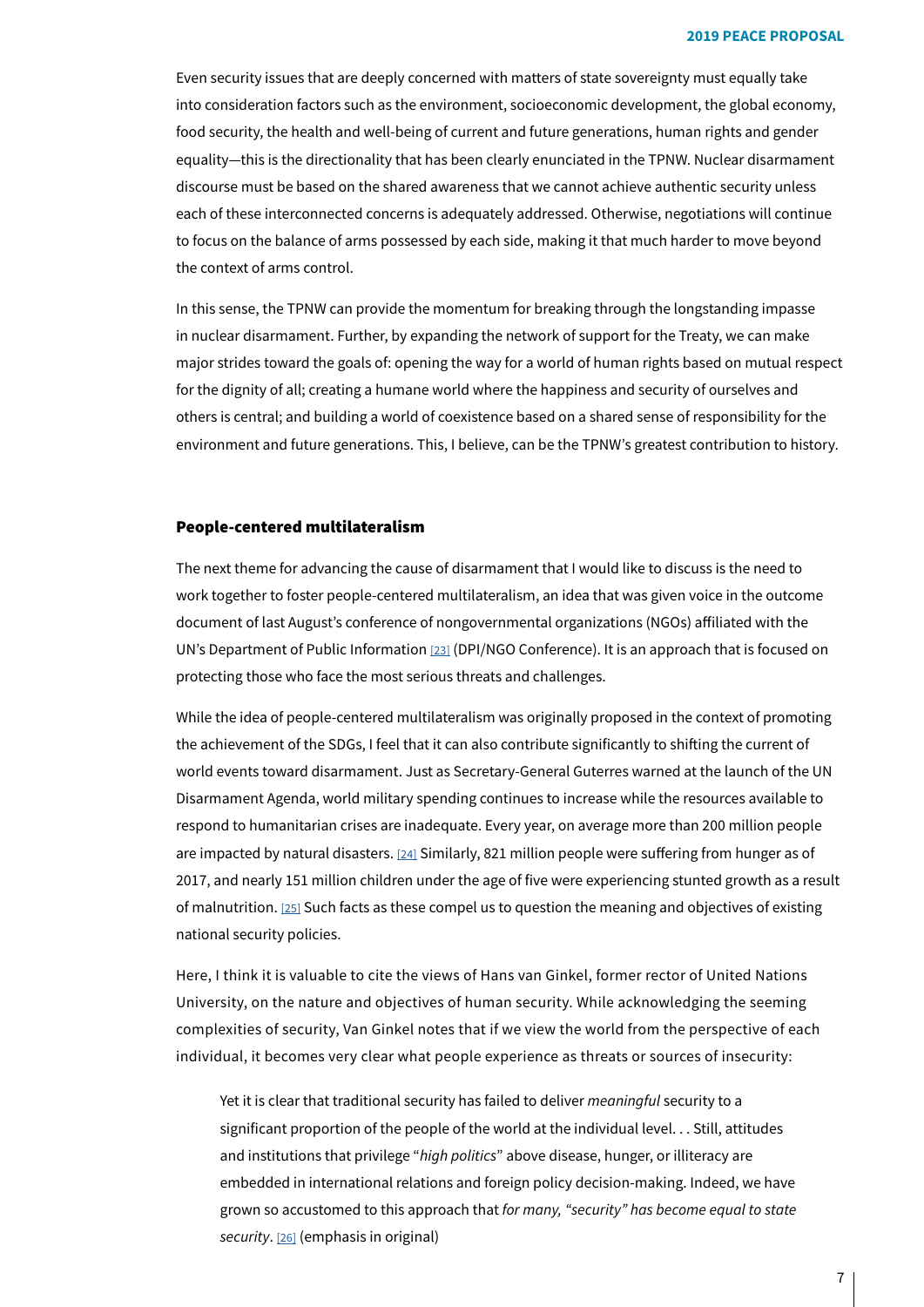Even security issues that are deeply concerned with matters of state sovereignty must equally take into consideration factors such as the environment, socioeconomic development, the global economy, food security, the health and well-being of current and future generations, human rights and gender equality—this is the directionality that has been clearly enunciated in the TPNW. Nuclear disarmament discourse must be based on the shared awareness that we cannot achieve authentic security unless each of these interconnected concerns is adequately addressed. Otherwise, negotiations will continue to focus on the balance of arms possessed by each side, making it that much harder to move beyond the context of arms control.

In this sense, the TPNW can provide the momentum for breaking through the longstanding impasse in nuclear disarmament. Further, by expanding the network of support for the Treaty, we can make major strides toward the goals of: opening the way for a world of human rights based on mutual respect for the dignity of all; creating a humane world where the happiness and security of ourselves and others is central; and building a world of coexistence based on a shared sense of responsibility for the environment and future generations. This, I believe, can be the TPNW's greatest contribution to history.

#### People-centered multilateralism

<span id="page-6-0"></span>The next theme for advancing the cause of disarmament that I would like to discuss is the need to work together to foster people-centered multilateralism, an idea that was given voice in the outcome document of last August's conference of nongovernmental organizations (NGOs) affiliated with the UN's Department of Public Information [23[\]](#page-29-14) (DPI/NGO Conference). It is an approach that is focused on protecting those who face the most serious threats and challenges.

<span id="page-6-1"></span>While the idea of people-centered multilateralism was originally proposed in the context of promoting the achievement of the SDGs, I feel that it can also contribute significantly to shifting the current of world events toward disarmament. Just as Secretary-General Guterres warned at the launch of the UN Disarmament Agenda, world military spending continues to increase while the resources available to respond to humanitarian crises are inadequate. Every year, on average more than 200 million people are impacted by natural disasters. [24] Similarly, 821 million people were suffering from hunger as of 2017, and nearly 151 million children under the age of five were experiencing stunted growth as a result of malnutrition. [25] Such facts as these compel us to question the meaning and objectives of existing national security policies.

Here, I think it is valuable to cite the views of Hans van Ginkel, former rector of United Nations University, on the nature and objectives of human security. While acknowledging the seeming complexities of security, Van Ginkel notes that if we view the world from the perspective of each individual, it becomes very clear what people experience as threats or sources of insecurity:

<span id="page-6-3"></span>Yet it is clear that traditional security has failed to deliver *meaningful* security to a significant proportion of the people of the world at the individual level... Still, attitudes and institutions that privilege "*high politics*" above disease, hunger, or illiteracy are embedded in international relations and foreign policy decision-making. Indeed, we have grown so accustomed to this approach that for many, "security" has become equal to state security. [26[\]](#page-29-17) (emphasis in original)

<span id="page-6-2"></span>7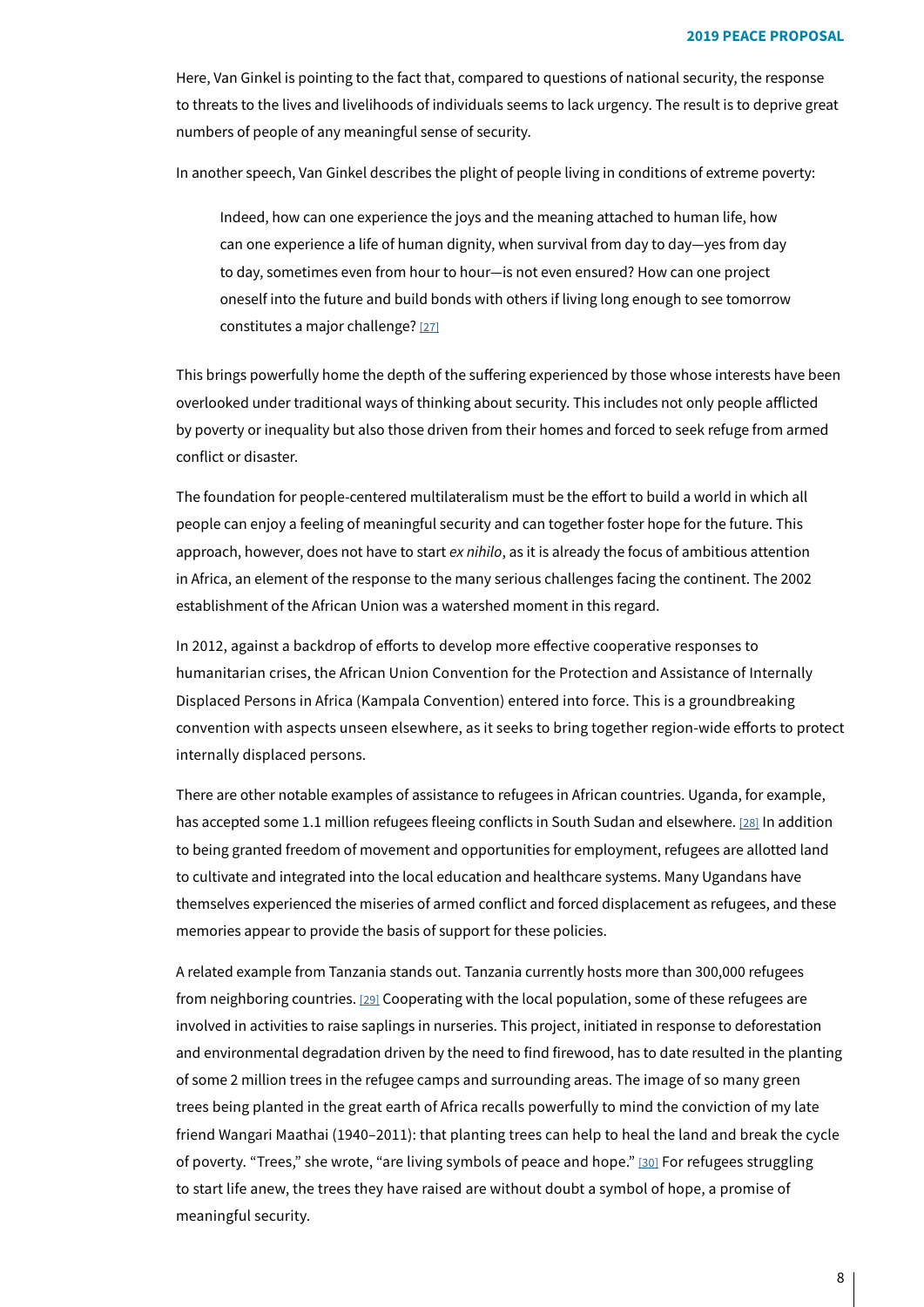Here, Van Ginkel is pointing to the fact that, compared to questions of national security, the response to threats to the lives and livelihoods of individuals seems to lack urgency. The result is to deprive great numbers of people of any meaningful sense of security.

In another speech, Van Ginkel describes the plight of people living in conditions of extreme poverty:

<span id="page-7-0"></span>Indeed, how can one experience the joys and the meaning attached to human life, how can one experience a life of human dignity, when survival from day to day-yes from day to day, sometimes even from hour to hour-is not even ensured? How can one project oneself into the future and build bonds with others if living long enough to see tomorrow constitutes a major challenge? [\[27\]](#page-29-18)

This brings powerfully home the depth of the suffering experienced by those whose interests have been overlooked under traditional ways of thinking about security. This includes not only people afflicted by poverty or inequality but also those driven from their homes and forced to seek refuge from armed conflict or disaster.

The foundation for people-centered multilateralism must be the effort to build a world in which all people can enjoy a feeling of meaningful security and can together foster hope for the future. This approach, however, does not have to start ex nihilo, as it is already the focus of ambitious attention in Africa, an element of the response to the many serious challenges facing the continent. The 2002 establishment of the African Union was a watershed moment in this regard.

In 2012, against a backdrop of efforts to develop more effective cooperative responses to humanitarian crises, the African Union Convention for the Protection and Assistance of Internally Displaced Persons in Africa (Kampala Convention) entered into force. This is a groundbreaking convention with aspects unseen elsewhere, as it seeks to bring together region-wide efforts to protect internally displaced persons.

<span id="page-7-1"></span>There are other notable examples of assistance to refugees in African countries. Uganda, for example, has accepted some 1.1 million refugees fleeing conflicts in South Sudan and elsewhere. [28[\]](#page-29-19) In addition to being granted freedom of movement and opportunities for employment, refugees are allotted land to cultivate and integrated into the local education and healthcare systems. Many Ugandans have themselves experienced the miseries of armed conflict and forced displacement as refugees, and these memories appear to provide the basis of support for these policies.

<span id="page-7-3"></span><span id="page-7-2"></span>A related example from Tanzania stands out. Tanzania currently hosts more than 300,000 refugees from neighboring countries. [29] Cooperating with the local population, some of these refugees are involved in activities to raise saplings in nurseries. This project, initiated in response to deforestation and environmental degradation driven by the need to find firewood, has to date resulted in the planting of some 2 million trees in the refugee camps and surrounding areas. The image of so many green trees being planted in the great earth of Africa recalls powerfully to mind the conviction of my late friend Wangari Maathai (1940-2011): that planting trees can help to heal the land and break the cycle of poverty. "Trees," she wrote, "are living symbols of peace and hope." [30] For refugees struggling to start life anew, the trees they have raised are without doubt a symbol of hope, a promise of meaningful security.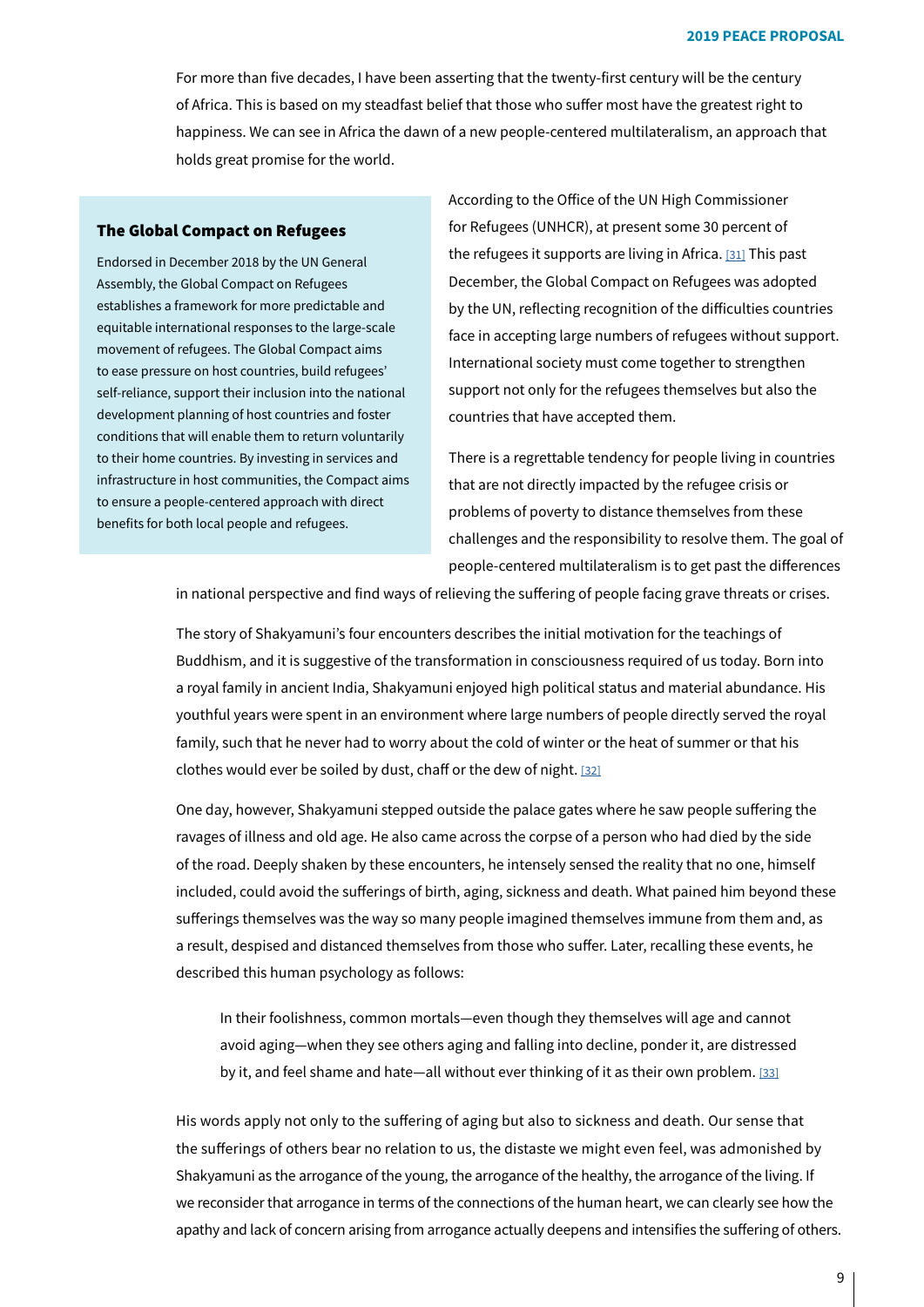For more than five decades, I have been asserting that the twenty-first century will be the century of Africa. This is based on my steadfast belief that those who suffer most have the greatest right to happiness. We can see in Africa the dawn of a new people-centered multilateralism, an approach that holds great promise for the world.

## The Global Compact on Refugees

Endorsed in December 2018 by the UN General Assembly, the Global Compact on Refugees establishes a framework for more predictable and equitable international responses to the large-scale movement of refugees. The Global Compact aims to ease pressure on host countries, build refugees' self-reliance, support their inclusion into the national development planning of host countries and foster conditions that will enable them to return voluntarily to their home countries. By investing in services and infrastructure in host communities, the Compact aims to ensure a people-centered approach with direct benefits for both local people and refugees.

<span id="page-8-0"></span>According to the Office of the UN High Commissioner for Refugees (UNHCR), at present some 30 percent of the refugees it supports are living in Africa.  $[31]$  $[31]$  This past December, the Global Compact on Refugees was adopted by the UN, reflecting recognition of the difficulties countries face in accepting large numbers of refugees without support. International society must come together to strengthen support not only for the refugees the mselves but also the countries that have accepted them.

There is a regrettable tendency for people living in countries that are not directly impacted by the refugee crisis or problems of poverty to distance themselves from these challenges and the responsibility to resolve them. The goal of people-centered multilateralism is to get past the differences

in national perspective and find ways of relieving the suffering of people facing grave threats or crises.

<span id="page-8-1"></span>The story of Shakyamuni's four encounters describes the initial motivation for the teachings of Buddhism, and it is suggestive of the transformation in consciousness required of us today. Born into a royal family in ancient India, Shakyamuni enjoyed high political status and material abundance. His youthful years were spent in an environment where large numbers of people directly served the royal family, such that he never had to worry about the cold of winter or the heat of summer or that his clothes would ever be soiled by dust, chaff or the dew of night. [\[32\]](#page-29-23)

One day, however, Shakyamuni stepped outside the palace gates where he saw people suffering the ravages of illness and old age. He also came across the corpse of a person who had died by the side of the road. Deeply shaken by these encounters, he intensely sensed the reality that no one, himself included, could avoid the sufferings of birth, aging, sickness and death. What pained him beyond these sufferings themselves was the way so many people imagined themselves immune from them and, as a result, despised and distanced themselves from those who suffer. Later, recalling these events, he described this human psychology as follows:

<span id="page-8-2"></span>In their foolishness, common mortals—even though they themselves will age and cannot avoid aging—when they see others aging and falling into decline, ponder it, are distressed by it, and feel shame and hate—all without ever thinking of it as their own problem. [\[33\]](#page-29-24)

His words apply not only to the suffering of aging but also to sickness and death. Our sense that the sufferings of others bear no relation to us, the distaste we might even feel, was admonished by Shakyamuni as the arrogance of the young, the arrogance of the healthy, the arrogance of the living. If we reconsider that arrogance in terms of the connections of the human heart, we can clearly see how the apathy and lack of concern arising from arrogance actually deepens and intensifies the suffering of others.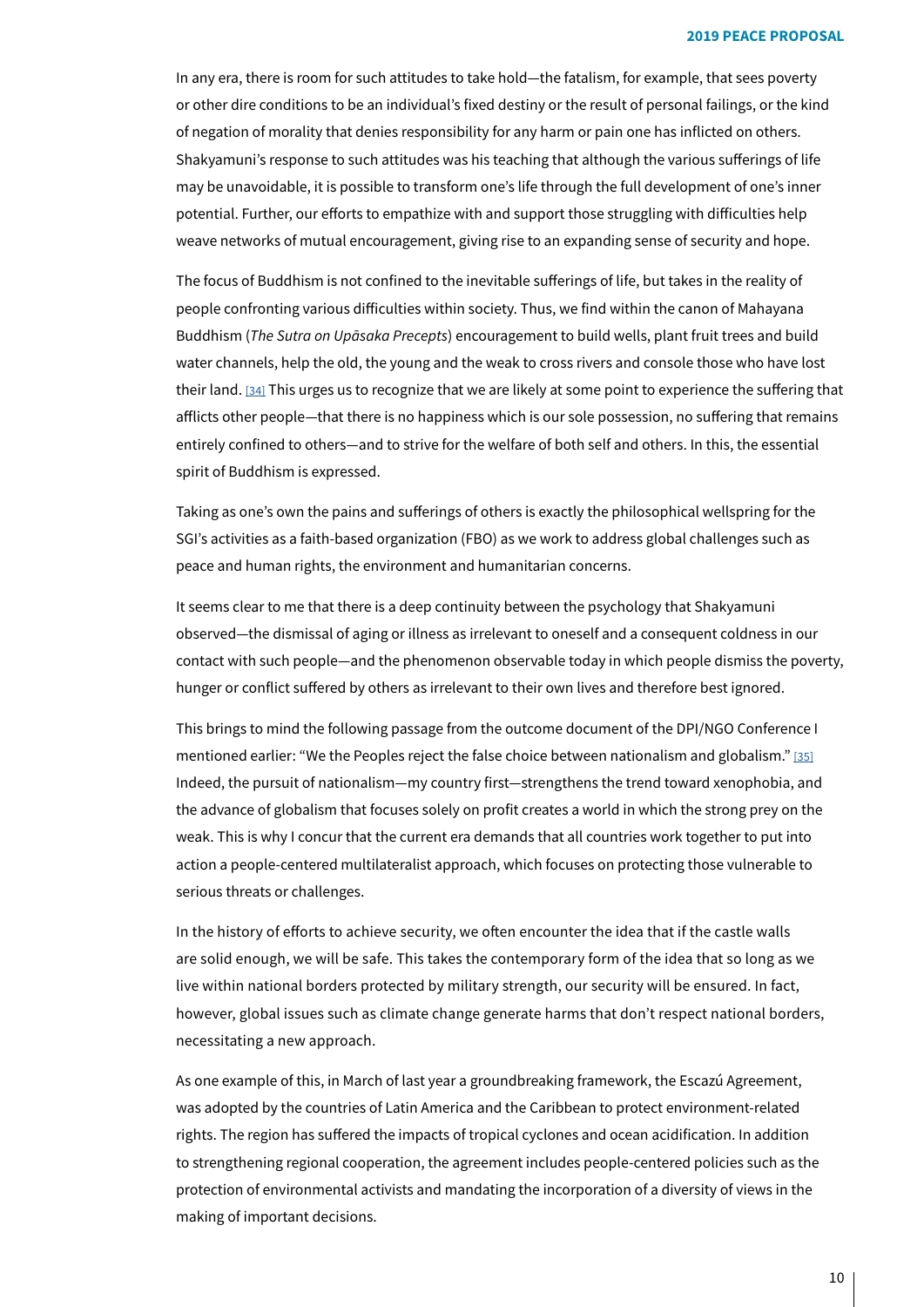In any era, there is room for such attitudes to take hold—the fatalism, for example, that sees poverty or other dire conditions to be an individual's fixed destiny or the result of personal failings, or the kind of negation of morality that denies responsibility for any harm or pain one has inflicted on others. Shakyamuni's response to such attitudes was his teaching that although the various sufferings of life may be unavoidable, it is possible to transform one's life through the full development of one's inner potential. Further, our efforts to empathize with and support those struggling with difficulties help weave networks of mutual encouragement, giving rise to an expanding sense of security and hope.

<span id="page-9-0"></span>The focus of Buddhism is not confined to the inevitable sufferings of life, but takes in the reality of people confronting various difficulties within society. Thus, we find within the canon of Mahayana Buddhism (*The Sutra on Upāsaka Precepts*) encouragement to build wells, plant fruit trees and build water channels, help the old, the young and the weak to cross rivers and console those who have lost their land. [34] This urges us to recognize that we are likely at some point to experience the suffering that afflicts other people—that there is no happiness which is our sole possession, no suffering that remains entirely confined to others—and to strive for the welfare of both self and others. In this, the essential spirit of Buddhism is expressed.

Taking as one's own the pains and sufferings of others is exactly the philosophical wellspring for the SGI's activities as a faith-based organization (FBO) as we work to address global challenges such as peace and human rights, the environment and humanitarian concerns.

It seems clear to me that there is a deep continuity between the psychology that Shakyamuni observed—the dismissal of aging or illness as irrelevant to oneself and a consequent coldness in our contact with such people—and the phenomenon observable today in which people dismiss the poverty, hunger or conflict suffered by others as irrelevant to their own lives and therefore best ignored.

<span id="page-9-1"></span>This brings to mind the following passage from the outcome document of the DPI/NGO Conference I mentioned earlier: "We the Peoples reject the false choice between nationalism and globalism." [\[35\]](#page-29-26) Indeed, the pursuit of nationalism—my country first—strengthens the trend toward xenophobia, and the advance of globalism that focuses solely on profit creates a world in which the strong prey on the weak. This is why I concur that the current era demands that all countries work together to put into action a people-centered multilateralist approach, which focuses on protecting those vulnerable to serious threats or challenges.

In the history of efforts to achieve security, we often encounter the idea that if the castle walls are solid enough, we will be safe. This takes the contemporary form of the idea that so long as we live within national borders protected by military strength, our security will be ensured. In fact, however, global issues such as climate change generate harms that don't respect national borders, necessitating a new approach.

As one example of this, in March of last vear a groundbreaking framework, the Escazú Agreement, was adopted by the countries of Latin America and the Caribbean to protect environment-related rights. The region has suffered the impacts of tropical cyclones and ocean acidification. In addition to strengthening regional cooperation, the agreement includes people-centered policies such as the protection of environmental activists and mandating the incorporation of a diversity of views in the making of important decisions.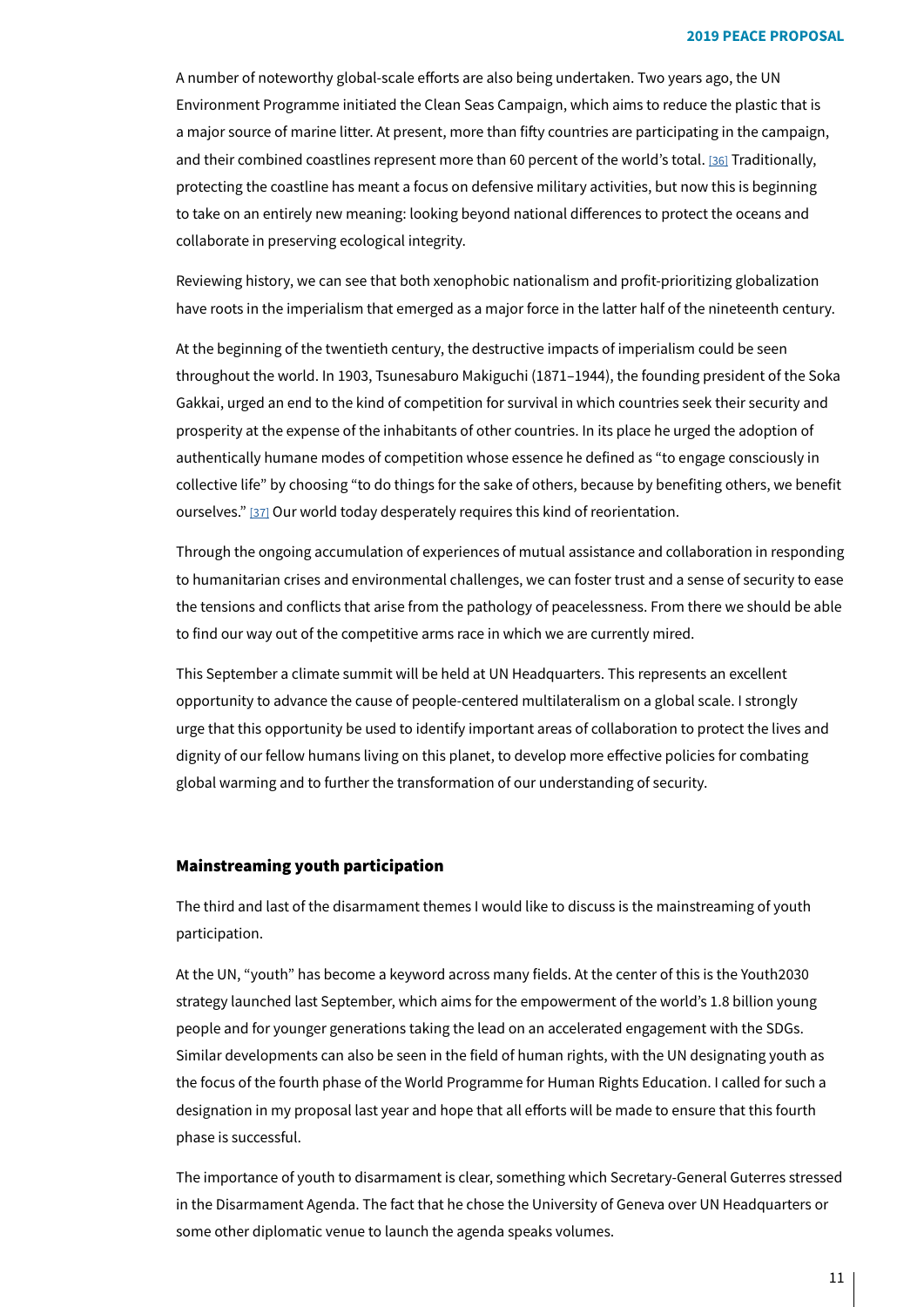<span id="page-10-0"></span>A number of noteworthy global-scale efforts are also being undertaken. Two years ago, the UN Environment Programme initiated the Clean Seas Campaign, which aims to reduce the plastic that is a major source of marine litter. At present, more than fifty countries are participating in the campaign, and their combined coastlines represent more than 60 percent of the world's total. [36[\]](#page-29-27) Traditionally, protecting the coastline has meant a focus on defensive military activities, but now this is beginning to take on an entirely new meaning: looking beyond national differences to protect the oceans and collaborate in preserving ecological integrity.

Reviewing history, we can see that both xenophobic nationalism and profit-prioritizing globalization have roots in the imperialism that emerged as a major force in the latter half of the nineteenth century.

<span id="page-10-1"></span>At the beginning of the twentieth century, the destructive impacts of imperialism could be seen throughout the world. In 1903, Tsunesaburo Makiguchi (1871-1944), the founding president of the Soka Gakkai, urged an end to the kind of competition for survival in which countries seek their security and prosperity at the expense of the inhabitants of other countries. In its place he urged the adoption of authentically humane modes of competition whose essence he defined as "to engage consciously in collective life" by choosing "to do things for the sake of others, because by benefiting others, we benefit ourselves." [37] Our world today desperately requires this kind of reorientation.

Through the ongoing accumulation of experiences of mutual assistance and collaboration in responding to humanitarian crises and environmental challenges, we can foster trust and a sense of security to ease the tensions and conflicts that arise from the pathology of peacelessness. From there we should be able to find our way out of the competitive arms race in which we are currently mired.

This September a climate summit will be held at UN Headquarters. This represents an excellent opportunity to advance the cause of people-centered multilateralism on a global scale. I strongly urge that this opportunity be used to identify important areas of collaboration to protect the lives and dignity of our fellow humans living on this planet, to develop more effective policies for combating global warming and to further the transformation of our understanding of security.

### Mainstreaming youth participation

The third and last of the disarmament themes I would like to discuss is the mainstreaming of youth .participation

At the UN, "youth" has become a keyword across many fields. At the center of this is the Youth 2030 strategy launched last September, which aims for the empowerment of the world's 1.8 billion young people and for younger generations taking the lead on an accelerated engagement with the SDGs. Similar developments can also be seen in the field of human rights, with the UN designating youth as the focus of the fourth phase of the World Programme for Human Rights Education. I called for such a designation in my proposal last year and hope that all efforts will be made to ensure that this fourth phase is successful.

The importance of youth to disarmament is clear, something which Secretary-General Guterres stressed in the Disarmament Agenda. The fact that he chose the University of Geneva over UN Headquarters or some other diplomatic venue to launch the agenda speaks volumes.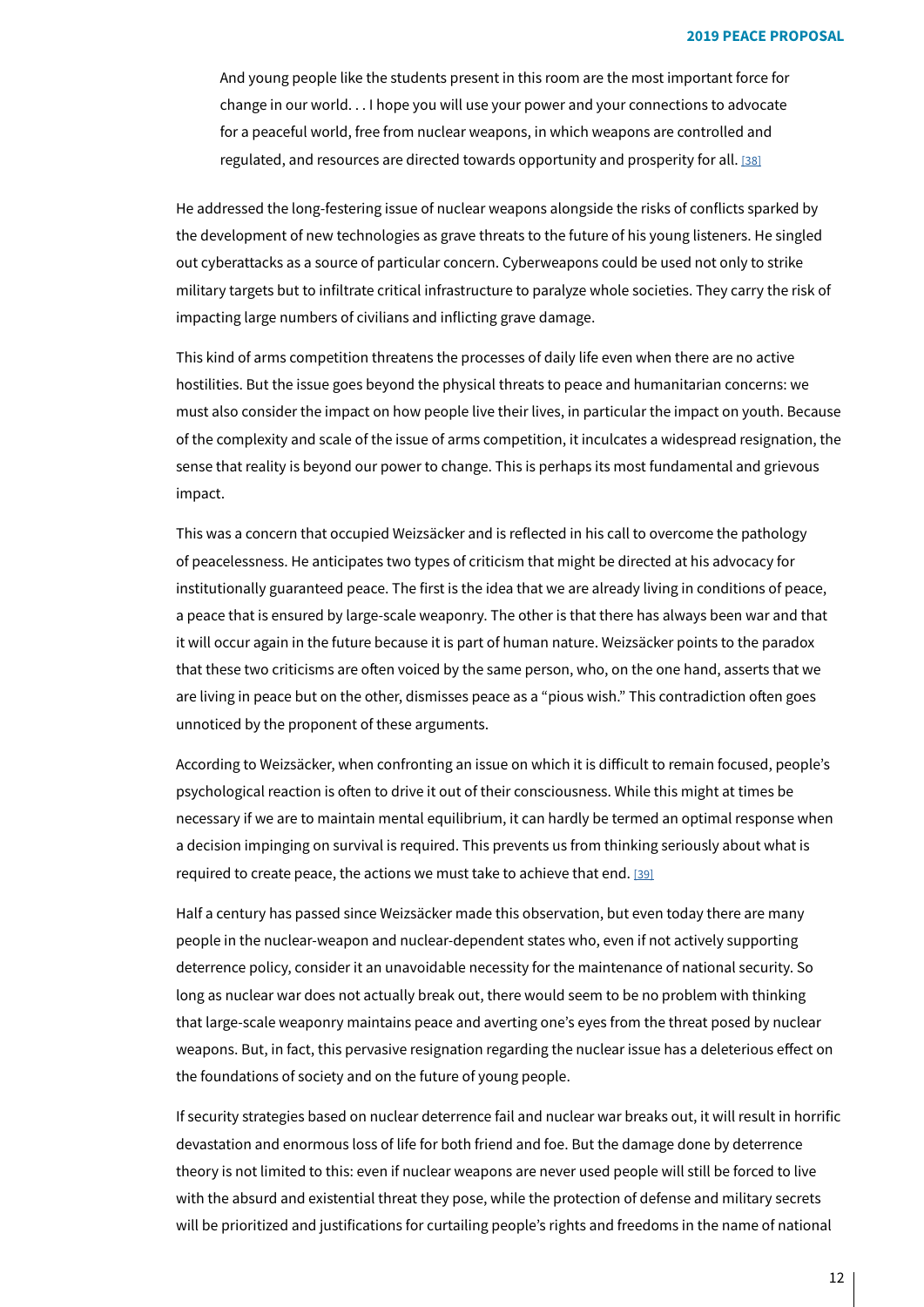<span id="page-11-0"></span>And young people like the students present in this room are the most important force for change in our world. . . I hope you will use your power and your connections to advocate for a peaceful world, free from nuclear weapons, in which weapons are controlled and regulated, and resources are directed towards opportunity and prosperity for all. [\[38\]](#page-29-29)

He addressed the long-festering issue of nuclear weapons alongside the risks of conflicts sparked by the development of new technologies as grave threats to the future of his young listeners. He singled out cyberattacks as a source of particular concern. Cyberweapons could be used not only to strike military targets but to infiltrate critical infrastructure to paralyze whole societies. They carry the risk of impacting large numbers of civilians and inflicting grave damage.

This kind of arms competition threatens the processes of daily life even when there are no active hostilities. But the issue goes beyond the physical threats to peace and humanitarian concerns: we must also consider the impact on how people live their lives, in particular the impact on youth. Because of the complexity and scale of the issue of arms competition, it inculcates a widespread resignation, the sense that reality is beyond our power to change. This is perhaps its most fundamental and grievous impact.

This was a concern that occupied Weizsäcker and is reflected in his call to overcome the pathology of peacelessness. He anticipates two types of criticism that might be directed at his advocacy for institutionally guaranteed peace. The first is the idea that we are already living in conditions of peace, a peace that is ensured by large-scale weaponry. The other is that there has always been war and that it will occur again in the future because it is part of human nature. Weizsäcker points to the paradox that these two criticisms are often voiced by the same person, who, on the one hand, asserts that we are living in peace but on the other, dismisses peace as a "pious wish." This contradiction often goes unnoticed by the proponent of these arguments.

According to Weizsäcker, when confronting an issue on which it is difficult to remain focused, people's psychological reaction is often to drive it out of their consciousness. While this might at times be necessary if we are to maintain mental equilibrium, it can hardly be termed an optimal response when a decision impinging on survival is required. This prevents us from thinking seriously about what is required to create peace, the actions we must take to achieve that end. [\[39\]](#page-29-30)

<span id="page-11-1"></span>Half a century has passed since Weizsäcker made this observation, but even today there are many people in the nuclear-weapon and nuclear-dependent states who, even if not actively supporting deterrence policy, consider it an unavoidable necessity for the maintenance of national security. So long as nuclear war does not actually break out, there would seem to be no problem with thinking that large-scale weaponry maintains peace and averting one's eyes from the threat posed by nuclear weapons. But, in fact, this pervasive resignation regarding the nuclear issue has a deleterious effect on the foundations of society and on the future of young people.

If security strategies based on nuclear deterrence fail and nuclear war breaks out, it will result in horrific devastation and enormous loss of life for both friend and foe. But the damage done by deterrence theory is not limited to this: even if nuclear weapons are never used people will still be forced to live with the absurd and existential threat they pose, while the protection of defense and military secrets will be prioritized and justifications for curtailing people's rights and freedoms in the name of national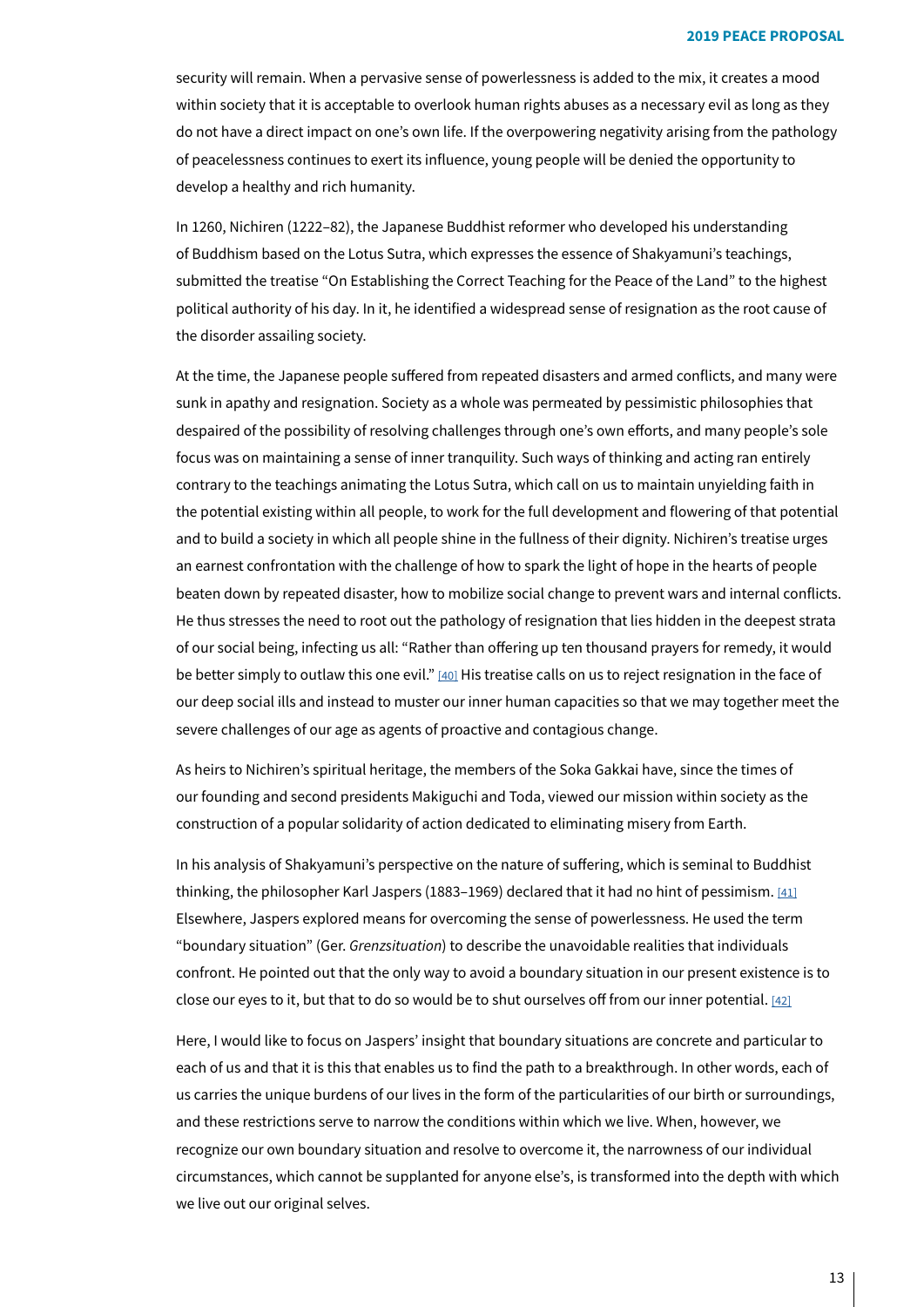security will remain. When a pervasive sense of powerlessness is added to the mix, it creates a mood within society that it is acceptable to overlook human rights abuses as a necessary evil as long as they do not have a direct impact on one's own life. If the overpowering negativity arising from the pathology of peacelessness continues to exert its influence, young people will be denied the opportunity to develop a healthy and rich humanity.

In 1260, Nichiren (1222-82), the Japanese Buddhist reformer who developed his understanding of Buddhism based on the Lotus Sutra, which expresses the essence of Shakyamuni's teachings, submitted the treatise "On Establishing the Correct Teaching for the Peace of the Land" to the highest political authority of his day. In it, he identified a widespread sense of resignation as the root cause of the disorder assailing society.

At the time, the Japanese people suffered from repeated disasters and armed conflicts, and many were sunk in apathy and resignation. Society as a whole was permeated by pessimistic philosophies that despaired of the possibility of resolving challenges through one's own efforts, and many people's sole focus was on maintaining a sense of inner tranquility. Such ways of thinking and acting ran entirely contrary to the teachings animating the Lotus Sutra, which call on us to maintain unyielding faith in the potential existing within all people, to work for the full development and flowering of that potential and to build a society in which all people shine in the fullness of their dignity. Nichiren's treatise urges an earnest confrontation with the challenge of how to spark the light of hope in the hearts of people beaten down by repeated disaster, how to mobilize social change to prevent wars and internal conflicts. He thus stresses the need to root out the pathology of resignation that lies hidden in the deepest strata of our social being, infecting us all: "Rather than offering up ten thousand prayers for remedy, it would be better simply to outlaw this one evil."  $[40]$  $[40]$  His treatise calls on us to reject resignation in the face of our deep social ills and instead to muster our inner human capacities so that we may together meet the severe challenges of our age as agents of proactive and contagious change.

<span id="page-12-0"></span>As heirs to Nichiren's spiritual heritage, the members of the Soka Gakkai have, since the times of our founding and second presidents Makiguchi and Toda, viewed our mission within society as the construction of a popular solidarity of action dedicated to eliminating misery from Earth.

<span id="page-12-1"></span>In his analysis of Shakyamuni's perspective on the nature of suffering, which is seminal to Buddhist thinking, the philosopher Karl Jaspers (1883-1969) declared that it had no hint of pessimism. [\[41\]](#page-29-32) Elsewhere, Jaspers explored means for overcoming the sense of powerlessness. He used the term "boundary situation" (Ger. Grenzsituation) to describe the unavoidable realities that individuals confront. He pointed out that the only way to avoid a boundary situation in our present existence is to close our eyes to it, but that to do so would be to shut ourselves off from our inner potential. [\[42\]](#page-29-33)

<span id="page-12-2"></span>Here, I would like to focus on Jaspers' insight that boundary situations are concrete and particular to each of us and that it is this that enables us to find the path to a breakthrough. In other words, each of us carries the unique burdens of our lives in the form of the particularities of our birth or surroundings, and these restrictions serve to narrow the conditions within which we live. When, however, we recognize our own boundary situation and resolve to overcome it, the narrowness of our individual circumstances, which cannot be supplanted for anyone else's, is transformed into the depth with which we live out our original selves.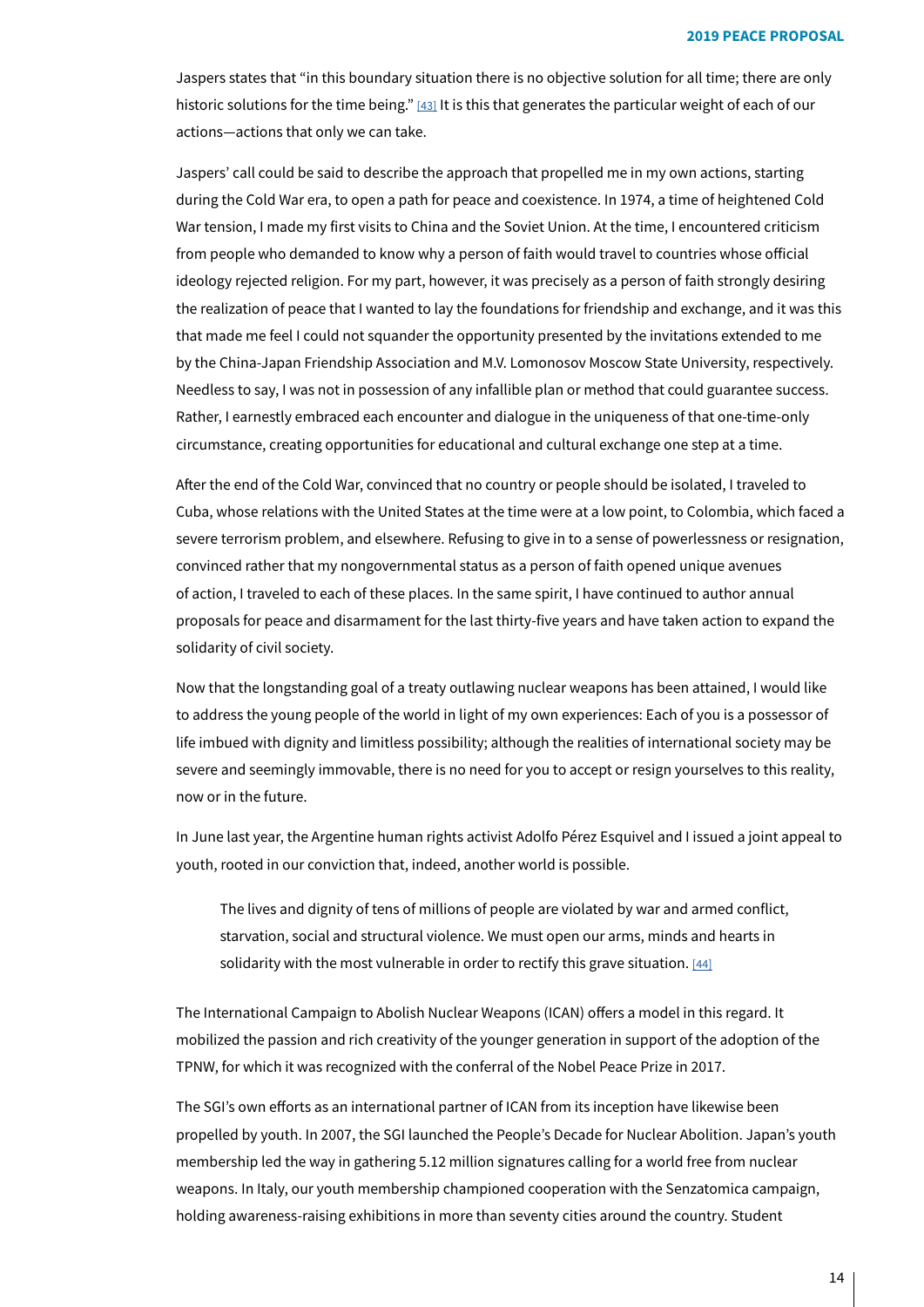<span id="page-13-0"></span>Jaspers states that "in this boundary situation there is no objective solution for all time; there are only historic solutions for the time being." [43[\]](#page-29-34) It is this that generates the particular weight of each of our actions—actions that only we can take.

Jaspers' call could be said to describe the approach that propelled me in my own actions, starting during the Cold War era, to open a path for peace and coexistence. In 1974, a time of heightened Cold War tension, I made my first visits to China and the Soviet Union. At the time, I encountered criticism from people who demanded to know why a person of faith would travel to countries whose official ideology rejected religion. For my part, however, it was precisely as a person of faith strongly desiring the realization of peace that I wanted to lay the foundations for friendship and exchange, and it was this that made me feel I could not squander the opportunity presented by the invitations extended to me by the China-Japan Friendship Association and M.V. Lomonosov Moscow State University, respectively. Needless to say, I was not in possession of any infallible plan or method that could guarantee success. Rather, I earnestly embraced each encounter and dialogue in the uniqueness of that one-time-only circumstance, creating opportunities for educational and cultural exchange one step at a time.

After the end of the Cold War, convinced that no country or people should be isolated, I traveled to Cuba, whose relations with the United States at the time were at a low point, to Colombia, which faced a severe terrorism problem, and elsewhere. Refusing to give in to a sense of powerlessness or resignation, convinced rather that my nongovernmental status as a person of faith opened unique avenues of action, I traveled to each of these places. In the same spirit, I have continued to author annual proposals for peace and disarmament for the last thirty-five years and have taken action to expand the solidarity of civil society.

Now that the longstanding goal of a treaty outlawing nuclear weapons has been attained, I would like to address the young people of the world in light of my own experiences: Each of you is a possessor of life imbued with dignity and limitless possibility; although the realities of international society may be severe and seemingly immovable, there is no need for you to accept or resign yourselves to this reality, now or in the future.

In June last year, the Argentine human rights activist Adolfo Pérez Esquivel and I issued a joint appeal to youth, rooted in our conviction that, indeed, another world is possible.

<span id="page-13-1"></span>The lives and dignity of tens of millions of people are violated by war and armed conflict, starvation, social and structural violence. We must open our arms, minds and hearts in solidarity with the most vulnerable in order to rectify this grave situation. [\[44\]](#page-29-35)

The International Campaign to Abolish Nuclear Weapons (ICAN) offers a model in this regard. It mobilized the passion and rich creativity of the younger generation in support of the adoption of the TPNW, for which it was recognized with the conferral of the Nobel Peace Prize in 2017.

The SGI's own efforts as an international partner of ICAN from its inception have likewise been propelled by youth. In 2007, the SGI launched the People's Decade for Nuclear Abolition. Japan's youth membership led the way in gathering 5.12 million signatures calling for a world free from nuclear weapons. In Italy, our youth membership championed cooperation with the Senzatomica campaign, holding awareness-raising exhibitions in more than seventy cities around the country. Student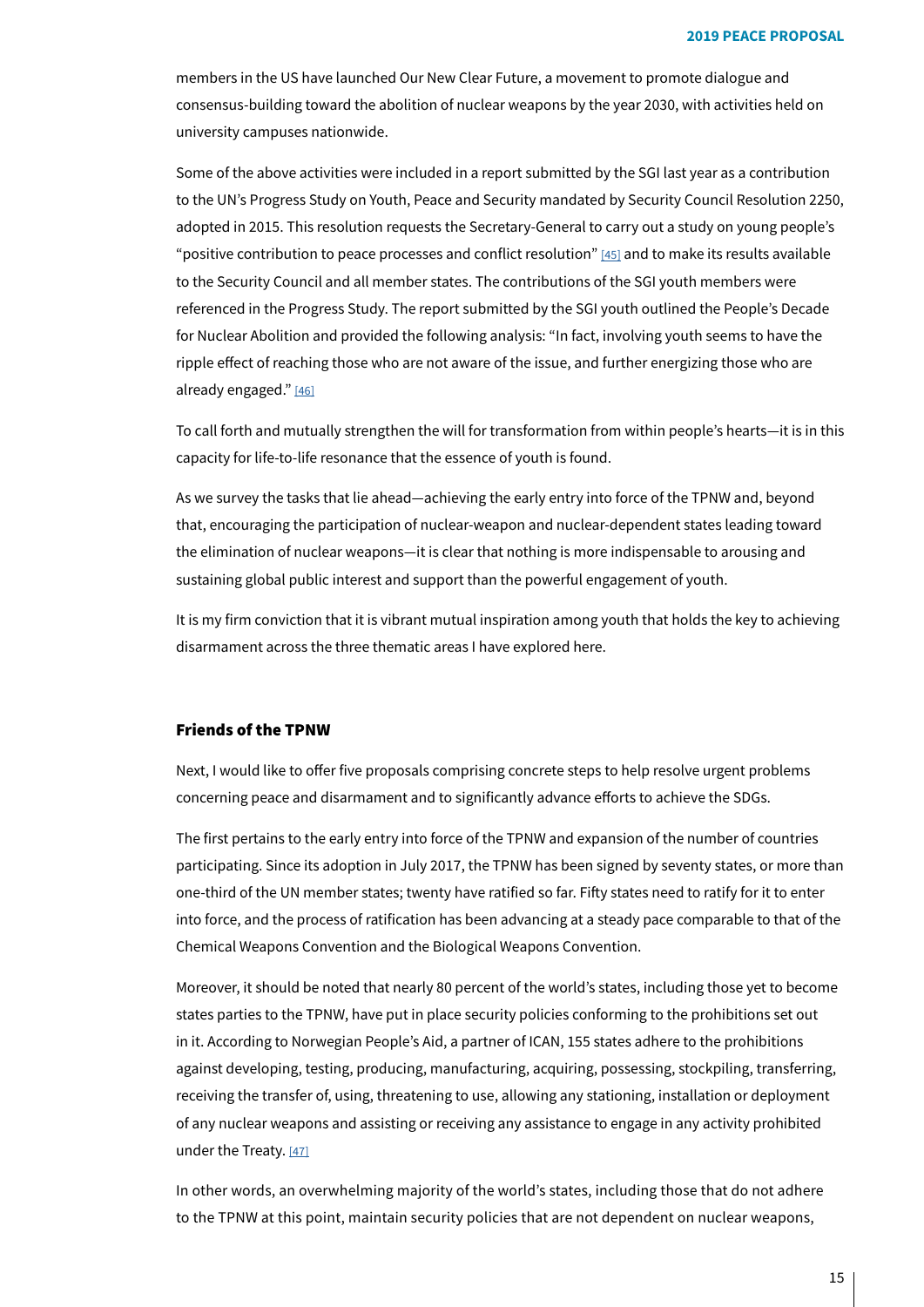members in the US have launched Our New Clear Future, a movement to promote dialogue and consensus-building toward the abolition of nuclear weapons by the year 2030, with activities held on university campuses nationwide.

<span id="page-14-0"></span>Some of the above activities were included in a report submitted by the SGI last year as a contribution to the UN's Progress Study on Youth, Peace and Security mandated by Security Council Resolution 2250. adopted in 2015. This resolution requests the Secretary-General to carry out a study on young people's "positive contribution to peace processes and conflict resolution" [45[\]](#page-29-36) and to make its results available to the Security Council and all member states. The contributions of the SGI youth members were referenced in the Progress Study. The report submitted by the SGI youth outlined the People's Decade for Nuclear Abolition and provided the following analysis: "In fact, involving youth seems to have the ripple effect of reaching those who are not aware of the issue, and further energizing those who are already engaged." $[46]$ 

<span id="page-14-1"></span>To call forth and mutually strengthen the will for transformation from within people's hearts—it is in this capacity for life-to-life resonance that the essence of youth is found.

As we survey the tasks that lie ahead—achieving the early entry into force of the TPNW and, beyond that, encouraging the participation of nuclear-weapon and nuclear-dependent states leading toward the elimination of nuclear weapons—it is clear that nothing is more indispensable to arousing and sustaining global public interest and support than the powerful engagement of youth.

It is my firm conviction that it is vibrant mutual inspiration among youth that holds the key to achieving disarmament across the three thematic areas I have explored here.

## **Friends of the TPNW**

Next, I would like to offer five proposals comprising concrete steps to help resolve urgent problems concerning peace and disarmament and to significantly advance efforts to achieve the SDGs.

The first pertains to the early entry into force of the TPNW and expansion of the number of countries participating. Since its adoption in July 2017, the TPNW has been signed by seventy states, or more than one-third of the UN member states; twenty have ratified so far. Fifty states need to ratify for it to enter into force, and the process of ratification has been advancing at a steady pace comparable to that of the Chemical Weapons Convention and the Biological Weapons Convention.

<span id="page-14-2"></span>Moreover, it should be noted that nearly 80 percent of the world's states, including those yet to become states parties to the TPNW, have put in place security policies conforming to the prohibitions set out in it. According to Norwegian People's Aid, a partner of ICAN, 155 states adhere to the prohibitions against developing, testing, producing, manufacturing, acquiring, possessing, stockpiling, transferring, receiving the transfer of, using, threatening to use, allowing any stationing, installation or deployment of any nuclear weapons and assisting or receiving any assistance to engage in any activity prohibited under the Treaty. [\[47\]](#page-30-1)

In other words, an overwhelming majority of the world's states, including those that do not adhere to the TPNW at this point, maintain security policies that are not dependent on nuclear weapons,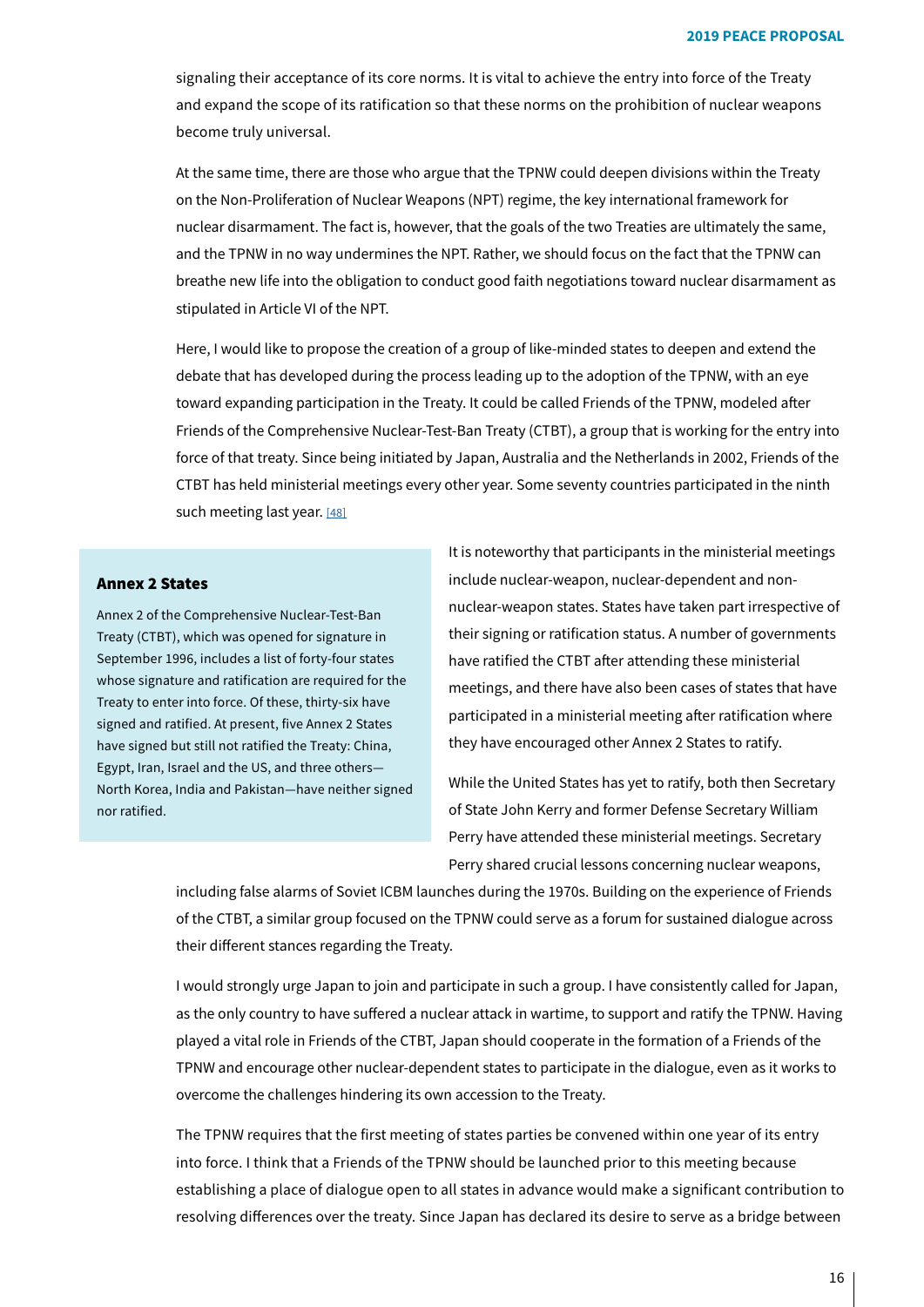signaling their acceptance of its core norms. It is vital to achieve the entry into force of the Treaty and expand the scope of its ratification so that these norms on the prohibition of nuclear weapons become truly universal.

At the same time, there are those who argue that the TPNW could deepen divisions within the Treaty on the Non-Proliferation of Nuclear Weapons (NPT) regime, the key international framework for nuclear disarmament. The fact is, however, that the goals of the two Treaties are ultimately the same, and the TPNW in no way undermines the NPT. Rather, we should focus on the fact that the TPNW can breathe new life into the obligation to conduct good faith negotiations toward nuclear disarmament as stipulated in Article VI of the NPT.

<span id="page-15-0"></span>Here, I would like to propose the creation of a group of like-minded states to deepen and extend the debate that has developed during the process leading up to the adoption of the TPNW, with an eye toward expanding participation in the Treaty. It could be called Friends of the TPNW, modeled after Friends of the Comprehensive Nuclear-Test-Ban Treaty (CTBT), a group that is working for the entry into force of that treaty. Since being initiated by Japan, Australia and the Netherlands in 2002, Friends of the CTBT has held ministerial meetings every other year. Some seventy countries participated in the ninth such meeting last year. [\[48\]](#page-30-2)

## **Annex 2 States**

Annex 2 of the Comprehensive Nuclear-Test-Ban Treaty (CTBT), which was opened for signature in September 1996, includes a list of forty-four states whose signature and ratification are required for the Treaty to enter into force. Of these, thirty-six have signed and ratified. At present, five Annex 2 States have signed but still not ratified the Treaty: China, Egypt, Iran, Israel and the US, and three others-North Korea, India and Pakistan-have neither signed nor ratified.

It is noteworthy that participants in the ministerial meetings nuclear-weapon states. States have taken part irrespective of include nuclear-weapon, nuclear-dependent and nontheir signing or ratification status. A number of governments have ratified the CTBT after attending these ministerial meetings, and there have also been cases of states that have participated in a ministerial meeting after ratification where they have encouraged other Annex 2 States to ratify.

While the United States has yet to ratify, both then Secretary of State John Kerry and former Defense Secretary William Perry have attended these ministerial meetings. Secretary Perry shared crucial lessons concerning nuclear weapons,

including false alarms of Soviet ICBM launches during the 1970s. Building on the experience of Friends of the CTBT, a similar group focused on the TPNW could serve as a forum for sustained dialogue across their different stances regarding the Treaty.

I would strongly urge Japan to join and participate in such a group. I have consistently called for Japan, as the only country to have suffered a nuclear attack in wartime, to support and ratify the TPNW. Having played a vital role in Friends of the CTBT, Japan should cooperate in the formation of a Friends of the TPNW and encourage other nuclear-dependent states to participate in the dialogue, even as it works to overcome the challenges hindering its own accession to the Treaty.

The TPNW requires that the first meeting of states parties be convened within one year of its entry into force. I think that a Friends of the TPNW should be launched prior to this meeting because establishing a place of dialogue open to all states in advance would make a significant contribution to resolving differences over the treaty. Since Japan has declared its desire to serve as a bridge between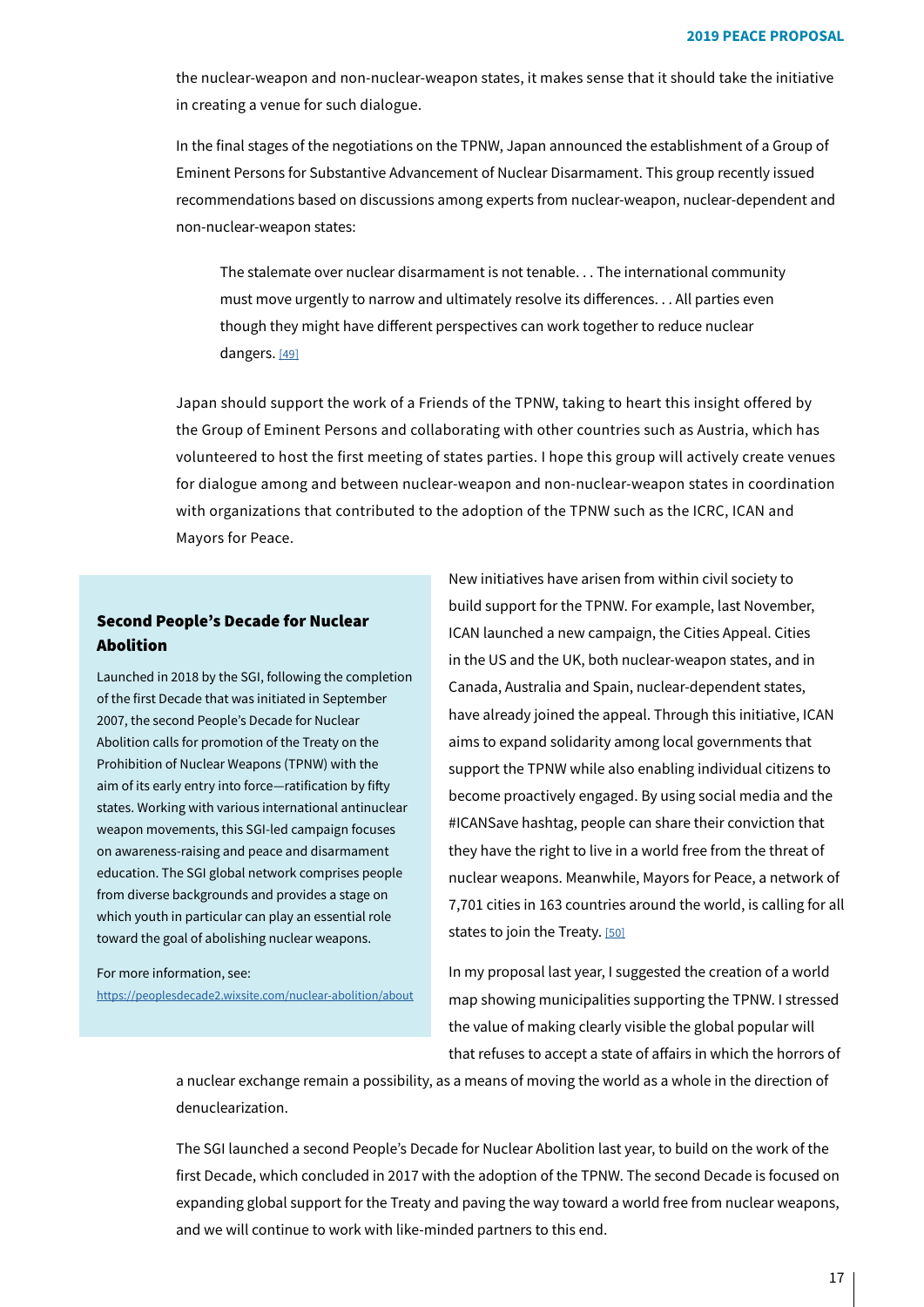the nuclear-weapon and non-nuclear-weapon states, it makes sense that it should take the initiative in creating a venue for such dialogue.

In the final stages of the negotiations on the TPNW, Japan announced the establishment of a Group of Eminent Persons for Substantive Advancement of Nuclear Disarmament. This group recently issued recommendations based on discussions among experts from nuclear-weapon, nuclear-dependent and non-nuclear-weapon states:

<span id="page-16-0"></span>The stalemate over nuclear disarmament is not tenable. . . The international community must move urgently to narrow and ultimately resolve its differences... All parties even though they might have different perspectives can work together to reduce nuclear dangers. [\[49\]](#page-30-3)

Japan should support the work of a Friends of the TPNW, taking to heart this insight offered by the Group of Eminent Persons and collaborating with other countries such as Austria, which has volunteered to host the first meeting of states parties. I hope this group will actively create venues for dialogue among and between nuclear-weapon and non-nuclear-weapon states in coordination with organizations that contributed to the adoption of the TPNW such as the ICRC, ICAN and Mayors for Peace.

## Second People's Decade for Nuclear Abolition

Launched in 2018 by the SGI, following the completion of the first Decade that was initiated in September 2007, the second People's Decade for Nuclear Abolition calls for promotion of the Treaty on the Prohibition of Nuclear Weapons (TPNW) with the aim of its early entry into force-ratification by fifty states. Working with various international antinuclear weapon movements, this SGI-led campaign focuses on awareness-raising and peace and disarmament education. The SGI global network comprises people from diverse backgrounds and provides a stage on which youth in particular can play an essential role toward the goal of abolishing nuclear weapons.

#### For more information, see:

https://peoplesdecade2.wixsite.com/nuclear-abolition/about

New initiatives have arisen from within civil society to build support for the TPNW. For example, last November, ICAN launched a new campaign, the Cities Appeal. Cities in the US and the UK, both nuclear-weapon states, and in Canada, Australia and Spain, nuclear-dependent states, have already joined the appeal. Through this initiative, ICAN aims to expand solidarity among local governments that support the TPNW while also enabling individual citizens to become proactively engaged. By using social media and the #ICANSave hashtag, people can share their conviction that they have the right to live in a world free from the threat of nuclear weapons. Meanwhile, Mayors for Peace, a network of 7,701 cities in 163 countries around the world, is calling for all states to join the Treaty. [\[50\]](#page-30-4)

<span id="page-16-1"></span>In my proposal last year, I suggested the creation of a world map showing municipalities supporting the TPNW. I stressed the value of making clearly visible the global popular will that refuses to accept a state of affairs in which the horrors of

a nuclear exchange remain a possibility, as a means of moving the world as a whole in the direction of .denuclearization

The SGI launched a second People's Decade for Nuclear Abolition last year, to build on the work of the first Decade, which concluded in 2017 with the adoption of the TPNW. The second Decade is focused on expanding global support for the Treaty and paving the way toward a world free from nuclear weapons, and we will continue to work with like-minded partners to this end.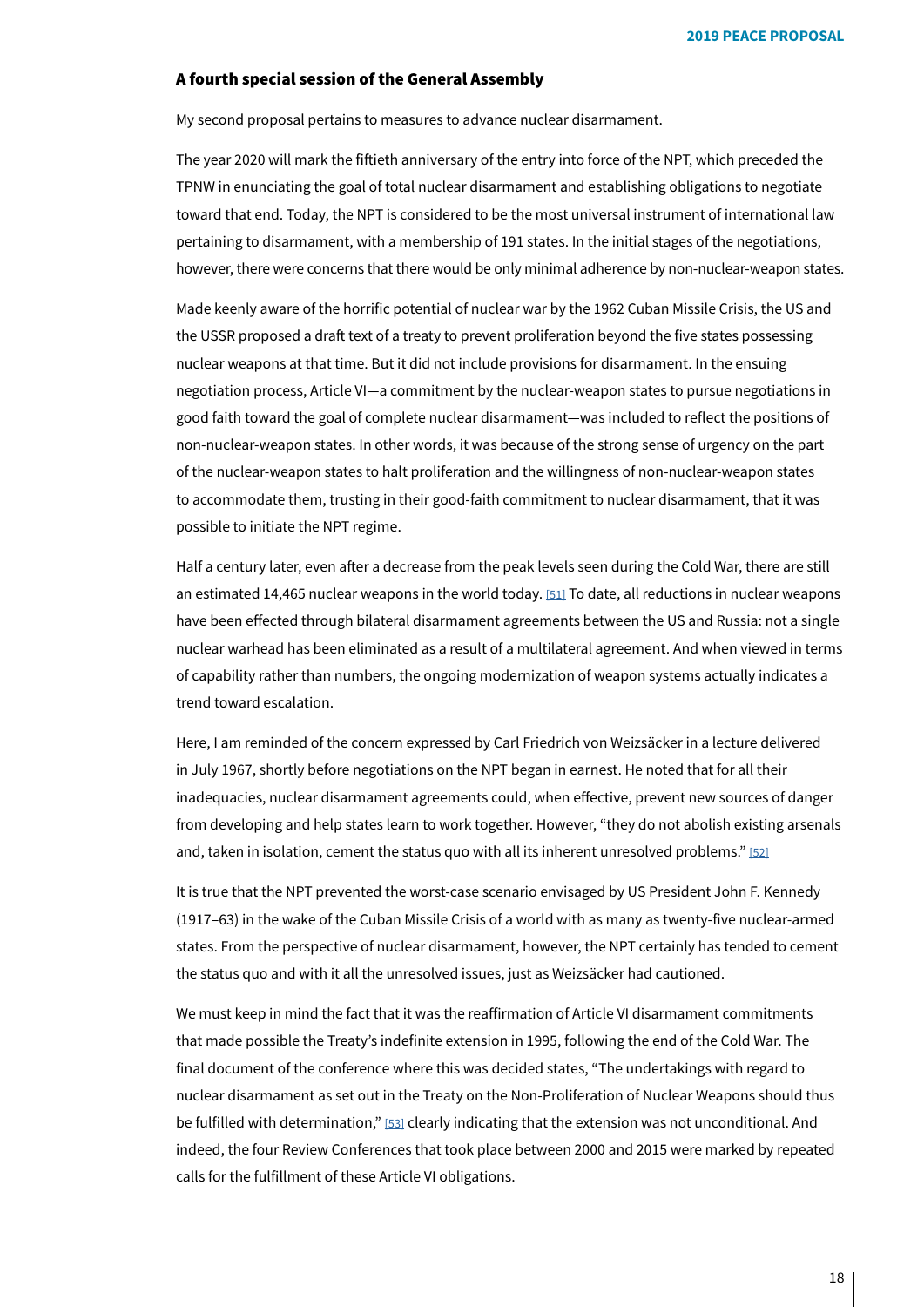## A fourth special session of the General Assembly

My second proposal pertains to measures to advance nuclear disarmament.

The year 2020 will mark the fiftieth anniversary of the entry into force of the NPT, which preceded the TPNW in enunciating the goal of total nuclear disarmament and establishing obligations to negotiate toward that end. Today, the NPT is considered to be the most universal instrument of international law pertaining to disarmament, with a membership of 191 states. In the initial stages of the negotiations, however, there were concerns that there would be only minimal adherence by non-nuclear-weapon states.

Made keenly aware of the horrific potential of nuclear war by the 1962 Cuban Missile Crisis, the US and the USSR proposed a draft text of a treaty to prevent proliferation bevond the five states possessing nuclear weapons at that time. But it did not include provisions for disarmament. In the ensuing negotiation process, Article VI-a commitment by the nuclear-weapon states to pursue negotiations in good faith toward the goal of complete nuclear disarmament—was included to reflect the positions of non-nuclear-weapon states. In other words, it was because of the strong sense of urgency on the part of the nuclear-weapon states to halt proliferation and the willingness of non-nuclear-weapon states to accommodate them, trusting in their good-faith commitment to nuclear disarmament, that it was possible to initiate the NPT regime.

<span id="page-17-0"></span>Half a century later, even after a decrease from the peak levels seen during the Cold War, there are still an estimated 14,465 nuclear weapons in the world today. [51] To date, all reductions in nuclear weapons have been effected through bilateral disarmament agreements between the US and Russia: not a single nuclear warhead has been eliminated as a result of a multilateral agreement. And when viewed in terms of capability rather than numbers, the ongoing modernization of weapon systems actually indicates a trend toward escalation.

Here, I am reminded of the concern expressed by Carl Friedrich von Weizsäcker in a lecture delivered in July 1967, shortly before negotiations on the NPT began in earnest. He noted that for all their inadequacies, nuclear disarmament agreements could, when effective, prevent new sources of danger from developing and help states learn to work together. However, "they do not abolish existing arsenals and, taken in isolation, cement the status quo with all its inherent unresolved problems." [\[52\]](#page-30-6)

<span id="page-17-1"></span>It is true that the NPT prevented the worst-case scenario envisaged by US President John F. Kennedy  $(1917-63)$  in the wake of the Cuban Missile Crisis of a world with as many as twenty-five nuclear-armed states. From the perspective of nuclear disarmament, however, the NPT certainly has tended to cement the status quo and with it all the unresolved issues, just as Weizsäcker had cautioned.

<span id="page-17-2"></span>We must keep in mind the fact that it was the reaffirmation of Article VI disarmament commitments that made possible the Treaty's indefinite extension in 1995, following the end of the Cold War. The final document of the conference where this was decided states. "The undertakings with regard to nuclear disarmament as set out in the Treaty on the Non-Proliferation of Nuclear Weapons should thus be fulfilled with determination," [53] clearly indicating that the extension was not unconditional. And indeed, the four Review Conferences that took place between 2000 and 2015 were marked by repeated calls for the fulfillment of these Article VI obligations.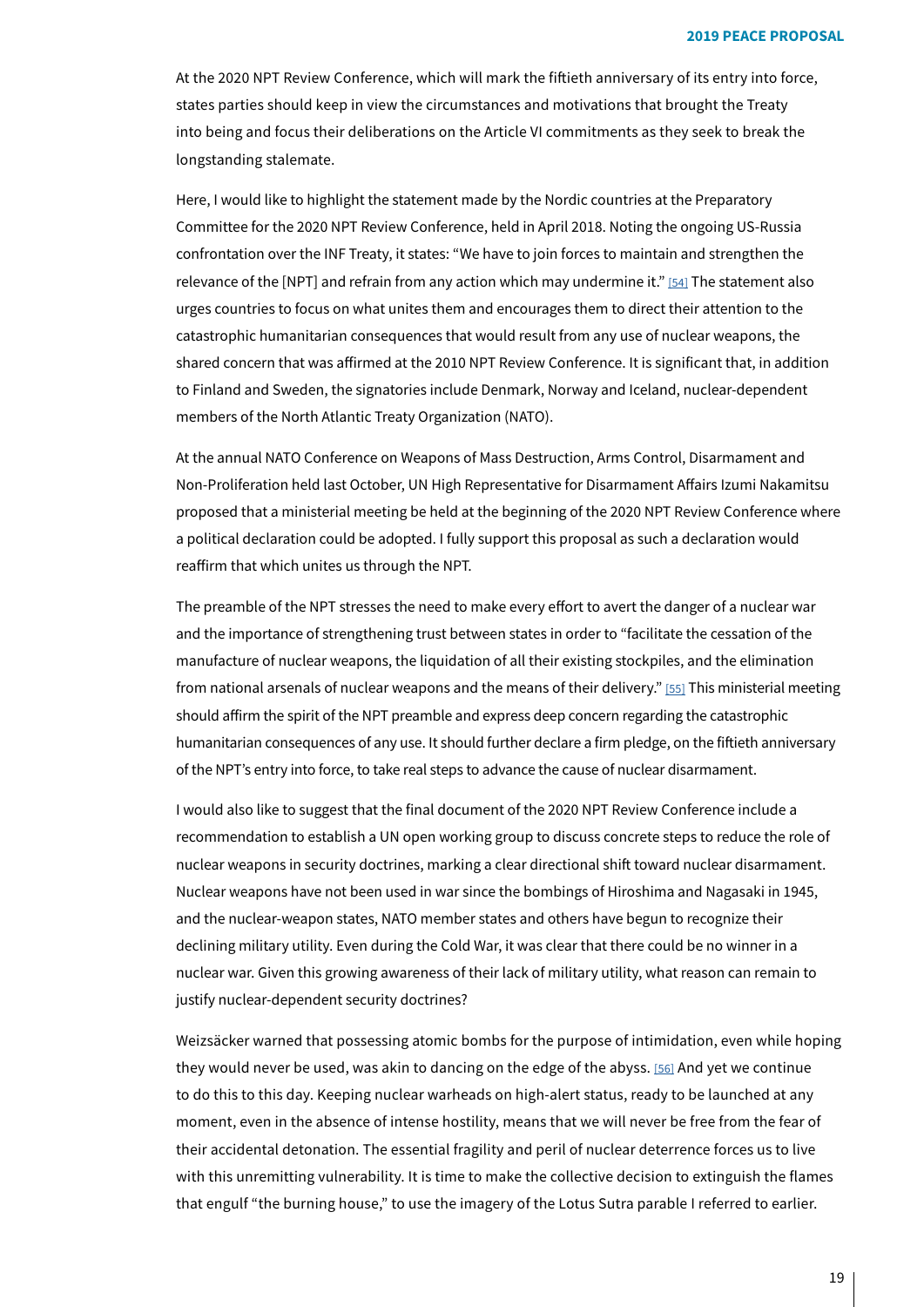At the 2020 NPT Review Conference, which will mark the fiftieth anniversary of its entry into force, states parties should keep in view the circumstances and motivations that brought the Treaty into being and focus their deliberations on the Article VI commitments as they seek to break the longstanding stalemate.

<span id="page-18-0"></span>Here, I would like to highlight the statement made by the Nordic countries at the Preparatory Committee for the 2020 NPT Review Conference, held in April 2018. Noting the ongoing US-Russia confrontation over the INF Treaty, it states: "We have to join forces to maintain and strengthen the relevance of the [NPT[\]](#page-30-8) and refrain from any action which may undermine it." [[54](#page-30-8)] The statement also urges countries to focus on what unites them and encourages them to direct their attention to the catastrophic humanitarian consequences that would result from any use of nuclear weapons, the shared concern that was affirmed at the 2010 NPT Review Conference. It is significant that, in addition to Finland and Sweden, the signatories include Denmark, Norway and Iceland, nuclear-dependent members of the North Atlantic Treaty Organization (NATO).

At the annual NATO Conference on Weapons of Mass Destruction, Arms Control, Disarmament and Non-Proliferation held last October, UN High Representative for Disarmament Affairs Izumi Nakamitsu proposed that a ministerial meeting be held at the beginning of the 2020 NPT Review Conference where a political declaration could be adopted. I fully support this proposal as such a declaration would reaffirm that which unites us through the NPT.

<span id="page-18-1"></span>The preamble of the NPT stresses the need to make every effort to avert the danger of a nuclear war and the importance of strengthening trust between states in order to "facilitate the cessation of the manufacture of nuclear weapons, the liquidation of all their existing stockpiles, and the elimination from national arsenals of nuclear weapons and the means of their delivery." [55] This ministerial meeting should affirm the spirit of the NPT preamble and express deep concern regarding the catastrophic humanitarian consequences of any use. It should further declare a firm pledge, on the fiftieth anniversary of the NPT's entry into force, to take real steps to advance the cause of nuclear disarmament.

I would also like to suggest that the final document of the 2020 NPT Review Conference include a recommendation to establish a UN open working group to discuss concrete steps to reduce the role of nuclear weapons in security doctrines, marking a clear directional shift toward nuclear disarmament. Nuclear weapons have not been used in war since the bombings of Hiroshima and Nagasaki in 1945, and the nuclear-weapon states, NATO member states and others have begun to recognize their declining military utility. Even during the Cold War, it was clear that there could be no winner in a nuclear war. Given this growing awareness of their lack of military utility, what reason can remain to justify nuclear-dependent security doctrines?

<span id="page-18-2"></span>Weizsäcker warned that possessing atomic bombs for the purpose of intimidation, even while hoping they would never be used, was akin to dancing on the edge of the abyss. [56] And yet we continue to do this to this day. Keeping nuclear warheads on high-alert status, ready to be launched at any moment, even in the absence of intense hostility, means that we will never be free from the fear of their accidental detonation. The essential fragility and peril of nuclear deterrence forces us to live with this unremitting vulnerability. It is time to make the collective decision to extinguish the flames that engulf "the burning house," to use the imagery of the Lotus Sutra parable I referred to earlier.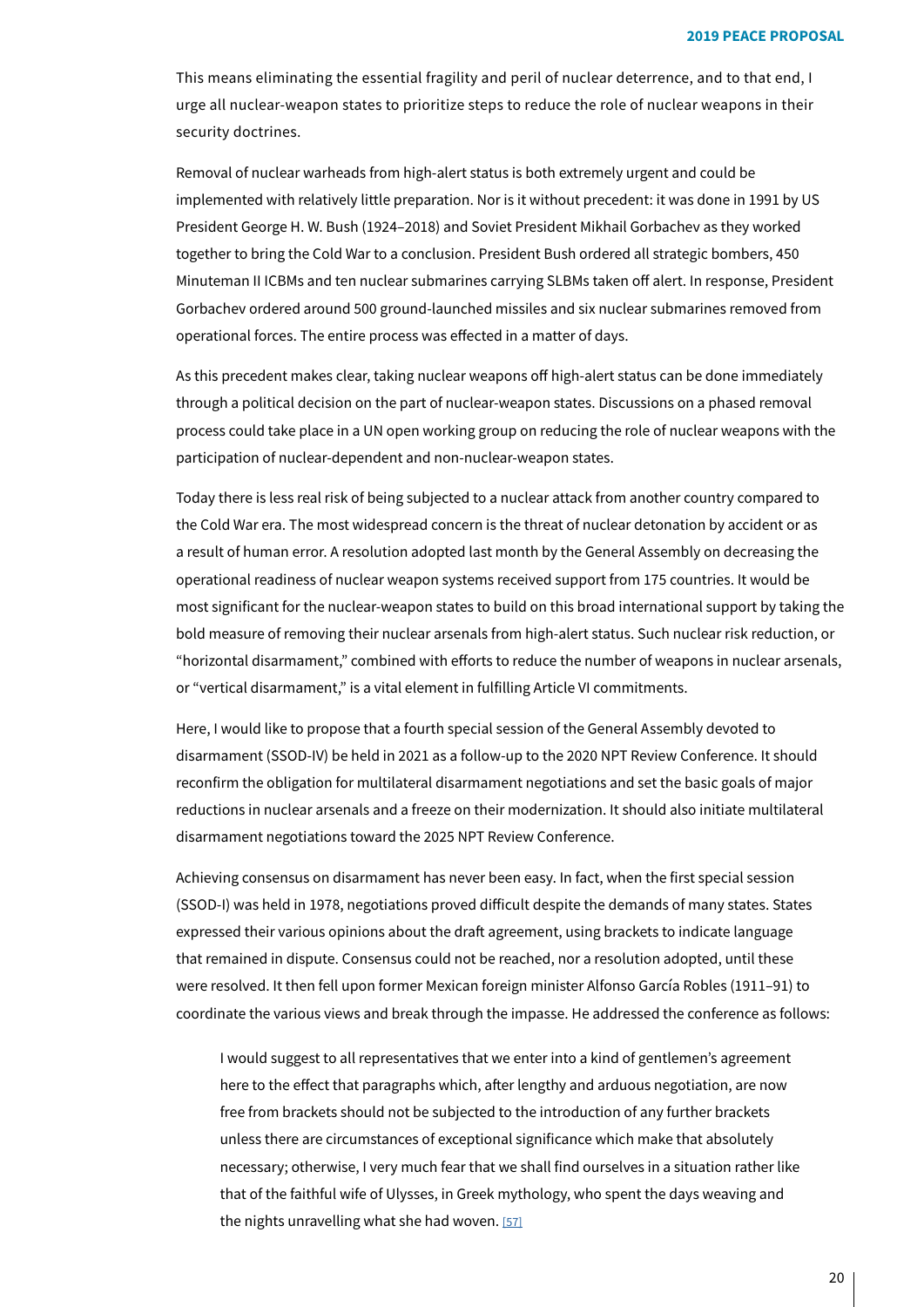This means eliminating the essential fragility and peril of nuclear deterrence, and to that end, I urge all nuclear-weapon states to prioritize steps to reduce the role of nuclear weapons in their security doctrines.

Removal of nuclear warheads from high-alert status is both extremely urgent and could be implemented with relatively little preparation. Nor is it without precedent: it was done in 1991 by US President George H. W. Bush (1924–2018) and Soviet President Mikhail Gorbachev as they worked together to bring the Cold War to a conclusion. President Bush ordered all strategic bombers, 450 Minuteman II ICBMs and ten nuclear submarines carrying SLBMs taken off alert. In response, President Gorbachev ordered around 500 ground-launched missiles and six nuclear submarines removed from operational forces. The entire process was effected in a matter of days.

As this precedent makes clear, taking nuclear weapons off high-alert status can be done immediately through a political decision on the part of nuclear-weapon states. Discussions on a phased removal process could take place in a UN open working group on reducing the role of nuclear weapons with the participation of nuclear-dependent and non-nuclear-weapon states.

Today there is less real risk of being subjected to a nuclear attack from another country compared to the Cold War era. The most widespread concern is the threat of nuclear detonation by accident or as a result of human error. A resolution adopted last month by the General Assembly on decreasing the operational readiness of nuclear weapon systems received support from 175 countries. It would be most significant for the nuclear-weapon states to build on this broad international support by taking the bold measure of removing their nuclear arsenals from high-alert status. Such nuclear risk reduction, or "horizontal disarmament," combined with efforts to reduce the number of weapons in nuclear arsenals, or "vertical disarmament," is a vital element in fulfilling Article VI commitments.

Here, I would like to propose that a fourth special session of the General Assembly devoted to disarmament (SSOD-IV) be held in 2021 as a follow-up to the 2020 NPT Review Conference. It should reconfirm the obligation for multilateral disarmament negotiations and set the basic goals of major reductions in nuclear arsenals and a freeze on their modernization. It should also initiate multilateral disarmament negotiations toward the 2025 NPT Review Conference.

Achieving consensus on disarmament has never been easy. In fact, when the first special session (SSOD-I) was held in 1978, negotiations proved difficult despite the demands of many states. States expressed their various opinions about the draft agreement, using brackets to indicate language that remained in dispute. Consensus could not be reached, nor a resolution adopted, until these were resolved. It then fell upon former Mexican foreign minister Alfonso García Robles (1911-91) to coordinate the various views and break through the impasse. He addressed the conference as follows:

<span id="page-19-0"></span>I would suggest to all representatives that we enter into a kind of gentlemen's agreement here to the effect that paragraphs which, after lengthy and arduous negotiation, are now free from brackets should not be subjected to the introduction of any further brackets unless there are circumstances of exceptional significance which make that absolutely necessary; otherwise, I very much fear that we shall find ourselves in a situation rather like that of the faithful wife of Ulysses, in Greek mythology, who spent the days weaving and the nights unravelling what she had woven.  $[57]$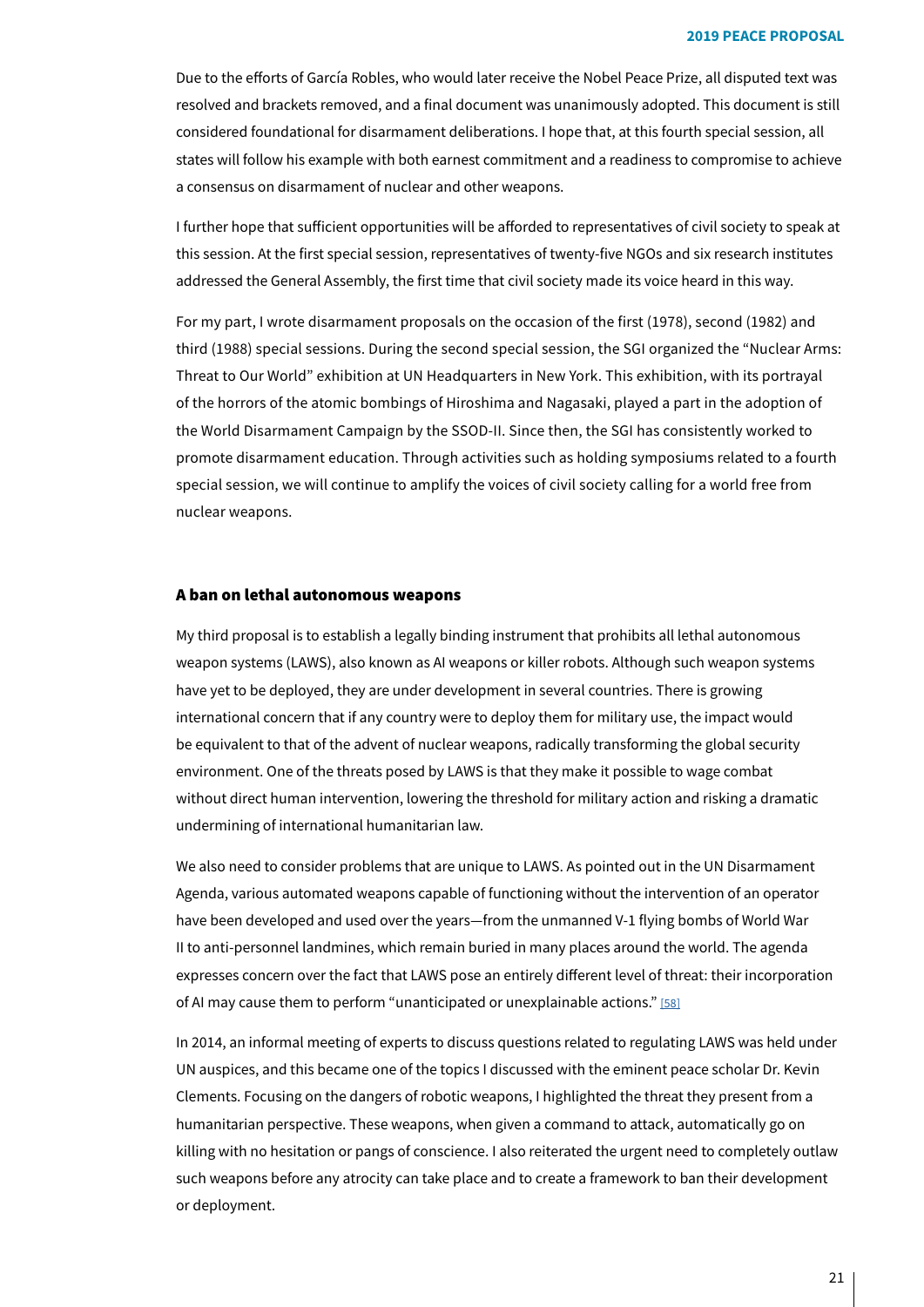Due to the efforts of García Robles, who would later receive the Nobel Peace Prize, all disputed text was resolved and brackets removed, and a final document was unanimously adopted. This document is still considered foundational for disarmament deliberations. I hope that, at this fourth special session, all states will follow his example with both earnest commitment and a readiness to compromise to achieve a consensus on disarmament of nuclear and other weapons.

I further hope that sufficient opportunities will be afforded to representatives of civil society to speak at this session. At the first special session, representatives of twenty-five NGOs and six research institutes addressed the General Assembly, the first time that civil society made its voice heard in this way.

For my part, I wrote disarmament proposals on the occasion of the first (1978), second (1982) and third (1988) special sessions. During the second special session, the SGI organized the "Nuclear Arms: Threat to Our World" exhibition at UN Headquarters in New York. This exhibition, with its portrayal of the horrors of the atomic bombings of Hiroshima and Nagasaki, played a part in the adoption of the World Disarmament Campaign by the SSOD-II. Since then, the SGI has consistently worked to promote disarmament education. Through activities such as holding symposiums related to a fourth special session, we will continue to amplify the voices of civil society calling for a world free from nuclear weapons.

### A ban on lethal autonomous weapons

My third proposal is to establish a legally binding instrument that prohibits all lethal autonomous weapon systems (LAWS), also known as AI weapons or killer robots. Although such weapon systems have vet to be deploved, they are under development in several countries. There is growing international concern that if any country were to deploy them for military use, the impact would be equivalent to that of the advent of nuclear weapons, radically transforming the global security environment. One of the threats posed by LAWS is that they make it possible to wage combat without direct human intervention, lowering the threshold for military action and risking a dramatic undermining of international humanitarian law.

<span id="page-20-0"></span>We also need to consider problems that are unique to LAWS. As pointed out in the UN Disarmament Agenda, various automated weapons capable of functioning without the intervention of an operator have been developed and used over the years—from the unmanned V-1 flying bombs of World War II to anti-personnel landmines, which remain buried in many places around the world. The agenda expresses concern over the fact that LAWS pose an entirely different level of threat: their incorporation of AI may cause them to perform "unanticipated or unexplainable actions."  $[58]$ 

In 2014, an informal meeting of experts to discuss questions related to regulating LAWS was held under UN auspices, and this became one of the topics I discussed with the eminent peace scholar Dr. Kevin Clements. Focusing on the dangers of robotic weapons, I highlighted the threat they present from a humanitarian perspective. These weapons, when given a command to attack, automatically go on killing with no hesitation or pangs of conscience. I also reiterated the urgent need to completely outlaw such weapons before any atrocity can take place and to create a framework to ban their development or deployment.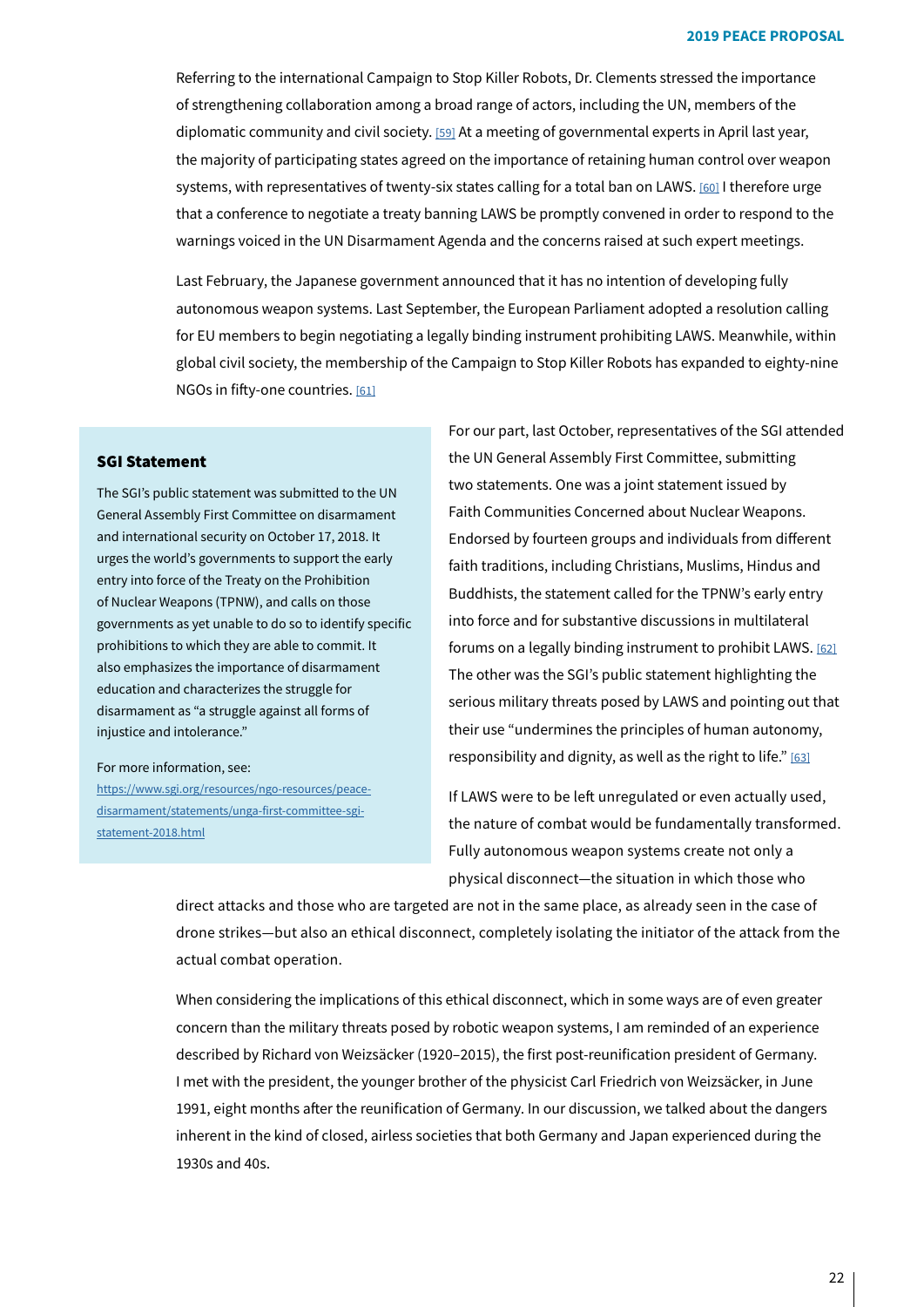<span id="page-21-0"></span>Referring to the international Campaign to Stop Killer Robots, Dr. Clements stressed the importance of strengthening collaboration among a broad range of actors, including the UN, members of the diplomatic community and civil society. [59] At a meeting of governmental experts in April last year, the majority of participating states agreed on the importance of retaining human control over weapon systems, with representatives of twenty-six states calling for a total ban on LAWS. [60] I therefore urge that a conference to negotiate a treaty banning LAWS be promptly convened in order to respond to the warnings voiced in the UN Disarmament Agenda and the concerns raised at such expert meetings.

<span id="page-21-2"></span>Last February, the Japanese government announced that it has no intention of developing fully autonomous weapon systems. Last September, the European Parliament adopted a resolution calling for EU members to begin negotiating a legally binding instrument prohibiting LAWS. Meanwhile, within global civil society, the membership of the Campaign to Stop Killer Robots has expanded to eighty-nine NGOs in fifty-one countries. [\[61\]](#page-30-15)

### **SGI Statement**

The SGI's public statement was submitted to the UN General Assembly First Committee on disarmament and international security on October 17, 2018. It urges the world's governments to support the early entry into force of the Treaty on the Prohibition of Nuclear Weapons (TPNW), and calls on those governments as yet unable to do so to identify specific prohibitions to which they are able to commit. It also emphasizes the importance of disarmament education and characterizes the struggle for disarmament as "a struggle against all forms of injustice and intolerance."

#### For more information, see:

<u>disarmament/statements/unga-first-committee-sgi-</u><br><u>statement-2018.html</u> https://www.sgi.org/resources/ngo-resources/peace-<br>disarmament/statements/unga-first-committee-sgihttps://www.sgi.org/resources/ngo-resources/peace-

<span id="page-21-3"></span><span id="page-21-1"></span>For our part, last October, representatives of the SGI attended the UN General Assembly First Committee, submitting two statements. One was a joint statement issued by Faith Communities Concerned about Nuclear Weapons. Endorsed by fourteen groups and individuals from different faith traditions, including Christians, Muslims, Hindus and Buddhists, the statement called for the TPNW's early entry into force and for substantive discussions in multilateral forums on a legally binding instrument to prohibit LAWS. [\[62\]](#page-30-16) The other was the SGI's public statement highlighting the serious military threats posed by LAWS and pointing out that their use "undermines the principles of human autonomy, responsibility and dignity, as well as the right to life."  $[63]$ 

<span id="page-21-4"></span>If LAWS were to be left unregulated or even actually used, the nature of combat would be fundamentally transformed. Fully autonomous weapon systems create not only a physical disconnect-the situation in which those who

direct attacks and those who are targeted are not in the same place, as already seen in the case of drone strikes—but also an ethical disconnect, completely isolating the initiator of the attack from the actual combat operation.

When considering the implications of this ethical disconnect, which in some ways are of even greater concern than the military threats posed by robotic weapon systems, I am reminded of an experience described by Richard von Weizsäcker (1920–2015), the first post-reunification president of Germany. I met with the president, the younger brother of the physicist Carl Friedrich von Weizsäcker, in June 1991, eight months after the reunification of Germany. In our discussion, we talked about the dangers inherent in the kind of closed, airless societies that both Germany and Japan experienced during the 1930s and 40s.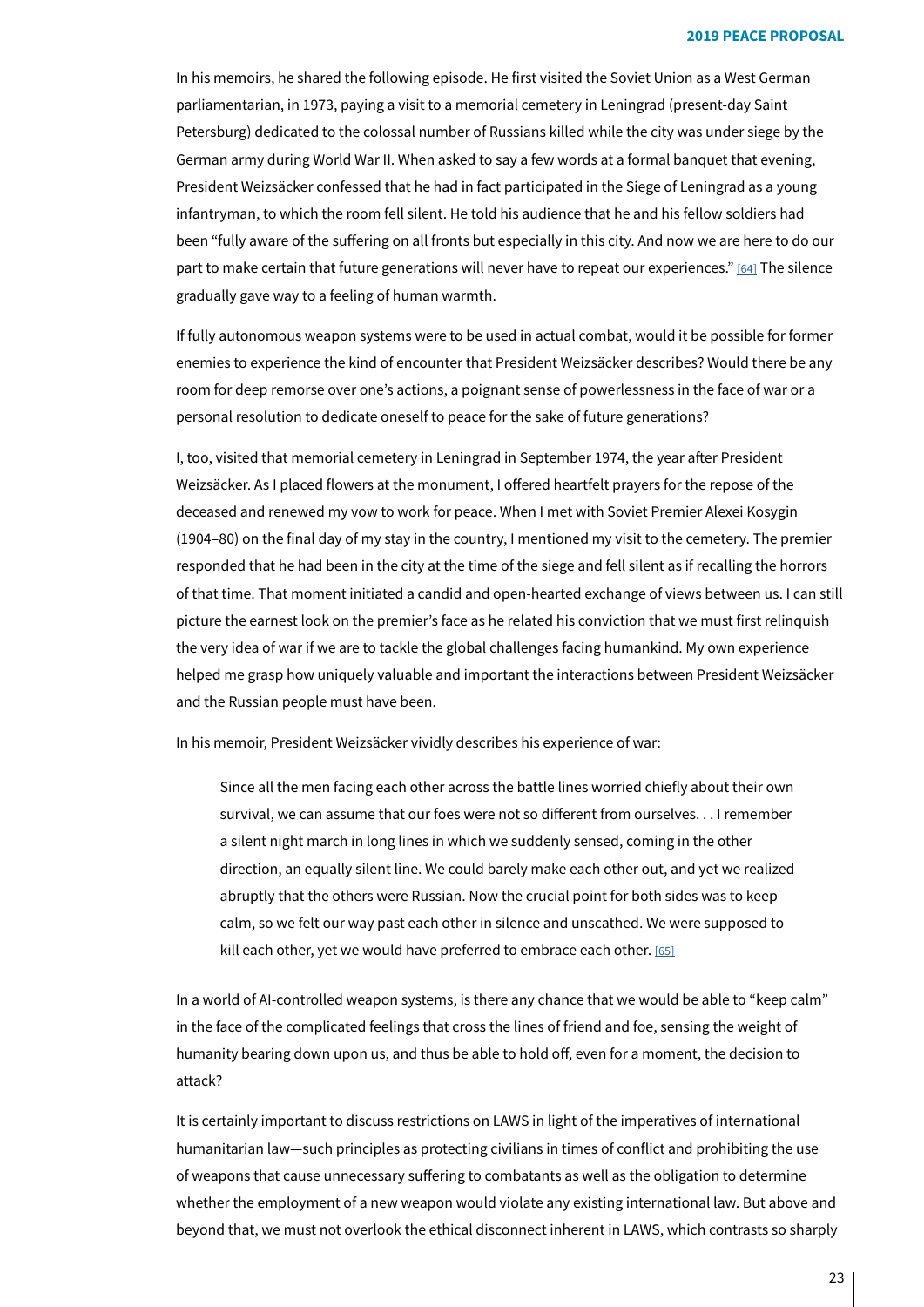In his memoirs, he shared the following episode. He first visited the Soviet Union as a West German parliamentarian, in 1973, paying a visit to a memorial cemetery in Leningrad (present-day Saint Petersburg) dedicated to the colossal number of Russians killed while the city was under siege by the German army during World War II. When asked to say a few words at a formal banquet that evening, President Weizsäcker confessed that he had in fact participated in the Siege of Leningrad as a young infantryman, to which the room fell silent. He told his audience that he and his fellow soldiers had been "fully aware of the suffering on all fronts but especially in this city. And now we are here to do our part to make certain that future generations will never have to repeat our experiences." [64] The silence gradually gave way to a feeling of human warmth.

<span id="page-22-0"></span>If fully autonomous weapon systems were to be used in actual combat, would it be possible for former enemies to experience the kind of encounter that President Weizsäcker describes? Would there be any room for deep remorse over one's actions, a poignant sense of powerlessness in the face of war or a personal resolution to dedicate oneself to peace for the sake of future generations?

I, too, visited that memorial cemetery in Leningrad in September 1974, the year after President Weizsäcker. As I placed flowers at the monument, I offered heartfelt prayers for the repose of the deceased and renewed my vow to work for peace. When I met with Soviet Premier Alexei Kosygin  $(1904-80)$  on the final day of my stay in the country, I mentioned my visit to the cemetery. The premier responded that he had been in the city at the time of the siege and fell silent as if recalling the horrors of that time. That moment initiated a candid and open-hearted exchange of views between us. I can still picture the earnest look on the premier's face as he related his conviction that we must first relinguish the very idea of war if we are to tackle the global challenges facing humankind. My own experience helped me grasp how uniquely valuable and important the interactions between President Weizsäcker and the Russian people must have been.

In his memoir, President Weizsäcker vividly describes his experience of war:

<span id="page-22-1"></span>Since all the men facing each other across the battle lines worried chiefly about their own survival, we can assume that our foes were not so different from ourselves... I remember a silent night march in long lines in which we suddenly sensed, coming in the other direction, an equally silent line. We could barely make each other out, and yet we realized abruptly that the others were Russian. Now the crucial point for both sides was to keep calm, so we felt our way past each other in silence and unscathed. We were supposed to kill each other, yet we would have preferred to embrace each other. [\[65\]](#page-30-19)

In a world of AI-controlled weapon systems, is there any chance that we would be able to "keep calm" in the face of the complicated feelings that cross the lines of friend and foe, sensing the weight of humanity bearing down upon us, and thus be able to hold off, even for a moment, the decision to ?attack

It is certainly important to discuss restrictions on LAWS in light of the imperatives of international humanitarian law—such principles as protecting civilians in times of conflict and prohibiting the use of weapons that cause unnecessary suffering to combatants as well as the obligation to determine whether the employment of a new weapon would violate any existing international law. But above and beyond that, we must not overlook the ethical disconnect inherent in LAWS, which contrasts so sharply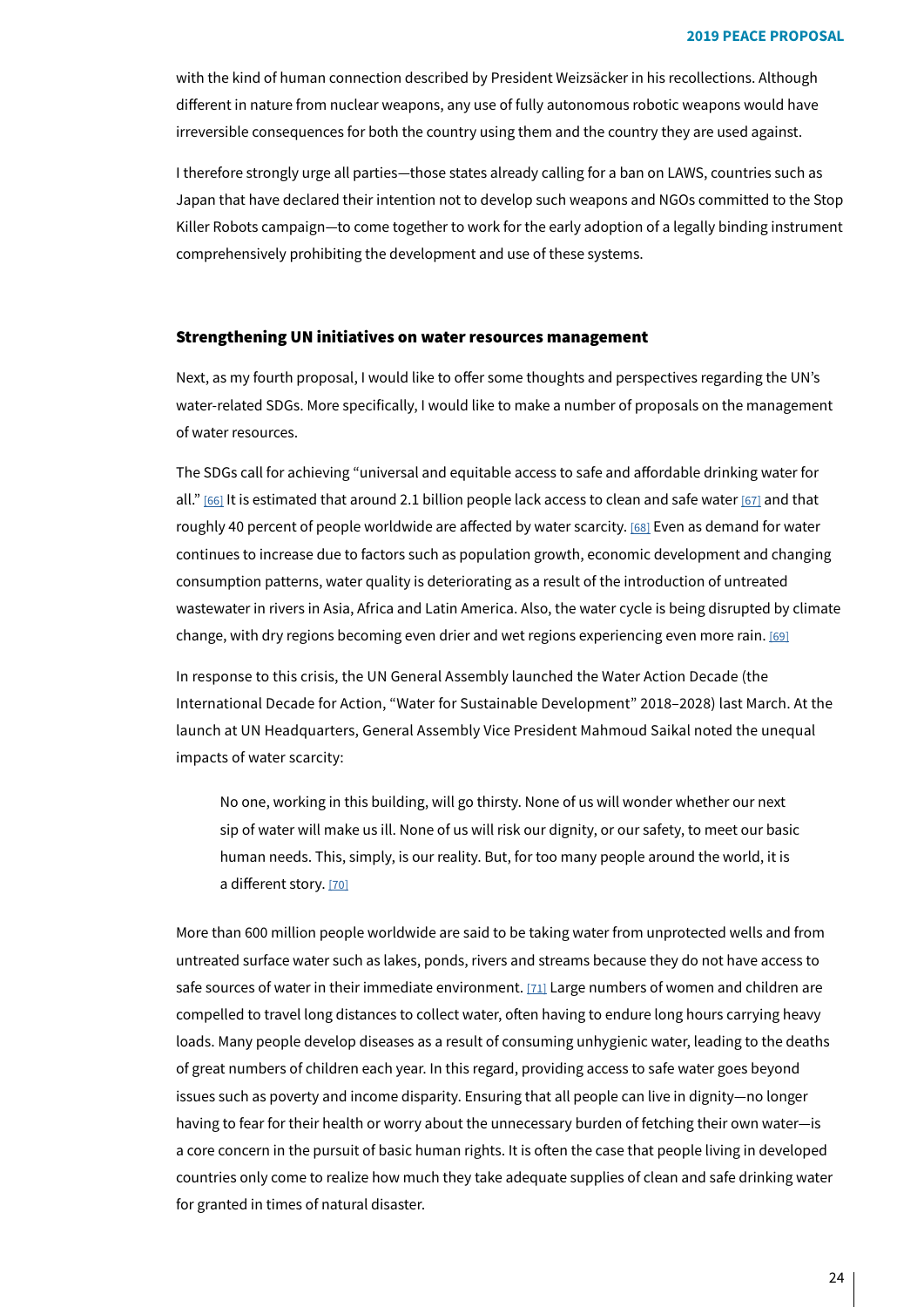with the kind of human connection described by President Weizsäcker in his recollections. Although different in nature from nuclear weapons, any use of fully autonomous robotic weapons would have irreversible consequences for both the country using them and the country they are used against.

I therefore strongly urge all parties—those states already calling for a ban on LAWS, countries such as Japan that have declared their intention not to develop such weapons and NGOs committed to the Stop Killer Robots campaign-to come together to work for the early adoption of a legally binding instrument comprehensively prohibiting the development and use of these systems.

## Strengthening UN initiatives on water resources management

Next, as my fourth proposal, I would like to offer some thoughts and perspectives regarding the UN's water-related SDGs. More specifically, I would like to make a number of proposals on the management of water resources.

<span id="page-23-1"></span><span id="page-23-0"></span>The SDGs call for achieving "universal and equitable access to safe and affordable drinking water for all." [66[\]](#page-30-20) It is estimated that around 2.1 billion people lack access to clean and safe water [[67](#page-30-21)] and that roughly 40 percent of people worldwide are affected by water scarcity. [68[\]](#page-30-22) Even as demand for water continues to increase due to factors such as population growth, economic development and changing consumption patterns, water quality is deteriorating as a result of the introduction of untreated wastewater in rivers in Asia, Africa and Latin America. Also, the water cycle is being disrupted by climate change, with dry regions becoming even drier and wet regions experiencing even more rain. [\[69\]](#page-30-23)

In response to this crisis, the UN General Assembly launched the Water Action Decade (the International Decade for Action, "Water for Sustainable Development" 2018-2028) last March. At the launch at UN Headquarters, General Assembly Vice President Mahmoud Saikal noted the unequal impacts of water scarcity:

<span id="page-23-2"></span>No one, working in this building, will go thirsty. None of us will wonder whether our next sip of water will make us ill. None of us will risk our dignity, or our safety, to meet our basic human needs. This, simply, is our reality. But, for too many people around the world, it is a different story. [\[70\]](#page-30-24)

More than 600 million people worldwide are said to be taking water from unprotected wells and from untreated surface water such as lakes, ponds, rivers and streams because they do not have access to safe sources of water in their immediate environment. [71[\]](#page-30-25) Large numbers of women and children are compelled to travel long distances to collect water, often having to endure long hours carrying heavy loads. Many people develop diseases as a result of consuming unhygienic water, leading to the deaths of great numbers of children each year. In this regard, providing access to safe water goes beyond issues such as poverty and income disparity. Ensuring that all people can live in dignity-no longer having to fear for their health or worry about the unnecessary burden of fetching their own water-is a core concern in the pursuit of basic human rights. It is often the case that people living in developed countries only come to realize how much they take adequate supplies of clean and safe drinking water for granted in times of natural disaster.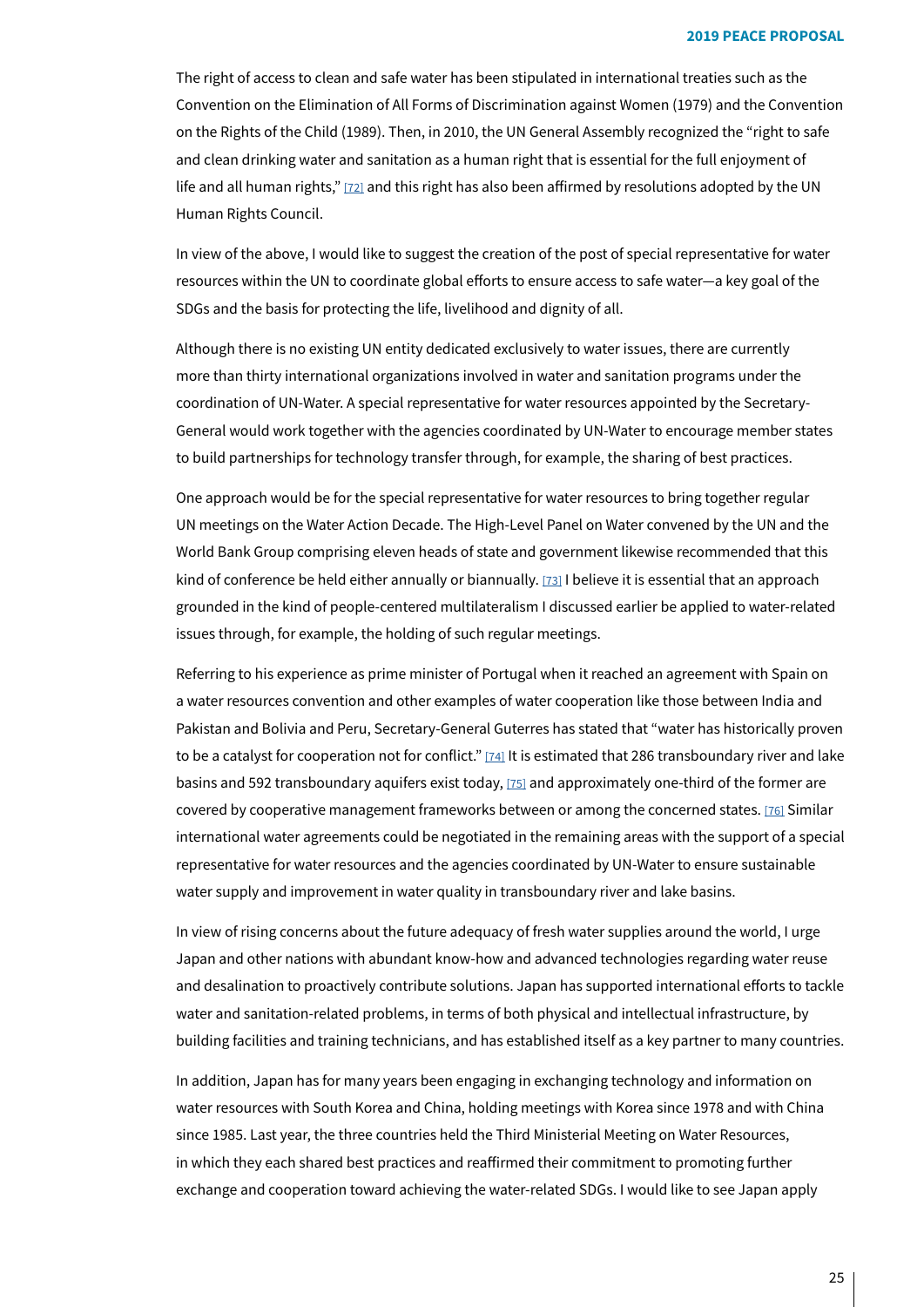The right of access to clean and safe water has been stipulated in international treaties such as the Convention on the Elimination of All Forms of Discrimination against Women (1979) and the Convention on the Rights of the Child (1989). Then, in 2010, the UN General Assembly recognized the "right to safe and clean drinking water and sanitation as a human right that is essential for the full enjoyment of life and all human rights,"  $[72]$  $[72]$  and this right has also been affirmed by resolutions adopted by the UN Human Rights Council.

In view of the above, I would like to suggest the creation of the post of special representative for water resources within the UN to coordinate global efforts to ensure access to safe water—a key goal of the SDGs and the basis for protecting the life, livelihood and dignity of all.

Although there is no existing UN entity dedicated exclusively to water issues, there are currently more than thirty international organizations involved in water and sanitation programs under the General would work together with the agencies coordinated by UN-Water to encourage member states coordination of UN-Water. A special representative for water resources appointed by the Secretaryto build partnerships for technology transfer through, for example, the sharing of best practices.

One approach would be for the special representative for water resources to bring together regular UN meetings on the Water Action Decade. The High-Level Panel on Water convened by the UN and the World Bank Group comprising eleven heads of state and government likewise recommended that this kind of conference be held either annually or biannually. [73[\]](#page-30-27) I believe it is essential that an approach grounded in the kind of people-centered multilateralism I discussed earlier be applied to water-related issues through, for example, the holding of such regular meetings.

Referring to his experience as prime minister of Portugal when it reached an agreement with Spain on a water resources convention and other examples of water cooperation like those between India and Pakistan and Bolivia and Peru, Secretary-General Guterres has stated that "water has historically proven to be a catalyst for cooperation not for conflict."  $[74]$  $[74]$  It is estimated that 286 transboundary river and lake basins and 592 transboundary aquifers exist today, [75[\]](#page-30-29) and approximately one-third of the former are covered by cooperative management frameworks between or among the concerned states. [76[\]](#page-30-30) Similar international water agreements could be negotiated in the remaining areas with the support of a special representative for water resources and the agencies coordinated by UN-Water to ensure sustainable water supply and improvement in water quality in transboundary river and lake basins.

In view of rising concerns about the future adequacy of fresh water supplies around the world, I urge Japan and other nations with abundant know-how and advanced technologies regarding water reuse and desalination to proactively contribute solutions. Japan has supported international efforts to tackle water and sanitation-related problems, in terms of both physical and intellectual infrastructure, by building facilities and training technicians, and has established itself as a key partner to many countries.

In addition, Japan has for many years been engaging in exchanging technology and information on water resources with South Korea and China, holding meetings with Korea since 1978 and with China since 1985. Last year, the three countries held the Third Ministerial Meeting on Water Resources, in which they each shared best practices and reaffirmed their commitment to promoting further exchange and cooperation toward achieving the water-related SDGs. I would like to see Japan apply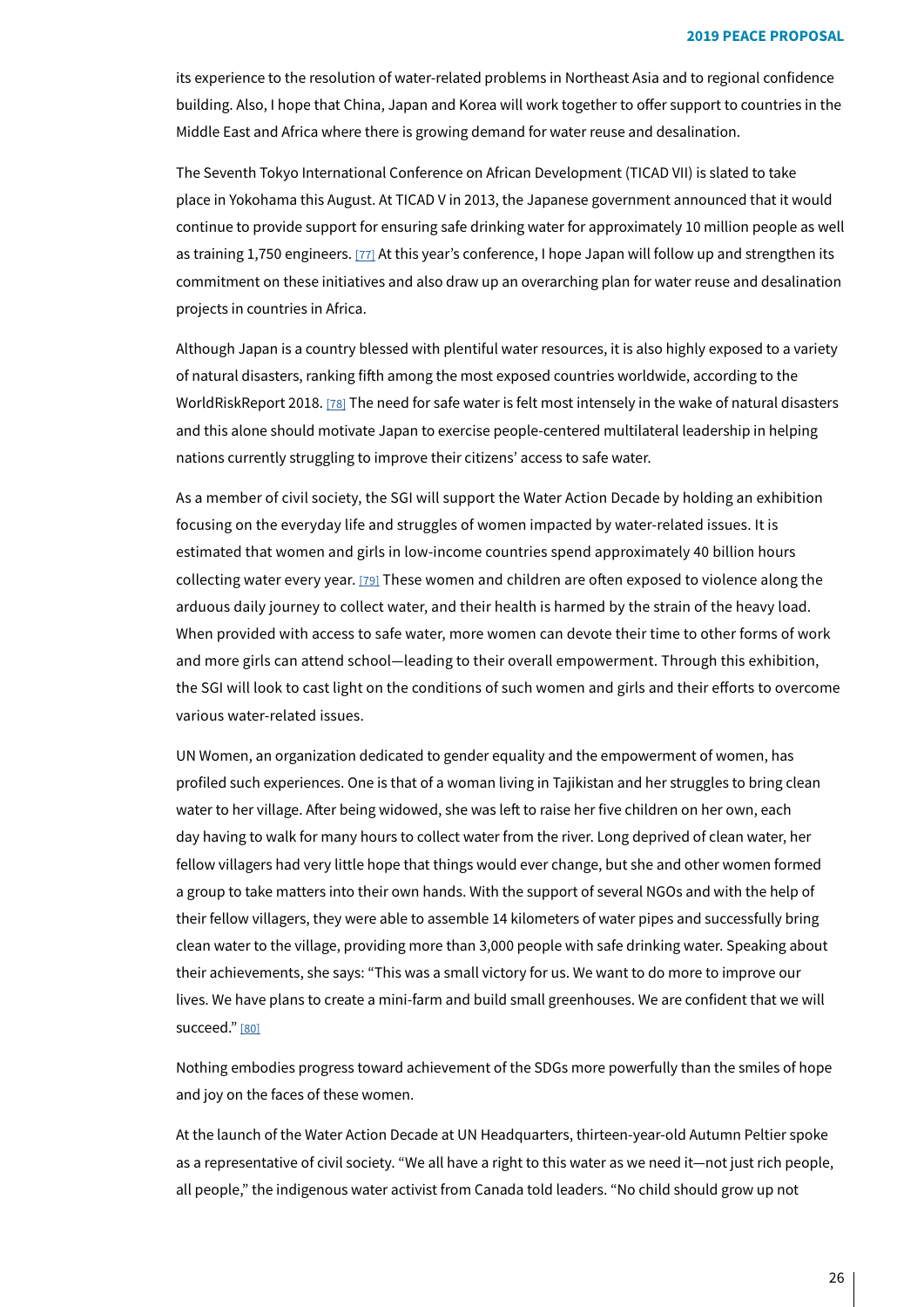its experience to the resolution of water-related problems in Northeast Asia and to regional confidence building. Also, I hope that China, Japan and Korea will work together to offer support to countries in the Middle East and Africa where there is growing demand for water reuse and desalination.

The Seventh Tokyo International Conference on African Development (TICAD VII) is slated to take place in Yokohama this August. At TICAD V in 2013, the Japanese government announced that it would continue to provide support for ensuring safe drinking water for approximately 10 million people as well as training 1,750 engineers. [77] At this year's conference, I hope Japan will follow up and strengthen its commitment on these initiatives and also draw up an overarching plan for water reuse and desalination projects in countries in Africa.

Although Japan is a country blessed with plentiful water resources, it is also highly exposed to a variety of natural disasters, ranking fifth among the most exposed countries worldwide, according to the WorldRiskReport 2018. [78[\]](#page-30-32) The need for safe water is felt most intensely in the wake of natural disasters and this alone should motivate Japan to exercise people-centered multilateral leadership in helping nations currently struggling to improve their citizens' access to safe water.

As a member of civil society, the SGI will support the Water Action Decade by holding an exhibition focusing on the everyday life and struggles of women impacted by water-related issues. It is estimated that women and girls in low-income countries spend approximately 40 billion hours collecting water every year. [79] These women and children are often exposed to violence along the arduous daily journey to collect water, and their health is harmed by the strain of the heavy load. When provided with access to safe water, more women can devote their time to other forms of work and more girls can attend school-leading to their overall empowerment. Through this exhibition, the SGI will look to cast light on the conditions of such women and girls and their efforts to overcome various water-related issues.

UN Women, an organization dedicated to gender equality and the empowerment of women, has profiled such experiences. One is that of a woman living in Tajikistan and her struggles to bring clean water to her village. After being widowed, she was left to raise her five children on her own, each day having to walk for many hours to collect water from the river. Long deprived of clean water, her fellow villagers had very little hope that things would ever change, but she and other women formed a group to take matters into their own hands. With the support of several NGOs and with the help of their fellow villagers, they were able to assemble 14 kilometers of water pipes and successfully bring clean water to the village, providing more than 3,000 people with safe drinking water. Speaking about their achievements, she says: "This was a small victory for us. We want to do more to improve our lives. We have plans to create a mini-farm and build small greenhouses. We are confident that we will succeed." [\[80\]](#page-30-34)

Nothing embodies progress toward achievement of the SDGs more powerfully than the smiles of hope and joy on the faces of these women.

At the launch of the Water Action Decade at UN Headquarters, thirteen-year-old Autumn Peltier spoke as a representative of civil society. "We all have a right to this water as we need it—not just rich people, all people," the indigenous water activist from Canada told leaders. "No child should grow up not

26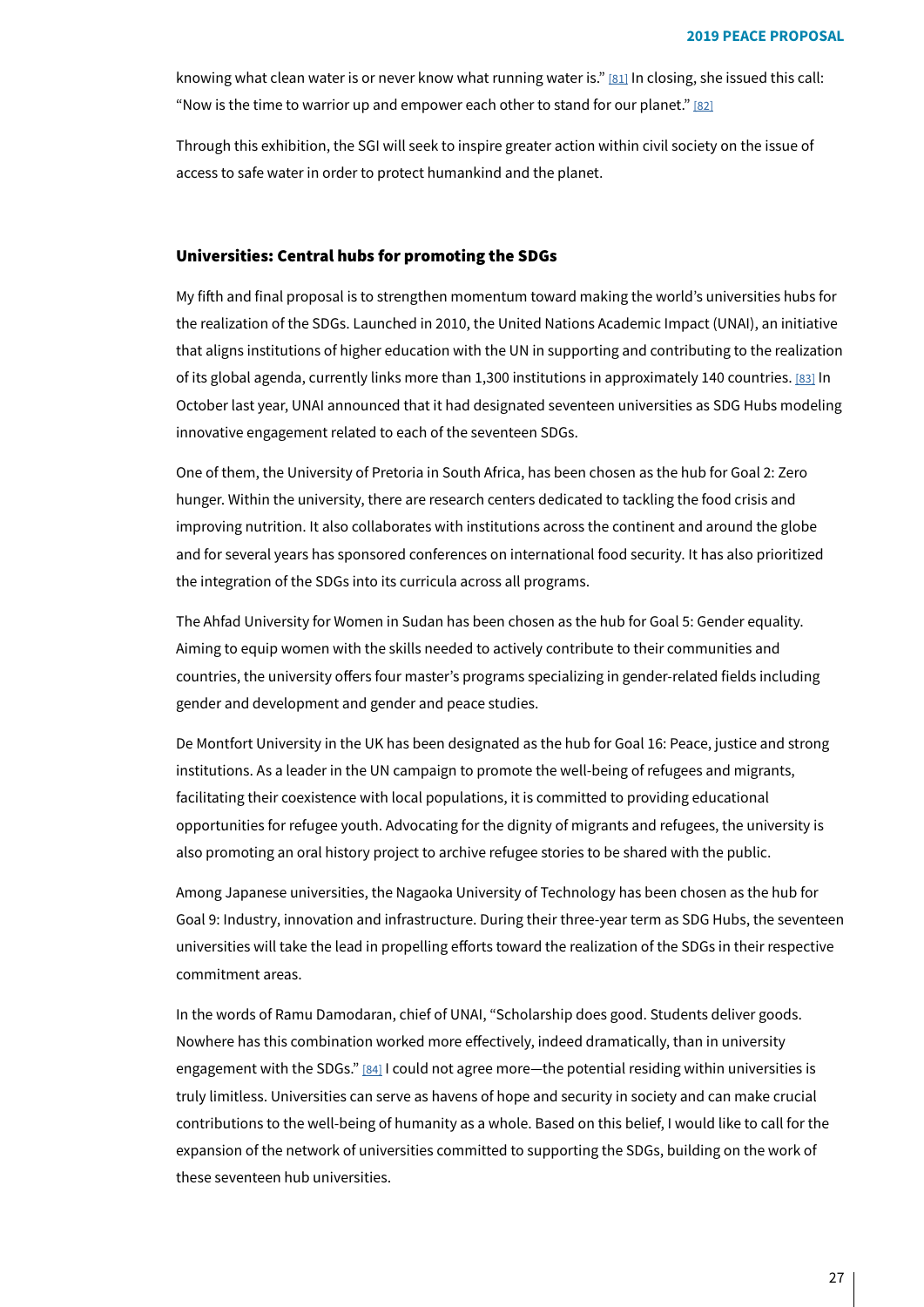knowing what clean water is or never know what running water is." [81] In closing, she issued this call: "Now is the time to warrior up and empower each other to stand for our planet." [\[82\]](#page-30-36)

Through this exhibition, the SGI will seek to inspire greater action within civil society on the issue of access to safe water in order to protect humankind and the planet.

#### Universities: Central hubs for promoting the SDGs

My fifth and final proposal is to strengthen momentum toward making the world's universities hubs for the realization of the SDGs. Launched in 2010, the United Nations Academic Impact (UNAI), an initiative that aligns institutions of higher education with the UN in supporting and contributing to the realization of its global agenda, currently links more than 1,300 institutions in approximately 140 countries. [83[\]](#page-30-37) In October last year, UNAI announced that it had designated seventeen universities as SDG Hubs modeling innovative engagement related to each of the seventeen SDGs.

One of them, the University of Pretoria in South Africa, has been chosen as the hub for Goal 2: Zero hunger. Within the university, there are research centers dedicated to tackling the food crisis and improving nutrition. It also collaborates with institutions across the continent and around the globe and for several years has sponsored conferences on international food security. It has also prioritized the integration of the SDGs into its curricula across all programs.

The Ahfad University for Women in Sudan has been chosen as the hub for Goal 5: Gender equality. Aiming to equip women with the skills needed to actively contribute to their communities and countries, the university offers four master's programs specializing in gender-related fields including gender and development and gender and peace studies.

De Montfort University in the UK has been designated as the hub for Goal 16: Peace, justice and strong institutions. As a leader in the UN campaign to promote the well-being of refugees and migrants, facilitating their coexistence with local populations, it is committed to providing educational opportunities for refugee youth. Advocating for the dignity of migrants and refugees, the university is also promoting an oral history project to archive refugee stories to be shared with the public.

Among Japanese universities, the Nagaoka University of Technology has been chosen as the hub for Goal 9: Industry, innovation and infrastructure. During their three-year term as SDG Hubs, the seventeen universities will take the lead in propelling efforts toward the realization of the SDGs in their respective commitment areas.

In the words of Ramu Damodaran, chief of UNAI, "Scholarship does good. Students deliver goods. Nowhere has this combination worked more effectively, indeed dramatically, than in university engagement with the SDGs." [84[\]](#page-30-38) I could not agree more—the potential residing within universities is truly limitless. Universities can serve as havens of hope and security in society and can make crucial contributions to the well-being of humanity as a whole. Based on this belief, I would like to call for the expansion of the network of universities committed to supporting the SDGs, building on the work of these seventeen hub universities.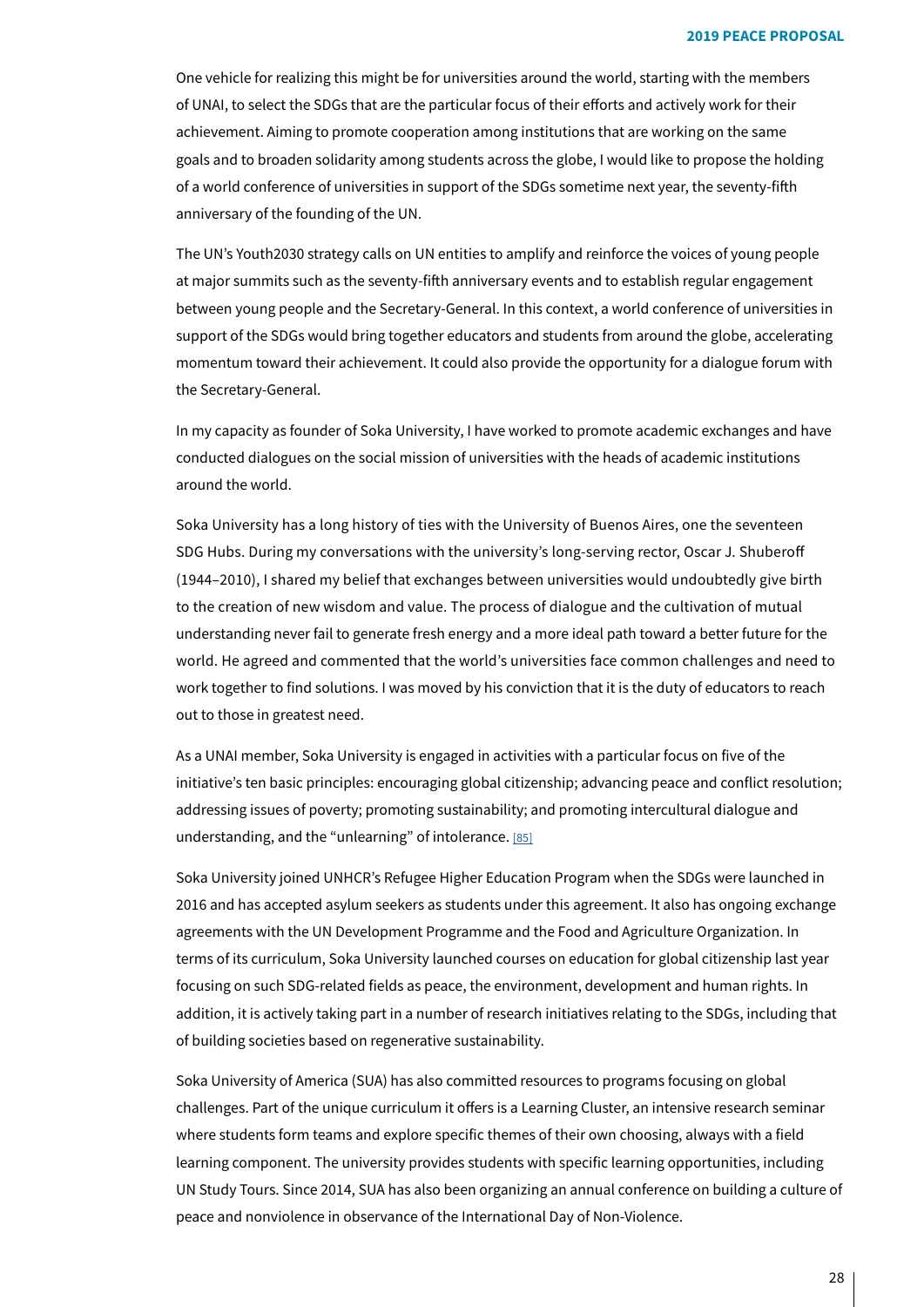One vehicle for realizing this might be for universities around the world, starting with the members of UNAI, to select the SDGs that are the particular focus of their efforts and actively work for their achievement. Aiming to promote cooperation among institutions that are working on the same goals and to broaden solidarity among students across the globe, I would like to propose the holding of a world conference of universities in support of the SDGs sometime next year, the seventy-fifth anniversary of the founding of the UN.

The UN's Youth2030 strategy calls on UN entities to amplify and reinforce the voices of young people at major summits such as the seventy-fifth anniversary events and to establish regular engagement between young people and the Secretary-General. In this context, a world conference of universities in support of the SDGs would bring together educators and students from around the globe, accelerating momentum toward their achievement. It could also provide the opportunity for a dialogue forum with the Secretary-General.

In my capacity as founder of Soka University, I have worked to promote academic exchanges and have conducted dialogues on the social mission of universities with the heads of academic institutions around the world.

Soka University has a long history of ties with the University of Buenos Aires, one the seventeen SDG Hubs. During my conversations with the university's long-serving rector, Oscar J. Shuberoff (1944-2010), I shared my belief that exchanges between universities would undoubtedly give birth to the creation of new wisdom and value. The process of dialogue and the cultivation of mutual understanding never fail to generate fresh energy and a more ideal path toward a better future for the world. He agreed and commented that the world's universities face common challenges and need to work together to find solutions. I was moved by his conviction that it is the duty of educators to reach out to those in greatest need.

As a UNAI member, Soka University is engaged in activities with a particular focus on five of the initiative's ten basic principles: encouraging global citizenship; advancing peace and conflict resolution; addressing issues of poverty; promoting sustainability; and promoting intercultural dialogue and understanding, and the "unlearning" of intolerance. [\[85\]](#page-30-39)

Soka University joined UNHCR's Refugee Higher Education Program when the SDGs were launched in 2016 and has accepted asylum seekers as students under this agreement. It also has ongoing exchange agreements with the UN Development Programme and the Food and Agriculture Organization. In terms of its curriculum, Soka University launched courses on education for global citizenship last year focusing on such SDG-related fields as peace, the environment, development and human rights. In addition, it is actively taking part in a number of research initiatives relating to the SDGs, including that of building societies based on regenerative sustainability.

Soka University of America (SUA) has also committed resources to programs focusing on global challenges. Part of the unique curriculum it offers is a Learning Cluster, an intensive research seminar where students form teams and explore specific themes of their own choosing, always with a field learning component. The university provides students with specific learning opportunities, including UN Study Tours. Since 2014, SUA has also been organizing an annual conference on building a culture of peace and nonviolence in observance of the International Day of Non-Violence.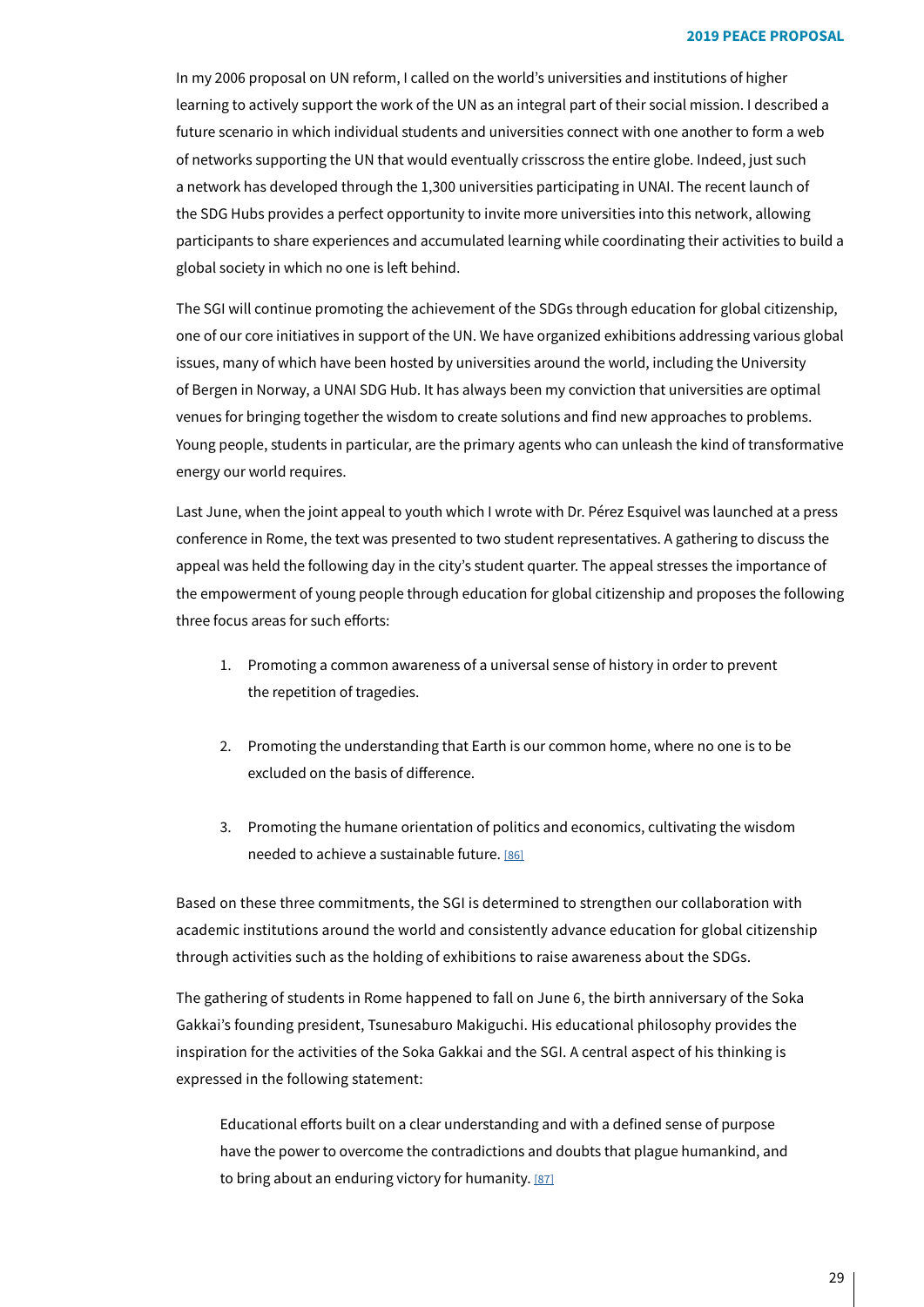In my 2006 proposal on UN reform, I called on the world's universities and institutions of higher learning to actively support the work of the UN as an integral part of their social mission. I described a future scenario in which individual students and universities connect with one another to form a web of networks supporting the UN that would eventually crisscross the entire globe. Indeed, just such a network has developed through the 1,300 universities participating in UNAI. The recent launch of the SDG Hubs provides a perfect opportunity to invite more universities into this network, allowing participants to share experiences and accumulated learning while coordinating their activities to build a global society in which no one is left behind.

The SGI will continue promoting the achievement of the SDGs through education for global citizenship, one of our core initiatives in support of the UN. We have organized exhibitions addressing various global issues, many of which have been hosted by universities around the world, including the University of Bergen in Norway, a UNAI SDG Hub. It has always been my conviction that universities are optimal venues for bringing together the wisdom to create solutions and find new approaches to problems. Young people, students in particular, are the primary agents who can unleash the kind of transformative energy our world requires.

Last June, when the joint appeal to youth which I wrote with Dr. Pérez Esquivel was launched at a press conference in Rome, the text was presented to two student representatives. A gathering to discuss the appeal was held the following day in the city's student quarter. The appeal stresses the importance of the empowerment of young people through education for global citizenship and proposes the following three focus areas for such efforts:

- 1. Promoting a common awareness of a universal sense of history in order to prevent the repetition of tragedies.
- 2. Promoting the understanding that Earth is our common home, where no one is to be excluded on the basis of difference.
- 3. Promoting the humane orientation of politics and economics, cultivating the wisdom needed to achieve a sustainable future. [\[86\]](#page-30-40)

Based on these three commitments, the SGI is determined to strengthen our collaboration with academic institutions around the world and consistently advance education for global citizenship through activities such as the holding of exhibitions to raise awareness about the SDGs.

The gathering of students in Rome happened to fall on June 6, the birth anniversary of the Soka Gakkai's founding president, Tsunesaburo Makiguchi. His educational philosophy provides the inspiration for the activities of the Soka Gakkai and the SGI. A central aspect of his thinking is expressed in the following statement:

Educational efforts built on a clear understanding and with a defined sense of purpose have the power to overcome the contradictions and doubts that plague humankind, and to bring about an enduring victory for humanity.  $[87]$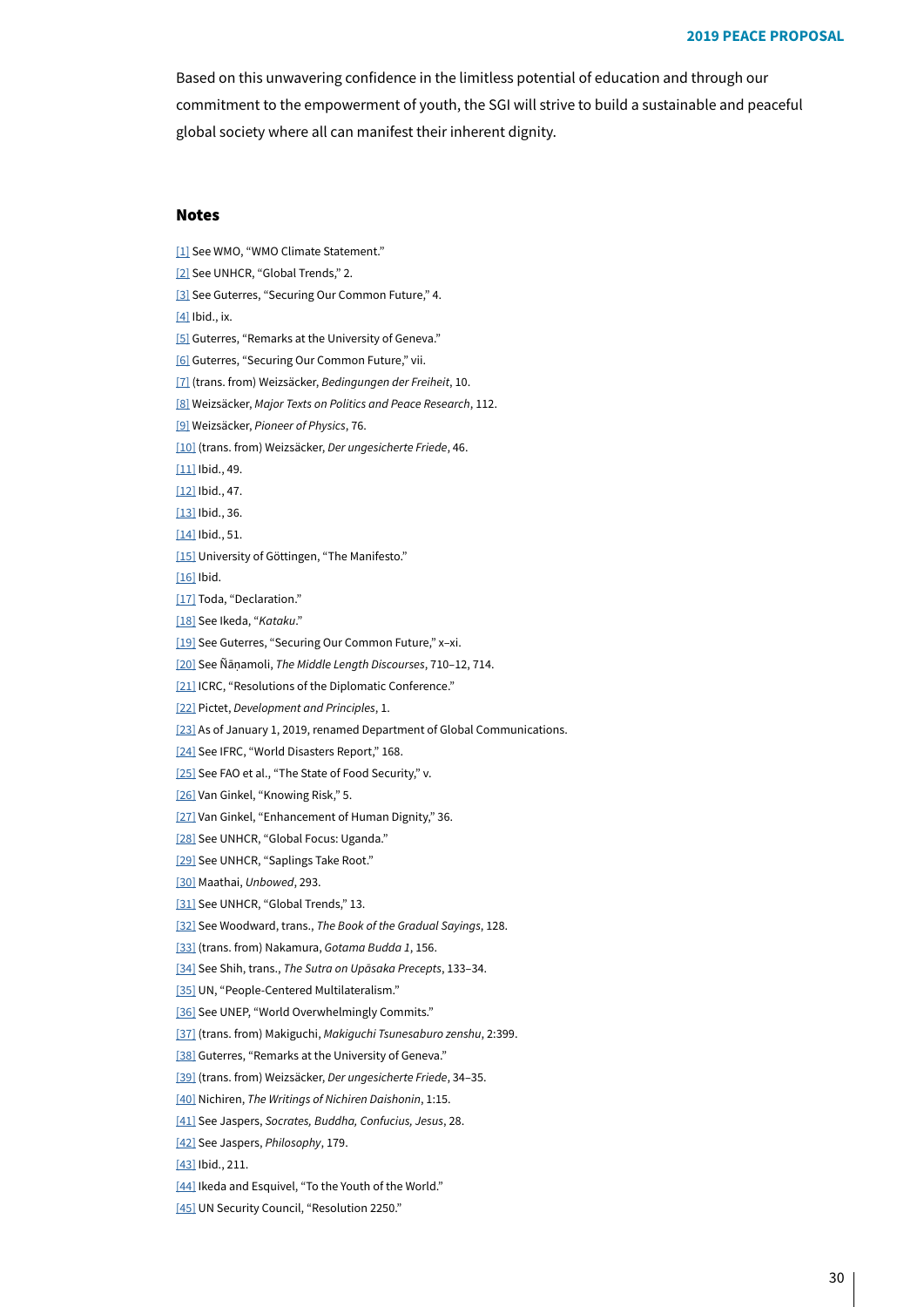Based on this unwavering confidence in the limitless potential of education and through our commitment to the empowerment of youth, the SGI will strive to build a sustainable and peaceful global society where all can manifest their inherent dignity.

## Notes

- [1[\]](#page-0-0) See WMO, "WMO Climate Statement."
- <span id="page-29-0"></span>[2[\]](#page-0-1) See UNHCR, "Global Trends," 2.
- <span id="page-29-1"></span>[3[\]](#page-0-2) See Guterres, "Securing Our Common Future," 4.
- <span id="page-29-2"></span> $[4]$  $[4]$  Ibid., ix.
- <span id="page-29-3"></span>[5[\]](#page-0-4) Guterres, "Remarks at the University of Geneva."
- <span id="page-29-4"></span>[6] Guterres, "Securing Our Common Future," vii.
- <span id="page-29-5"></span>[7] (trans. from) Weizsäcker, Bedingungen der Freiheit, 10.
- <span id="page-29-6"></span>[8] Weizsäcker, Major Texts on Politics and Peace Research, 112.
- <span id="page-29-7"></span>[9] Weizsäcker, Pioneer of Physics, 76.
- [10[\]](#page-2-0) (trans. from) Weizsäcker, Der ungesicherte Friede, 46.
- <span id="page-29-8"></span> $[11]$  $[11]$  Ibid., 49.
- <span id="page-29-9"></span> $[12]$  $[12]$  Ibid., 47.
- <span id="page-29-10"></span> $[13]$  $[13]$  Ibid., 36.
- <span id="page-29-11"></span> $[14]$  $[14]$  Ibid., 51.
- [15[\]](#page-2-5) University of Göttingen, "The Manifesto."

<span id="page-29-12"></span> $[16]$  $[16]$  Ibid.

- [17[\]](#page-2-7) Toda, "Declaration."
- [18[\]](#page-3-0) See Ikeda, "Kataku."
- [19[\]](#page-3-1) See Guterres, "Securing Our Common Future," x-xi.
- [20[\]](#page-3-2) See Ñāṇamoli, The Middle Length Discourses, 710-12, 714.
- [21[\]](#page-5-0) ICRC, "Resolutions of the Diplomatic Conference."
- <span id="page-29-13"></span>[22[\]](#page-5-1) Pictet, Development and Principles, 1.
- <span id="page-29-14"></span>[23[\]](#page-6-0) As of January 1, 2019, renamed Department of Global Communications.
- <span id="page-29-15"></span>[24[\]](#page-6-1) See IFRC, "World Disasters Report," 168.
- <span id="page-29-16"></span>[25[\]](#page-6-2) See FAO et al., "The State of Food Security," v.
- <span id="page-29-17"></span>[26[\]](#page-6-3) Van Ginkel, "Knowing Risk," 5.
- <span id="page-29-18"></span>[27[\]](#page-7-0) Van Ginkel, "Enhancement of Human Dignity," 36.
- <span id="page-29-19"></span>[28[\]](#page-7-1) See UNHCR, "Global Focus: Uganda."
- <span id="page-29-20"></span>[29[\]](#page-7-2) See UNHCR, "Saplings Take Root."
- <span id="page-29-21"></span>[30[\]](#page-7-3) Maathai, Unbowed, 293.
- <span id="page-29-22"></span>[31[\]](#page-8-0) See UNHCR, "Global Trends," 13.
- <span id="page-29-23"></span>[32[\]](#page-8-1) See Woodward, trans., The Book of the Gradual Sayings, 128.
- <span id="page-29-24"></span>[33[\]](#page-8-2) (trans. from) Nakamura, Gotama Budda 1, 156.
- <span id="page-29-25"></span>[34[\]](#page-9-0) See Shih, trans., The Sutra on Upāsaka Precepts, 133-34.
- <span id="page-29-26"></span>[35[\]](#page-9-1) UN, "People-Centered Multilateralism."
- <span id="page-29-27"></span>[36[\]](#page-10-0) See UNEP, "World Overwhelmingly Commits."
- <span id="page-29-28"></span>[37[\]](#page-10-1) (trans. from) Makiguchi, Makiquchi Tsunesaburo zenshu, 2:399.
- <span id="page-29-29"></span>[38[\]](#page-11-0) Guterres, "Remarks at the University of Geneva."
- <span id="page-29-30"></span>[39[\]](#page-11-1) (trans. from) Weizsäcker, Der ungesicherte Friede, 34-35.
- <span id="page-29-31"></span>[40[\]](#page-12-0) Nichiren, The Writings of Nichiren Daishonin, 1:15.
- <span id="page-29-32"></span>[41[\]](#page-12-1) See Jaspers, Socrates, Buddha, Confucius, Jesus, 28.
- <span id="page-29-33"></span>[42[\]](#page-12-2) See Jaspers, Philosophy, 179.
- <span id="page-29-34"></span>[43[\]](#page-13-0) Ibid., 211.
- <span id="page-29-35"></span>[44[\]](#page-13-1) Ikeda and Esquivel, "To the Youth of the World."
- <span id="page-29-36"></span>[45[\]](#page-14-0) UN Security Council, "Resolution 2250."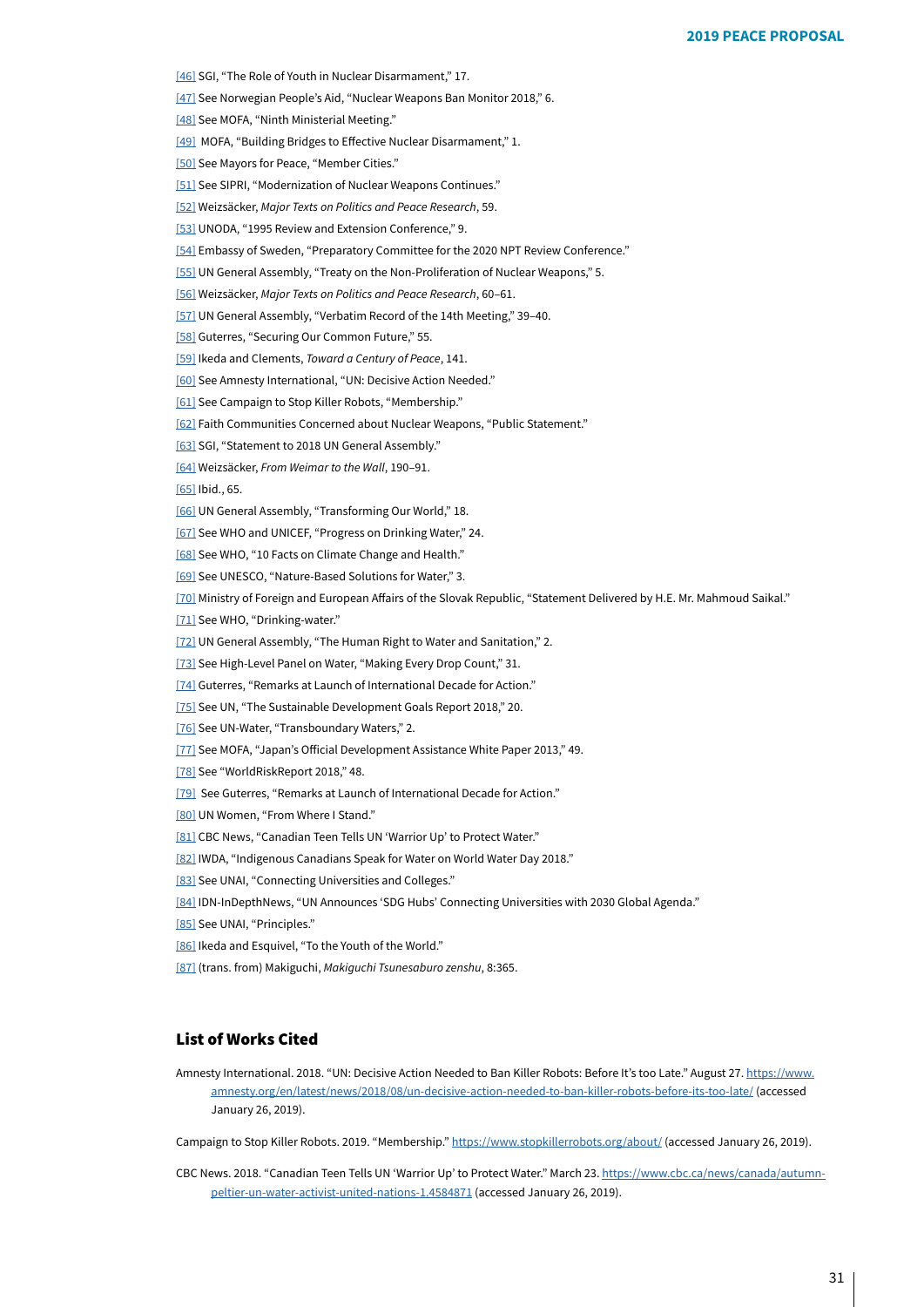<span id="page-30-0"></span>[46[\]](#page-14-1) SGI, "The Role of Youth in Nuclear Disarmament," 17.

<span id="page-30-1"></span>[47[\]](#page-14-2) See Norwegian People's Aid, "Nuclear Weapons Ban Monitor 2018," 6.

<span id="page-30-2"></span>[48[\]](#page-15-0) See MOFA, "Ninth Ministerial Meeting."

<span id="page-30-3"></span>[49[\]](#page-16-0) MOFA, "Building Bridges to Effective Nuclear Disarmament," 1.

<span id="page-30-4"></span>[50[\]](#page-16-1) See Mayors for Peace, "Member Cities."

<span id="page-30-5"></span>[51[\]](#page-17-0) See SIPRI, "Modernization of Nuclear Weapons Continues."

<span id="page-30-6"></span>[52[\]](#page-17-1) Weizsäcker, Major Texts on Politics and Peace Research, 59.

<span id="page-30-7"></span>[53[\]](#page-17-2) UNODA, "1995 Review and Extension Conference," 9.

<span id="page-30-8"></span>[54[\]](#page-18-0) Embassy of Sweden, "Preparatory Committee for the 2020 NPT Review Conference."

<span id="page-30-9"></span>[55[\]](#page-18-1) UN General Assembly, "Treaty on the Non-Proliferation of Nuclear Weapons," 5.

<span id="page-30-10"></span>[56[\]](#page-18-2) Weizsäcker, Major Texts on Politics and Peace Research, 60-61.

<span id="page-30-11"></span>[57[\]](#page-19-0) UN General Assembly, "Verbatim Record of the 14th Meeting," 39-40.

<span id="page-30-12"></span>[58[\]](#page-20-0) Guterres, "Securing Our Common Future," 55.

<span id="page-30-13"></span>[59[\]](#page-21-0) Ikeda and Clements, *Toward a Century of Peace*, 141.

<span id="page-30-14"></span>[60[\]](#page-21-1) See Amnesty International, "UN: Decisive Action Needed."

<span id="page-30-15"></span>[61[\]](#page-21-2) See Campaign to Stop Killer Robots, "Membership."

<span id="page-30-16"></span>[62[\]](#page-21-3) Faith Communities Concerned about Nuclear Weapons, "Public Statement."

<span id="page-30-17"></span>[63[\]](#page-21-4) SGI, "Statement to 2018 UN General Assembly."

<span id="page-30-18"></span>[64[\]](#page-22-0) Weizsäcker, From Weimar to the Wall, 190-91.

<span id="page-30-19"></span>[65[\]](#page-22-1) Ibid., 65.

<span id="page-30-20"></span>[66[\]](#page-23-0) UN General Assembly, "Transforming Our World," 18.

<span id="page-30-21"></span>[67[\]](#page-23-1) See WHO and UNICEF, "Progress on Drinking Water," 24.

<span id="page-30-22"></span>[68[\]](#page-23-2) See WHO, "10 Facts on Climate Change and Health."

<span id="page-30-23"></span>[69] See UNESCO, "Nature-Based Solutions for Water," 3.

<span id="page-30-24"></span>[70] Ministry of Foreign and European Affairs of the Slovak Republic, "Statement Delivered by H.E. Mr. Mahmoud Saikal."

<span id="page-30-25"></span>[71] See WHO, "Drinking-water."

<span id="page-30-26"></span>[72] UN General Assembly, "The Human Right to Water and Sanitation," 2.

<span id="page-30-27"></span>[73] See High-Level Panel on Water, "Making Every Drop Count," 31.

<span id="page-30-28"></span>[74] Guterres, "Remarks at Launch of International Decade for Action."

<span id="page-30-29"></span>[75] See UN, "The Sustainable Development Goals Report 2018," 20.

<span id="page-30-30"></span>[76] See UN-Water, "Transboundary Waters," 2.

<span id="page-30-31"></span>[77] See MOFA, "Japan's Official Development Assistance White Paper 2013," 49.

<span id="page-30-32"></span>[78] See "WorldRiskReport 2018," 48.

<span id="page-30-33"></span>[79] See Guterres, "Remarks at Launch of International Decade for Action."

<span id="page-30-34"></span>[80] UN Women, "From Where I Stand."

<span id="page-30-35"></span>[81] CBC News, "Canadian Teen Tells UN 'Warrior Up' to Protect Water."

<span id="page-30-36"></span>[82] IWDA, "Indigenous Canadians Speak for Water on World Water Day 2018."

<span id="page-30-37"></span>[83] See UNAI, "Connecting Universities and Colleges."

<span id="page-30-38"></span>[84] IDN-InDepthNews, "UN Announces 'SDG Hubs' Connecting Universities with 2030 Global Agenda."

<span id="page-30-39"></span>[85] See UNAI, "Principles."

<span id="page-30-40"></span>[86] Ikeda and Esquivel. "To the Youth of the World."

[87] (trans. from) Makiguchi, Makiguchi Tsunesaburo zenshu, 8:365.

## **List of Works Cited**

Amnesty International. 2018. "UN: Decisive Action Needed to Ban Killer Robots: Before It's too Late." August 27. https://www. amnesty.org/en/latest/news/2018/08/un-decisive-action-needed-to-ban-killer-robots-before-its-too-late/(accessed January 26, 2019).

Campaignto Stop Killer Robots. 2019. "Membership." https://www.stopkillerrobots.org/about/ (accessed January 26, 2019).

CBC News. 2018. "Canadian Teen Tells UN 'Warrior Up' to Protect Water." March 23. <u>https://www.cbc.ca/news/canada/autumn-</u><br>1.4584871 (accessed January 26, 2019). peltier-un-water-activist-united-nations-1.4584871 (accessed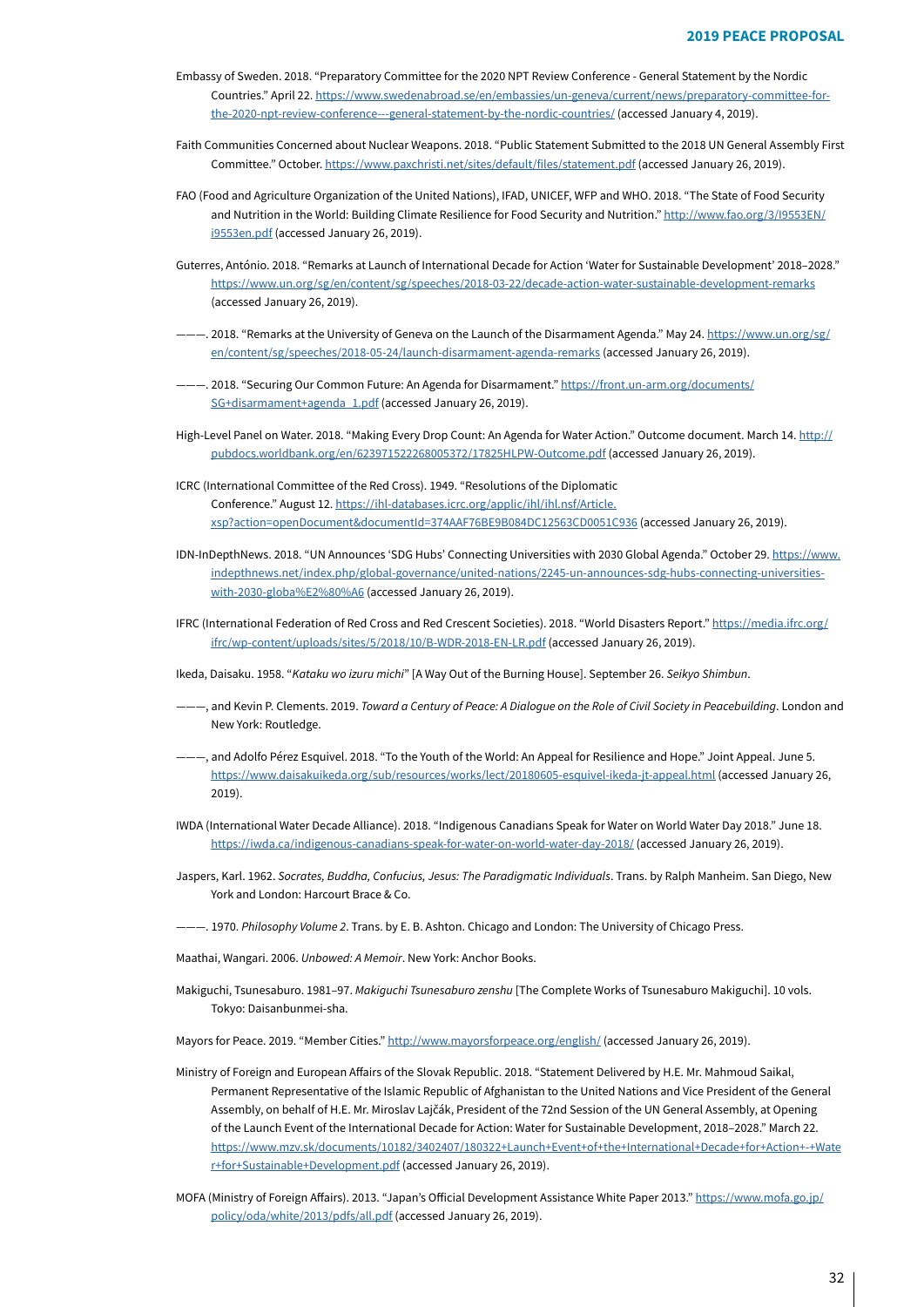- Embassy of Sweden. 2018. "Preparatory Committee for the 2020 NPT Review Conference General Statement by the Nordic the-2020-npt-review-conference---general-statement-by-the-nordic-countries/(accessed January 4, 2019). Countries." April 22. https://www.swedenabroad.se/en/embassies/un-geneva/current/news/preparatory-committee-for-
- Faith Communities Concerned about Nuclear Weapons. 2018. "Public Statement Submitted to the 2018 UN General Assembly First Committee."October. https://www.paxchristi.net/sites/default/files/statement.pdf (accessed January 26, 2019).
- FAO (Food and Agriculture Organization of the United Nations), IFAD, UNICEF, WFP and WHO. 2018. "The State of Food Security and Nutrition in the World: Building Climate Resilience for Food Security and Nutrition." http://www.fao.org/3/19553EN/ i9553en.pdf (accessed January 26, 2019).
- Guterres, António. 2018. "Remarks at Launch of International Decade for Action 'Water for Sustainable Development' 2018-2028." https://www.un.org/sg/en/content/sg/speeches/2018-03-22/decade-action-water-sustainable-development-remarks (accessed January 26, 2019).
- -. 2018. "Remarks at the University of Geneva on the Launch of the Disarmament Agenda." May 24. https://www.un.org/sg/ en/content/sg/speeches/2018-05-24/launch-disarmament-agenda-remarks(accessed January 26, 2019).
- -. 2018. "Securing Our Common Future: An Agenda for Disarmament." https://front.un-arm.org/documents/ SG+disarmament+agenda\_1.pdf (accessed January 26, 2019).
- High-Level Panel on Water. 2018. "Making Every Drop Count: An Agenda for Water Action." Outcome document. March 14. http:// pubdocs.worldbank.org/en/623971522268005372/17825HLPW-Outcome.pdf (accessed January 26, 2019).
- ICRC (International Committee of the Red Cross). 1949. "Resolutions of the Diplomatic Conference." August 12. https://ihl-databases.icrc.org/applic/ihl/ihl.nsf/Article. .(2019)xsp?action=openDocument&documentId=374AAF76BE9B084DC12563CD0051C936 (accessed January 26, 2019)
- IDN-InDepthNews. 2018. "UN Announces 'SDG Hubs' Connecting Universities with 2030 Global Agenda." October 29. https://www. indepthnews.net/index.php/global-governance/united-nations/2245-un-announces-sdg-hubs-connecting-universities-<br><u>with-2030-globa%E2%80%A6</u>(**accessed January 26, 2019**).
- IFRC (International Federation of Red Cross and Red Crescent Societies). 2018. "World Disasters Report." https://media.ifrc.org/ ifrc/wp-content/uploads/sites/5/2018/10/B-WDR-2018-EN-LR.pdf(accessed January 26, 2019).
- Ikeda, Daisaku. 1958. "Kataku wo izuru michi" [A Way Out of the Burning House]. September 26. Seikyo Shimbun.
- --, and Kevin P. Clements. 2019. Toward a Century of Peace: A Dialogue on the Role of Civil Society in Peacebuilding. London and New York: Routledge.
- --, and Adolfo Pérez Esquivel. 2018. "To the Youth of the World: An Appeal for Resilience and Hope." Joint Appeal. June 5. https://www.daisakuikeda.org/sub/resources/works/lect/20180605-esquivel-ikeda-jt-appeal.html (accessed January 26, 2019).
- IWDA (International Water Decade Alliance). 2018. "Indigenous Canadians Speak for Water on World Water Day 2018." June 18. https://iwda.ca/indigenous-canadians-speak-for-water-on-world-water-day-2018/(accessed January 26, 2019).
- Jaspers, Karl. 1962. Socrates, Buddha, Confucius, Jesus: The Paradigmatic Individuals. Trans. by Ralph Manheim. San Diego, New York and London: Harcourt Brace & Co.
- $-$ . 1970. Philosophy Volume 2. Trans. by E. B. Ashton. Chicago and London: The University of Chicago Press.
- Maathai, Wangari. 2006. Unbowed: A Memoir. New York: Anchor Books.
- Makiguchi, Tsunesaburo. 1981-97. Makiguchi Tsunesaburo zenshu [The Complete Works of Tsunesaburo Makiguchi]. 10 vols. Tokyo: Daisanbunmei-sha.
- Mayors for Peace. 2019. "Member Cities." http://www.mayorsforpeace.org/english/ (accessed January 26, 2019).
- Ministry of Foreign and European Affairs of the Slovak Republic. 2018. "Statement Delivered by H.E. Mr. Mahmoud Saikal, Permanent Representative of the Islamic Republic of Afghanistan to the United Nations and Vice President of the General Assembly, on behalf of H.E. Mr. Miroslav Lajčák, President of the 72nd Session of the UN General Assembly, at Opening of the Launch Event of the International Decade for Action: Water for Sustainable Development, 2018-2028." March 22. https://www.mzv.sk/documents/10182/3402407/180322+Launch+Event+of+the+International+Decade+for+Action+-+Wate r+for+Sustainable+Development.pdf(accessed January 26, 2019).
- MOFA(Ministry of Foreign Affairs). 2013. "Japan's Official Development Assistance White Paper 2013." https://www.mofa.go.jp/ policy/oda/white/2013/pdfs/all.pdf(accessed January 26, 2019).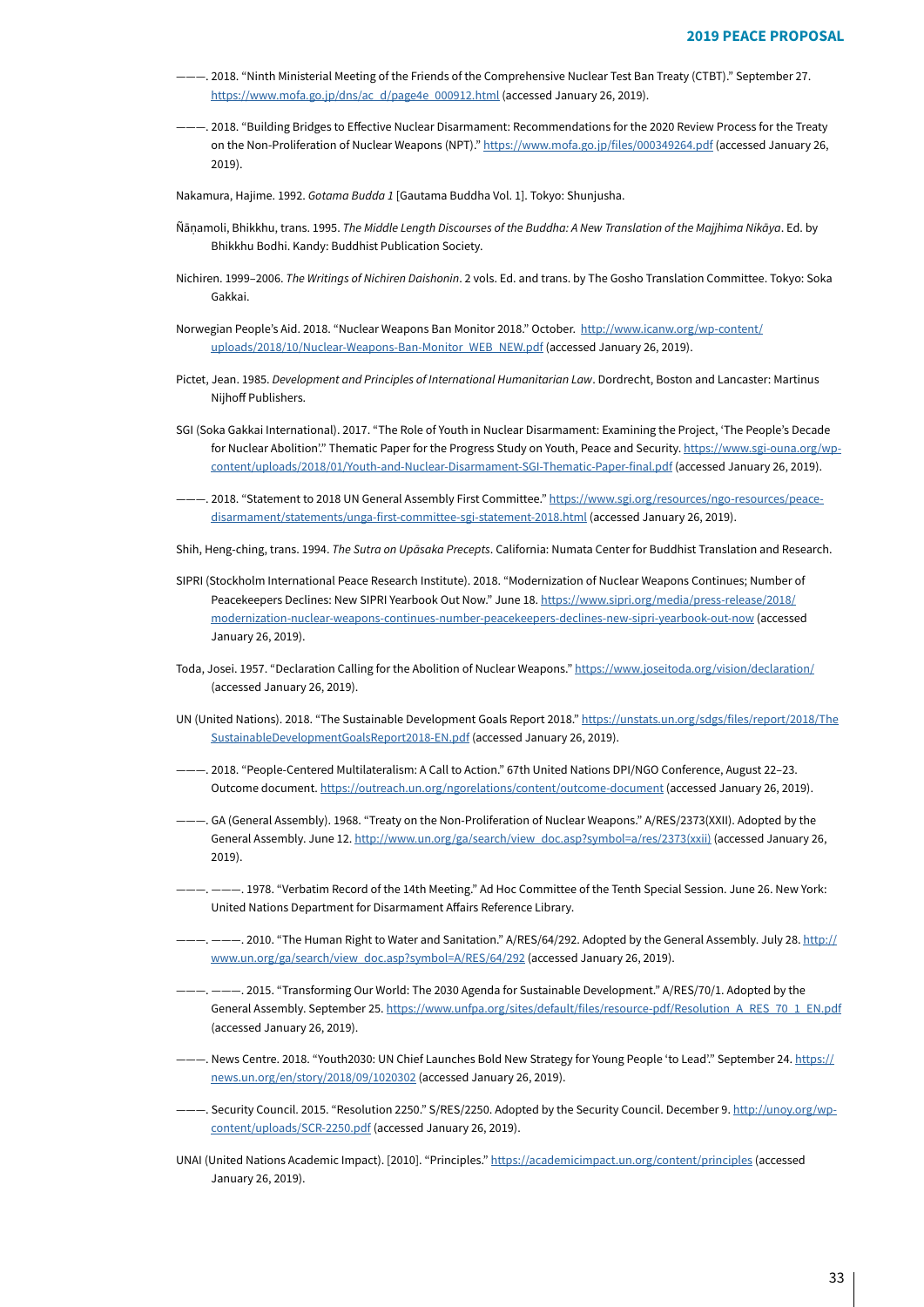- <sup>277</sup>. 2018. "Ninth Ministerial Meeting of the Friends of the Comprehensive Nuclear Test Ban Treaty (CTBT)." September 27. https://www.mofa.go.jp/dns/ac\_d/page4e\_000912.html(accessed January 26, 2019).
- $---$ . 2018. "Building Bridges to Effective Nuclear Disarmament: Recommendations for the 2020 Review Process for the Treaty onthe Non-Proliferation of Nuclear Weapons (NPT)." https://www.mofa.go.jp/files/000349264.pdf (accessed January 26, .(2019

Nakamura, Hajime. 1992. Gotama Budda 1 [Gautama Buddha Vol. 1]. Tokyo: Shunjusha.

- Ñānamoli. Bhikkhu, trans. 1995. The Middle Length Discourses of the Buddha: A New Translation of the Majihima Nikāya, Ed. by Bhikkhu Bodhi. Kandy: Buddhist Publication Society.
- Nichiren. 1999-2006. The Writings of Nichiren Daishonin. 2 vols. Ed. and trans. by The Gosho Translation Committee. Tokyo: Soka .Gakkai
- Norwegian People's Aid. 2018. "Nuclear Weapons Ban Monitor 2018." October. http://www.icanw.org/wp-content/ uploads/2018/10/Nuclear-Weapons-Ban-Monitor\_WEB\_NEW.pdf (accessed January 26, 2019).
- Pictet, Jean. 1985. Development and Principles of International Humanitarian Law. Dordrecht, Boston and Lancaster: Martinus Nijhoff Publishers.
- SGI (Soka Gakkai International). 2017. "The Role of Youth in Nuclear Disarmament: Examining the Project, 'The People's Decade content/uploads/2018/01/Youth-and-Nuclear-Disarmament-SGI-Thematic-Paper-final.pdf (accessed January 26, 2019). for Nuclear Abolition". Thematic Paper for the Progress Study on Youth, Peace and Security. https://www.sgi-ouna.org/wp-
- ———. 2018. "Statement to 2018 UN General Assembly First Committee." <u>https://www.sgi.org/resources/ngo-resources/peace-</u><br>disarmament/statements/unga-first-committee-sgi-statement-2018.html (accessed January 26, 2019).
- Shih, Heng-ching, trans. 1994. The Sutra on Upāsaka Precepts. California: Numata Center for Buddhist Translation and Research.
- SIPRI (Stockholm International Peace Research Institute). 2018. "Modernization of Nuclear Weapons Continues; Number of Peacekeepers Declines: New SIPRI Yearbook Out Now." June 18. https://www.sipri.org/media/press-release/2018/ modernization-nuclear-weapons-continues-number-peacekeepers-declines-new-sipri-yearbook-out-now (accessed January 26, 2019).
- Toda, Josei. 1957. "Declaration Calling for the Abolition of Nuclear Weapons." https://www.joseitoda.org/vision/declaration/ (accessed January 26, 2019).
- UN (United Nations). 2018. "The Sustainable Development Goals Report 2018." https://unstats.un.org/sdgs/files/report/2018/The SustainableDevelopmentGoalsReport2018-EN.pdf(accessed January 26, 2019).
- ---. 2018. "People-Centered Multilateralism: A Call to Action." 67th United Nations DPI/NGO Conference, August 22-23. Outcomedocument. https://outreach.un.org/ngorelations/content/outcome-document (accessed January 26, 2019).
- -. GA (General Assembly). 1968. "Treaty on the Non-Proliferation of Nuclear Weapons." A/RES/2373(XXII). Adopted by the General Assembly. June 12. http://www.un.org/ga/search/view\_doc.asp?symbol=a/res/2373(xxii[\)](http://www.un.org/ga/search/view_doc.asp?symbol=a/res/2373(xxii)) (accessed January 26, 2019).
- -. 1978. "Verbatim Record of the 14th Meeting." Ad Hoc Committee of the Tenth Special Session. June 26. New York: United Nations Department for Disarmament Affairs Reference Library.
- -. ———. 2010. "The Human Right to Water and Sanitation." A/RES/64/292. Adopted by the General Assembly. July 28. http:// www.un.org/ga/search/view\_doc.asp?symbol=A/RES/64/292 (accessed January 26, 2019).
- -. 2015. "Transforming Our World: The 2030 Agenda for Sustainable Development." A/RES/70/1. Adopted by the General Assembly. September 25. https://www.unfpa.org/sites/default/files/resource-pdf/Resolution\_A\_RES\_70\_1\_EN.pdf (accessed January 26, 2019).
- ...<br>-.. News Centre. 2018. "Youth2030: UN Chief Launches Bold New Strategy for Young People 'to Lead'." September 24. https:// news.un.org/en/story/2018/09/1020302 (accessed January 26, 2019).
- ———. Security Council. 2015. "Resolution 2250." S/RES/2250. Adopted by the Security Council. December 9. <u>http://unoy.org/wp-</u><br><u>content/uploads/SCR-2250.pdf</u> (accessed January 26, 2019).
- UNAI(United Nations Academic Impact). [2010]. "Principles." https://academicimpact.un.org/content/principles (accessed January 26, 2019).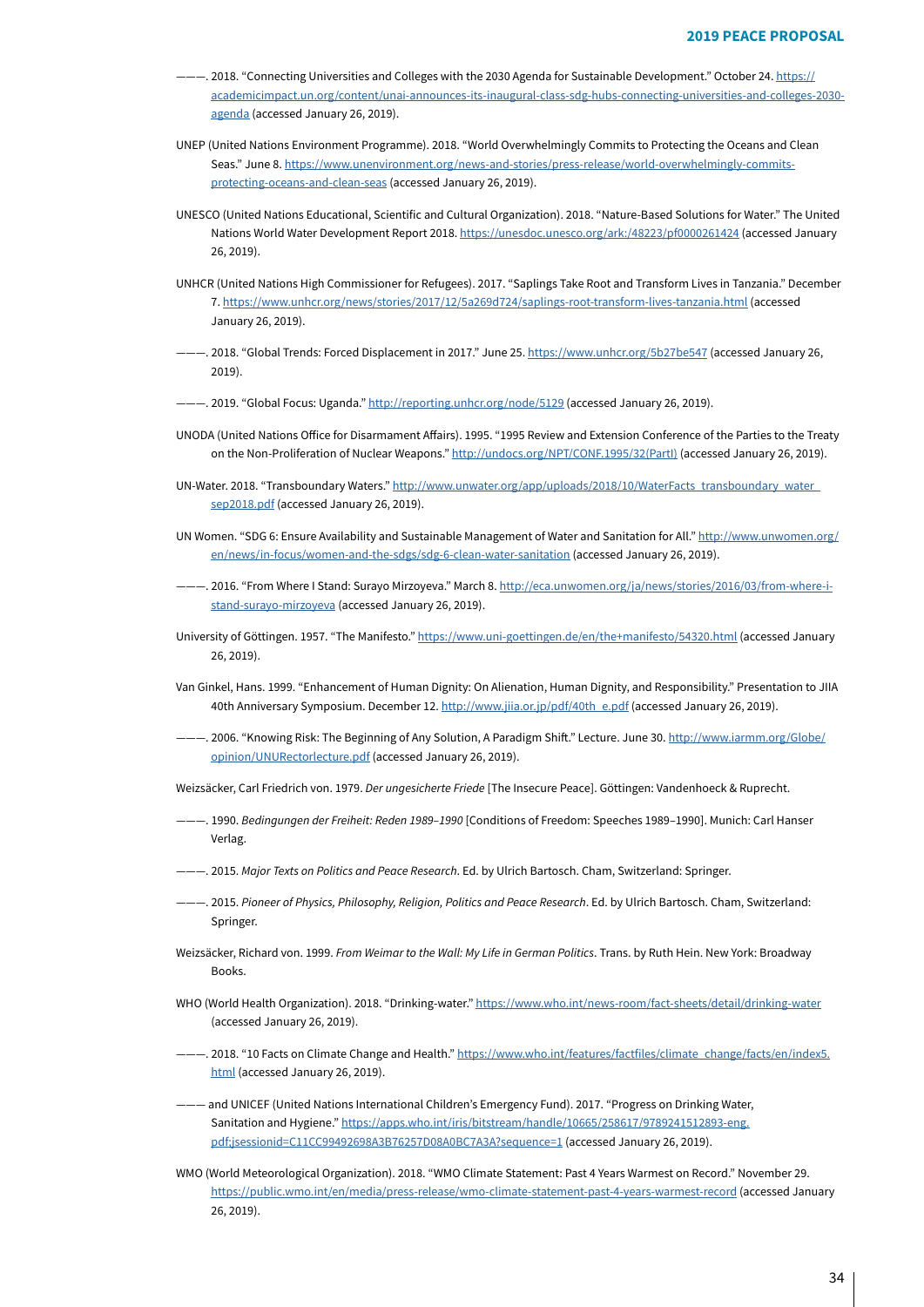- ----- 2018. "Connecting Universities and Colleges with the 2030 Agenda for Sustainable Development." October 24. https:// academicimpact.un.org/content/unai-announces-its-inaugural-class-sdg-hubs-connecting-universities-and-colleges-2030-agenda(accessed January 26, 2019).
- UNEP (United Nations Environment Programme). 2018. "World Overwhelmingly Commits to Protecting the Oceans and Clean Seas." June 8. <u>https://www.unenvironment.org/news-and-stories/press-release/world-overwhelmingly-commits-</u><br><u>protecting-oceans-and-clean-seas</u> (**accessed January 26, 2019)**.
- UNESCO (United Nations Educational, Scientific and Cultural Organization). 2018. "Nature-Based Solutions for Water." The United Nations World Water Development Report 2018. https://unesdoc.unesco.org/ark:/48223/pf0000261424 (accessed January 26, 2019).
- UNHCR (United Nations High Commissioner for Refugees). 2017. "Saplings Take Root and Transform Lives in Tanzania." December 7.https://www.unhcr.org/news/stories/2017/12/5a269d724/saplings-root-transform-lives-tanzania.html (accessed January 26, 2019).
- -2018. "Global Trends: Forced Displacement in 2017." June 25. https://www.unhcr.org/5b27be547 (accessed January 26, 2019)
- -. 2019. "Global Focus: Uganda." http://reporting.unhcr.org/node/5129 (accessed January 26, 2019).
- UNODA (United Nations Office for Disarmament Affairs). 1995. "1995 Review and Extension Conference of the Parties to the Treaty on the Non-Proliferation of Nuclear Weapons." http://undocs.org/NPT/CONF.1995/32(PartI[\)](http://undocs.org/NPT/CONF.1995/32(PartI)) (accessedJanuary 26, 2019).
- UN-Water.2018. "Transboundary Waters." http://www.unwater.org/app/uploads/2018/10/WaterFacts\_transboundary\_water\_ sep2018.pdf(accessed January 26, 2019).
- UNWomen. "SDG 6: Ensure Availability and Sustainable Management of Water and Sanitation for All." http://www.unwomen.org/ en/news/in-focus/women-and-the-sdgs/sdg-6-clean-water-sanitation (accessed January 26, 2019).
- ———. 2016. "From Where I Stand: Surayo Mirzoyeva." March 8. <u>http://eca.unwomen.org/ja/news/stories/2016/03/from-where-i-</u><br>s<u>tand-surayo-mirzoyeva</u> (accessed January 26, 2019).
- Universityof Göttingen. 1957. "The Manifesto." https://www.uni-goettingen.de/en/the+manifesto/54320.html (accessed January  $26, 2019$ .
- Van Ginkel, Hans. 1999. "Enhancement of Human Dignity: On Alienation, Human Dignity, and Responsibility." Presentation to JIIA 40th Anniversary Symposium. December 12. http://www.jija.or.jp/pdf/40th e.pdf (accessed January 26, 2019).
- --- 2006. "Knowing Risk: The Beginning of Any Solution, A Paradigm Shift." Lecture. June 30. http://www.iarmm.org/Globe/ opinion/UNURectorlecture.pdf (accessed January 26, 2019).

Weizsäcker, Carl Friedrich von. 1979. Der ungesicherte Friede [The Insecure Peace]. Göttingen: Vandenhoeck & Ruprecht.

- -. 1990. Bedingungen der Freiheit: Reden 1989-1990 [Conditions of Freedom: Speeches 1989-1990]. Munich: Carl Hanser .Verlag
- ...<br>Springer ... Springer. 2015. Major ... Springer 2015. And peace Research. Ed. by Ulrich Bartosch. Cham, Switzerland: Springer.
- -. 2015. Pioneer of Physics, Philosophy, Religion, Politics and Peace Research. Ed. by Ulrich Bartosch. Cham, Switzerland: Springer.
- Weizsäcker, Richard von. 1999. *From Weimar to the Wall: My Life in German Politics*. Trans. by Ruth Hein. New York: Broadway .Books
- WHO (World Health Organization). 2018. "Drinking-water." https://www.who.int/news-room/fact-sheets/detail/drinking-water (accessed January 26, 2019).
- -. 2018. "10 Facts on Climate Change and Health." https://www.who.int/features/factfiles/climate change/facts/en/index5. html(accessed January 26, 2019).
- and UNICEF (United Nations International Children's Emergency Fund). 2017. "Progress on Drinking Water, Sanitationand Hygiene." https://apps.who.int/iris/bitstream/handle/10665/258617/9789241512893-eng. pdf;jsessionid=C11CC99492698A3B76257D08A0BC7A3A?sequence=1(accessed January 26, 2019).
- WMO (World Meteorological Organization). 2018. "WMO Climate Statement: Past 4 Years Warmest on Record." November 29. https://public.wmo.int/en/media/press-release/wmo-climate-statement-past-4-years-warmest-record(accessed January 26, 2019).